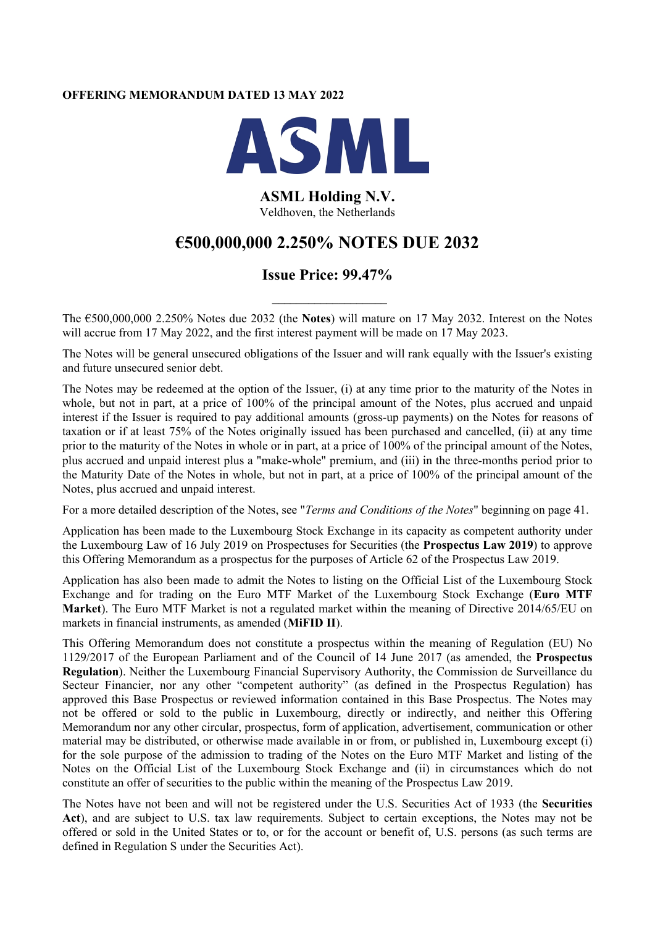# **OFFERING MEMORANDUM DATED 13 MAY 2022**



# **ASML Holding N.V.** Veldhoven, the Netherlands

# **€500,000,000 2.250% NOTES DUE 2032**

# **Issue Price: 99.47%**

 $\overline{\phantom{a}}$  , where  $\overline{\phantom{a}}$ 

The €500,000,000 2.250% Notes due 2032 (the **Notes**) will mature on 17 May 2032. Interest on the Notes will accrue from 17 May 2022, and the first interest payment will be made on 17 May 2023.

The Notes will be general unsecured obligations of the Issuer and will rank equally with the Issuer's existing and future unsecured senior debt.

The Notes may be redeemed at the option of the Issuer, (i) at any time prior to the maturity of the Notes in whole, but not in part, at a price of 100% of the principal amount of the Notes, plus accrued and unpaid interest if the Issuer is required to pay additional amounts (gross-up payments) on the Notes for reasons of taxation or if at least 75% of the Notes originally issued has been purchased and cancelled, (ii) at any time prior to the maturity of the Notes in whole or in part, at a price of 100% of the principal amount of the Notes, plus accrued and unpaid interest plus a "make-whole" premium, and (iii) in the three-months period prior to the Maturity Date of the Notes in whole, but not in part, at a price of 100% of the principal amount of the Notes, plus accrued and unpaid interest.

For a more detailed description of the Notes, see "*Terms and Conditions of the Notes*" beginning on page 41.

Application has been made to the Luxembourg Stock Exchange in its capacity as competent authority under the Luxembourg Law of 16 July 2019 on Prospectuses for Securities (the **Prospectus Law 2019**) to approve this Offering Memorandum as a prospectus for the purposes of Article 62 of the Prospectus Law 2019.

Application has also been made to admit the Notes to listing on the Official List of the Luxembourg Stock Exchange and for trading on the Euro MTF Market of the Luxembourg Stock Exchange (**Euro MTF Market**). The Euro MTF Market is not a regulated market within the meaning of Directive 2014/65/EU on markets in financial instruments, as amended (**MiFID II**).

This Offering Memorandum does not constitute a prospectus within the meaning of Regulation (EU) No 1129/2017 of the European Parliament and of the Council of 14 June 2017 (as amended, the **Prospectus Regulation**). Neither the Luxembourg Financial Supervisory Authority, the Commission de Surveillance du Secteur Financier, nor any other "competent authority" (as defined in the Prospectus Regulation) has approved this Base Prospectus or reviewed information contained in this Base Prospectus. The Notes may not be offered or sold to the public in Luxembourg, directly or indirectly, and neither this Offering Memorandum nor any other circular, prospectus, form of application, advertisement, communication or other material may be distributed, or otherwise made available in or from, or published in, Luxembourg except (i) for the sole purpose of the admission to trading of the Notes on the Euro MTF Market and listing of the Notes on the Official List of the Luxembourg Stock Exchange and (ii) in circumstances which do not constitute an offer of securities to the public within the meaning of the Prospectus Law 2019.

The Notes have not been and will not be registered under the U.S. Securities Act of 1933 (the **Securities Act**), and are subject to U.S. tax law requirements. Subject to certain exceptions, the Notes may not be offered or sold in the United States or to, or for the account or benefit of, U.S. persons (as such terms are defined in Regulation S under the Securities Act).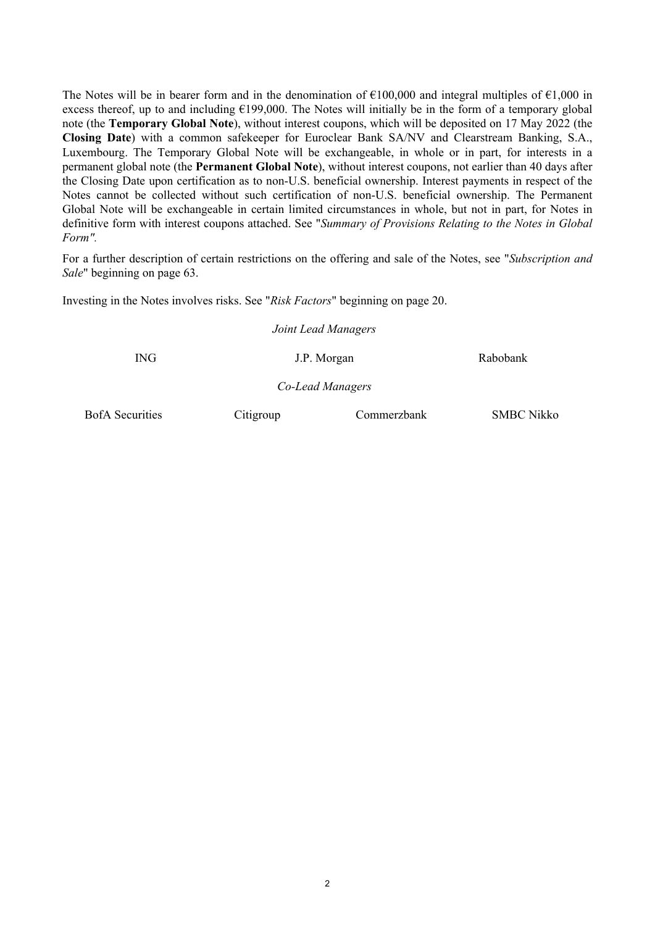The Notes will be in bearer form and in the denomination of  $\epsilon$ 100,000 and integral multiples of  $\epsilon$ 1,000 in excess thereof, up to and including  $E199,000$ . The Notes will initially be in the form of a temporary global note (the **Temporary Global Note**), without interest coupons, which will be deposited on 17 May 2022 (the **Closing Date**) with a common safekeeper for Euroclear Bank SA/NV and Clearstream Banking, S.A., Luxembourg. The Temporary Global Note will be exchangeable, in whole or in part, for interests in a permanent global note (the **Permanent Global Note**), without interest coupons, not earlier than 40 days after the Closing Date upon certification as to non-U.S. beneficial ownership. Interest payments in respect of the Notes cannot be collected without such certification of non-U.S. beneficial ownership. The Permanent Global Note will be exchangeable in certain limited circumstances in whole, but not in part, for Notes in definitive form with interest coupons attached. See "*Summary of Provisions Relating to the Notes in Global Form".*

For a further description of certain restrictions on the offering and sale of the Notes, see "*Subscription and Sale*" beginning on page 63.

Investing in the Notes involves risks. See "*Risk Factors*" beginning on page 20.

*Joint Lead Managers*

ING J.P. Morgan Rabobank

*Co-Lead Managers*

BofA Securities Citigroup Commerzbank SMBC Nikko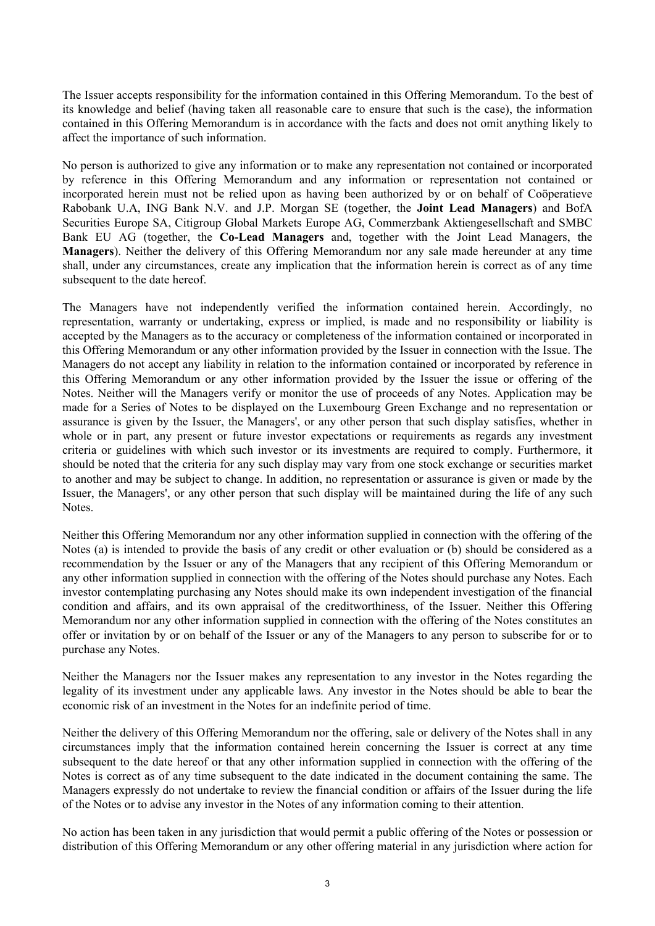The Issuer accepts responsibility for the information contained in this Offering Memorandum. To the best of its knowledge and belief (having taken all reasonable care to ensure that such is the case), the information contained in this Offering Memorandum is in accordance with the facts and does not omit anything likely to affect the importance of such information.

No person is authorized to give any information or to make any representation not contained or incorporated by reference in this Offering Memorandum and any information or representation not contained or incorporated herein must not be relied upon as having been authorized by or on behalf of Coöperatieve Rabobank U.A, ING Bank N.V. and J.P. Morgan SE (together, the **Joint Lead Managers**) and BofA Securities Europe SA, Citigroup Global Markets Europe AG, Commerzbank Aktiengesellschaft and SMBC Bank EU AG (together, the **Co-Lead Managers** and, together with the Joint Lead Managers, the **Managers**). Neither the delivery of this Offering Memorandum nor any sale made hereunder at any time shall, under any circumstances, create any implication that the information herein is correct as of any time subsequent to the date hereof.

The Managers have not independently verified the information contained herein. Accordingly, no representation, warranty or undertaking, express or implied, is made and no responsibility or liability is accepted by the Managers as to the accuracy or completeness of the information contained or incorporated in this Offering Memorandum or any other information provided by the Issuer in connection with the Issue. The Managers do not accept any liability in relation to the information contained or incorporated by reference in this Offering Memorandum or any other information provided by the Issuer the issue or offering of the Notes. Neither will the Managers verify or monitor the use of proceeds of any Notes. Application may be made for a Series of Notes to be displayed on the Luxembourg Green Exchange and no representation or assurance is given by the Issuer, the Managers', or any other person that such display satisfies, whether in whole or in part, any present or future investor expectations or requirements as regards any investment criteria or guidelines with which such investor or its investments are required to comply. Furthermore, it should be noted that the criteria for any such display may vary from one stock exchange or securities market to another and may be subject to change. In addition, no representation or assurance is given or made by the Issuer, the Managers', or any other person that such display will be maintained during the life of any such Notes.

Neither this Offering Memorandum nor any other information supplied in connection with the offering of the Notes (a) is intended to provide the basis of any credit or other evaluation or (b) should be considered as a recommendation by the Issuer or any of the Managers that any recipient of this Offering Memorandum or any other information supplied in connection with the offering of the Notes should purchase any Notes. Each investor contemplating purchasing any Notes should make its own independent investigation of the financial condition and affairs, and its own appraisal of the creditworthiness, of the Issuer. Neither this Offering Memorandum nor any other information supplied in connection with the offering of the Notes constitutes an offer or invitation by or on behalf of the Issuer or any of the Managers to any person to subscribe for or to purchase any Notes.

Neither the Managers nor the Issuer makes any representation to any investor in the Notes regarding the legality of its investment under any applicable laws. Any investor in the Notes should be able to bear the economic risk of an investment in the Notes for an indefinite period of time.

Neither the delivery of this Offering Memorandum nor the offering, sale or delivery of the Notes shall in any circumstances imply that the information contained herein concerning the Issuer is correct at any time subsequent to the date hereof or that any other information supplied in connection with the offering of the Notes is correct as of any time subsequent to the date indicated in the document containing the same. The Managers expressly do not undertake to review the financial condition or affairs of the Issuer during the life of the Notes or to advise any investor in the Notes of any information coming to their attention.

No action has been taken in any jurisdiction that would permit a public offering of the Notes or possession or distribution of this Offering Memorandum or any other offering material in any jurisdiction where action for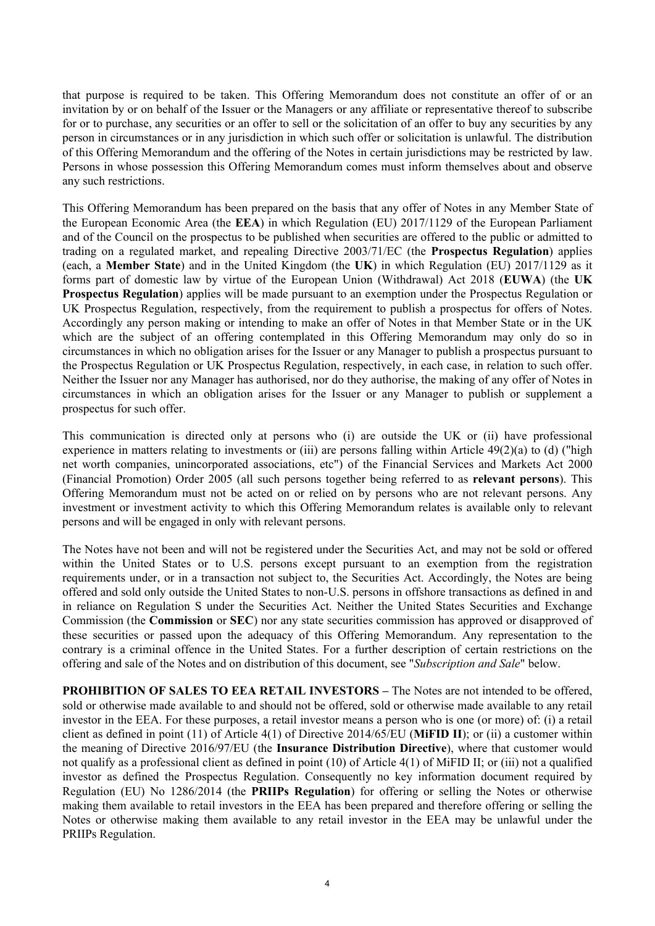that purpose is required to be taken. This Offering Memorandum does not constitute an offer of or an invitation by or on behalf of the Issuer or the Managers or any affiliate or representative thereof to subscribe for or to purchase, any securities or an offer to sell or the solicitation of an offer to buy any securities by any person in circumstances or in any jurisdiction in which such offer or solicitation is unlawful. The distribution of this Offering Memorandum and the offering of the Notes in certain jurisdictions may be restricted by law. Persons in whose possession this Offering Memorandum comes must inform themselves about and observe any such restrictions.

This Offering Memorandum has been prepared on the basis that any offer of Notes in any Member State of the European Economic Area (the **EEA**) in which Regulation (EU) 2017/1129 of the European Parliament and of the Council on the prospectus to be published when securities are offered to the public or admitted to trading on a regulated market, and repealing Directive 2003/71/EC (the **Prospectus Regulation**) applies (each, a **Member State**) and in the United Kingdom (the **UK**) in which Regulation (EU) 2017/1129 as it forms part of domestic law by virtue of the European Union (Withdrawal) Act 2018 (**EUWA**) (the **UK Prospectus Regulation**) applies will be made pursuant to an exemption under the Prospectus Regulation or UK Prospectus Regulation, respectively, from the requirement to publish a prospectus for offers of Notes. Accordingly any person making or intending to make an offer of Notes in that Member State or in the UK which are the subject of an offering contemplated in this Offering Memorandum may only do so in circumstances in which no obligation arises for the Issuer or any Manager to publish a prospectus pursuant to the Prospectus Regulation or UK Prospectus Regulation, respectively, in each case, in relation to such offer. Neither the Issuer nor any Manager has authorised, nor do they authorise, the making of any offer of Notes in circumstances in which an obligation arises for the Issuer or any Manager to publish or supplement a prospectus for such offer.

This communication is directed only at persons who (i) are outside the UK or (ii) have professional experience in matters relating to investments or (iii) are persons falling within Article 49(2)(a) to (d) ("high net worth companies, unincorporated associations, etc") of the Financial Services and Markets Act 2000 (Financial Promotion) Order 2005 (all such persons together being referred to as **relevant persons**). This Offering Memorandum must not be acted on or relied on by persons who are not relevant persons. Any investment or investment activity to which this Offering Memorandum relates is available only to relevant persons and will be engaged in only with relevant persons.

The Notes have not been and will not be registered under the Securities Act, and may not be sold or offered within the United States or to U.S. persons except pursuant to an exemption from the registration requirements under, or in a transaction not subject to, the Securities Act. Accordingly, the Notes are being offered and sold only outside the United States to non-U.S. persons in offshore transactions as defined in and in reliance on Regulation S under the Securities Act. Neither the United States Securities and Exchange Commission (the **Commission** or **SEC**) nor any state securities commission has approved or disapproved of these securities or passed upon the adequacy of this Offering Memorandum. Any representation to the contrary is a criminal offence in the United States. For a further description of certain restrictions on the offering and sale of the Notes and on distribution of this document, see "*Subscription and Sale*" below.

**PROHIBITION OF SALES TO EEA RETAIL INVESTORS –** The Notes are not intended to be offered, sold or otherwise made available to and should not be offered, sold or otherwise made available to any retail investor in the EEA. For these purposes, a retail investor means a person who is one (or more) of: (i) a retail client as defined in point (11) of Article 4(1) of Directive 2014/65/EU (**MiFID II**); or (ii) a customer within the meaning of Directive 2016/97/EU (the **Insurance Distribution Directive**), where that customer would not qualify as a professional client as defined in point (10) of Article 4(1) of MiFID II; or (iii) not a qualified investor as defined the Prospectus Regulation. Consequently no key information document required by Regulation (EU) No 1286/2014 (the **PRIIPs Regulation**) for offering or selling the Notes or otherwise making them available to retail investors in the EEA has been prepared and therefore offering or selling the Notes or otherwise making them available to any retail investor in the EEA may be unlawful under the PRIIPs Regulation.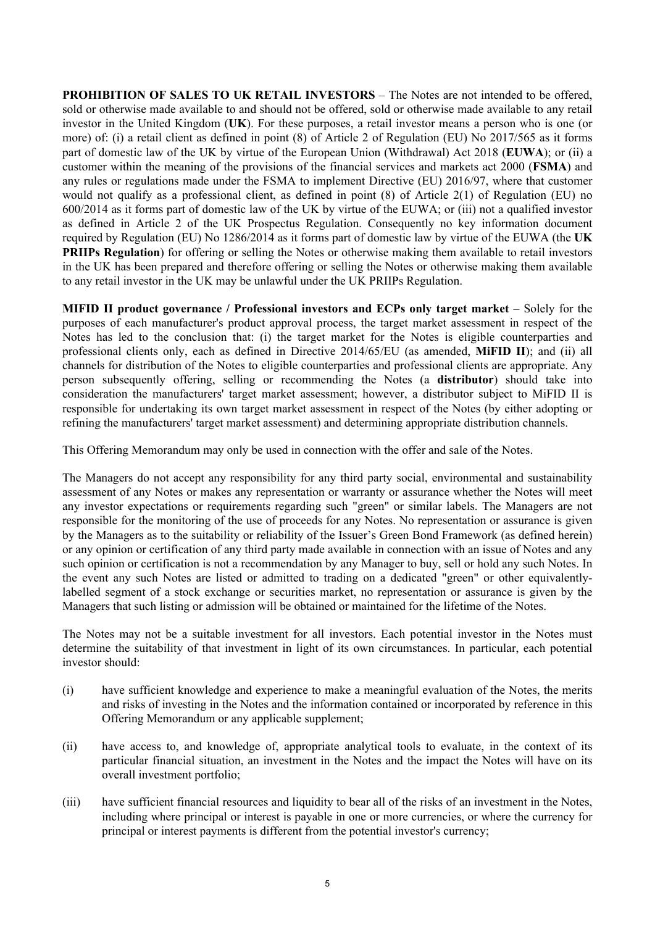**PROHIBITION OF SALES TO UK RETAIL INVESTORS** – The Notes are not intended to be offered, sold or otherwise made available to and should not be offered, sold or otherwise made available to any retail investor in the United Kingdom (**UK**). For these purposes, a retail investor means a person who is one (or more) of: (i) a retail client as defined in point (8) of Article 2 of Regulation (EU) No 2017/565 as it forms part of domestic law of the UK by virtue of the European Union (Withdrawal) Act 2018 (**EUWA**); or (ii) a customer within the meaning of the provisions of the financial services and markets act 2000 (**FSMA**) and any rules or regulations made under the FSMA to implement Directive (EU) 2016/97, where that customer would not qualify as a professional client, as defined in point (8) of Article 2(1) of Regulation (EU) no 600/2014 as it forms part of domestic law of the UK by virtue of the EUWA; or (iii) not a qualified investor as defined in Article 2 of the UK Prospectus Regulation. Consequently no key information document required by Regulation (EU) No 1286/2014 as it forms part of domestic law by virtue of the EUWA (the **UK PRIIPs Regulation**) for offering or selling the Notes or otherwise making them available to retail investors in the UK has been prepared and therefore offering or selling the Notes or otherwise making them available to any retail investor in the UK may be unlawful under the UK PRIIPs Regulation.

**MIFID II product governance / Professional investors and ECPs only target market** – Solely for the purposes of each manufacturer's product approval process, the target market assessment in respect of the Notes has led to the conclusion that: (i) the target market for the Notes is eligible counterparties and professional clients only, each as defined in Directive 2014/65/EU (as amended, **MiFID II**); and (ii) all channels for distribution of the Notes to eligible counterparties and professional clients are appropriate. Any person subsequently offering, selling or recommending the Notes (a **distributor**) should take into consideration the manufacturers' target market assessment; however, a distributor subject to MiFID II is responsible for undertaking its own target market assessment in respect of the Notes (by either adopting or refining the manufacturers' target market assessment) and determining appropriate distribution channels.

This Offering Memorandum may only be used in connection with the offer and sale of the Notes.

The Managers do not accept any responsibility for any third party social, environmental and sustainability assessment of any Notes or makes any representation or warranty or assurance whether the Notes will meet any investor expectations or requirements regarding such "green" or similar labels. The Managers are not responsible for the monitoring of the use of proceeds for any Notes. No representation or assurance is given by the Managers as to the suitability or reliability of the Issuer's Green Bond Framework (as defined herein) or any opinion or certification of any third party made available in connection with an issue of Notes and any such opinion or certification is not a recommendation by any Manager to buy, sell or hold any such Notes. In the event any such Notes are listed or admitted to trading on a dedicated "green" or other equivalentlylabelled segment of a stock exchange or securities market, no representation or assurance is given by the Managers that such listing or admission will be obtained or maintained for the lifetime of the Notes.

The Notes may not be a suitable investment for all investors. Each potential investor in the Notes must determine the suitability of that investment in light of its own circumstances. In particular, each potential investor should:

- (i) have sufficient knowledge and experience to make a meaningful evaluation of the Notes, the merits and risks of investing in the Notes and the information contained or incorporated by reference in this Offering Memorandum or any applicable supplement;
- (ii) have access to, and knowledge of, appropriate analytical tools to evaluate, in the context of its particular financial situation, an investment in the Notes and the impact the Notes will have on its overall investment portfolio;
- (iii) have sufficient financial resources and liquidity to bear all of the risks of an investment in the Notes, including where principal or interest is payable in one or more currencies, or where the currency for principal or interest payments is different from the potential investor's currency;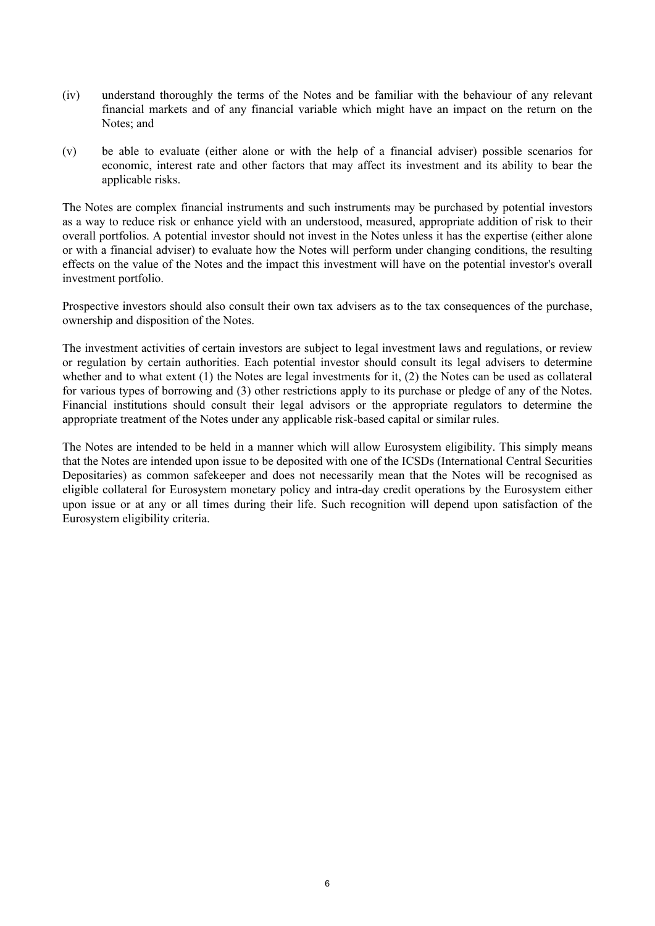- (iv) understand thoroughly the terms of the Notes and be familiar with the behaviour of any relevant financial markets and of any financial variable which might have an impact on the return on the Notes; and
- (v) be able to evaluate (either alone or with the help of a financial adviser) possible scenarios for economic, interest rate and other factors that may affect its investment and its ability to bear the applicable risks.

The Notes are complex financial instruments and such instruments may be purchased by potential investors as a way to reduce risk or enhance yield with an understood, measured, appropriate addition of risk to their overall portfolios. A potential investor should not invest in the Notes unless it has the expertise (either alone or with a financial adviser) to evaluate how the Notes will perform under changing conditions, the resulting effects on the value of the Notes and the impact this investment will have on the potential investor's overall investment portfolio.

Prospective investors should also consult their own tax advisers as to the tax consequences of the purchase, ownership and disposition of the Notes.

The investment activities of certain investors are subject to legal investment laws and regulations, or review or regulation by certain authorities. Each potential investor should consult its legal advisers to determine whether and to what extent (1) the Notes are legal investments for it, (2) the Notes can be used as collateral for various types of borrowing and (3) other restrictions apply to its purchase or pledge of any of the Notes. Financial institutions should consult their legal advisors or the appropriate regulators to determine the appropriate treatment of the Notes under any applicable risk-based capital or similar rules.

The Notes are intended to be held in a manner which will allow Eurosystem eligibility. This simply means that the Notes are intended upon issue to be deposited with one of the ICSDs (International Central Securities Depositaries) as common safekeeper and does not necessarily mean that the Notes will be recognised as eligible collateral for Eurosystem monetary policy and intra-day credit operations by the Eurosystem either upon issue or at any or all times during their life. Such recognition will depend upon satisfaction of the Eurosystem eligibility criteria.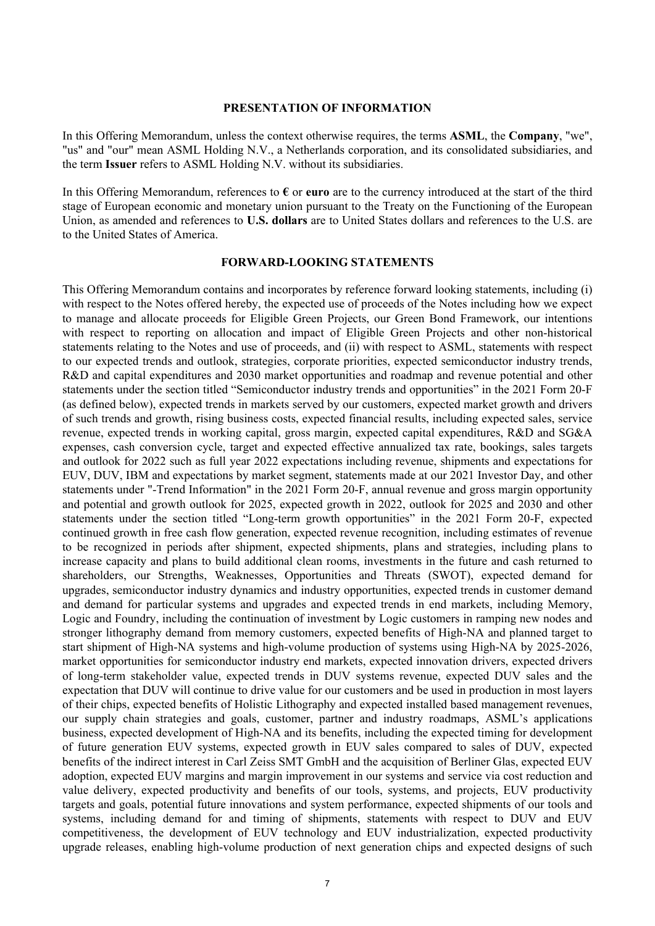#### **PRESENTATION OF INFORMATION**

In this Offering Memorandum, unless the context otherwise requires, the terms **ASML**, the **Company**, "we", "us" and "our" mean ASML Holding N.V., a Netherlands corporation, and its consolidated subsidiaries, and the term **Issuer** refers to ASML Holding N.V. without its subsidiaries.

In this Offering Memorandum, references to **€** or **euro** are to the currency introduced at the start of the third stage of European economic and monetary union pursuant to the Treaty on the Functioning of the European Union, as amended and references to **U.S. dollars** are to United States dollars and references to the U.S. are to the United States of America.

#### **FORWARD-LOOKING STATEMENTS**

This Offering Memorandum contains and incorporates by reference forward looking statements, including (i) with respect to the Notes offered hereby, the expected use of proceeds of the Notes including how we expect to manage and allocate proceeds for Eligible Green Projects, our Green Bond Framework, our intentions with respect to reporting on allocation and impact of Eligible Green Projects and other non-historical statements relating to the Notes and use of proceeds, and (ii) with respect to ASML, statements with respect to our expected trends and outlook, strategies, corporate priorities, expected semiconductor industry trends, R&D and capital expenditures and 2030 market opportunities and roadmap and revenue potential and other statements under the section titled "Semiconductor industry trends and opportunities" in the 2021 Form 20-F (as defined below), expected trends in markets served by our customers, expected market growth and drivers of such trends and growth, rising business costs, expected financial results, including expected sales, service revenue, expected trends in working capital, gross margin, expected capital expenditures, R&D and SG&A expenses, cash conversion cycle, target and expected effective annualized tax rate, bookings, sales targets and outlook for 2022 such as full year 2022 expectations including revenue, shipments and expectations for EUV, DUV, IBM and expectations by market segment, statements made at our 2021 Investor Day, and other statements under "-Trend Information" in the 2021 Form 20-F, annual revenue and gross margin opportunity and potential and growth outlook for 2025, expected growth in 2022, outlook for 2025 and 2030 and other statements under the section titled "Long-term growth opportunities" in the 2021 Form 20-F, expected continued growth in free cash flow generation, expected revenue recognition, including estimates of revenue to be recognized in periods after shipment, expected shipments, plans and strategies, including plans to increase capacity and plans to build additional clean rooms, investments in the future and cash returned to shareholders, our Strengths, Weaknesses, Opportunities and Threats (SWOT), expected demand for upgrades, semiconductor industry dynamics and industry opportunities, expected trends in customer demand and demand for particular systems and upgrades and expected trends in end markets, including Memory, Logic and Foundry, including the continuation of investment by Logic customers in ramping new nodes and stronger lithography demand from memory customers, expected benefits of High-NA and planned target to start shipment of High-NA systems and high-volume production of systems using High-NA by 2025-2026, market opportunities for semiconductor industry end markets, expected innovation drivers, expected drivers of long-term stakeholder value, expected trends in DUV systems revenue, expected DUV sales and the expectation that DUV will continue to drive value for our customers and be used in production in most layers of their chips, expected benefits of Holistic Lithography and expected installed based management revenues, our supply chain strategies and goals, customer, partner and industry roadmaps, ASML's applications business, expected development of High-NA and its benefits, including the expected timing for development of future generation EUV systems, expected growth in EUV sales compared to sales of DUV, expected benefits of the indirect interest in Carl Zeiss SMT GmbH and the acquisition of Berliner Glas, expected EUV adoption, expected EUV margins and margin improvement in our systems and service via cost reduction and value delivery, expected productivity and benefits of our tools, systems, and projects, EUV productivity targets and goals, potential future innovations and system performance, expected shipments of our tools and systems, including demand for and timing of shipments, statements with respect to DUV and EUV competitiveness, the development of EUV technology and EUV industrialization, expected productivity upgrade releases, enabling high-volume production of next generation chips and expected designs of such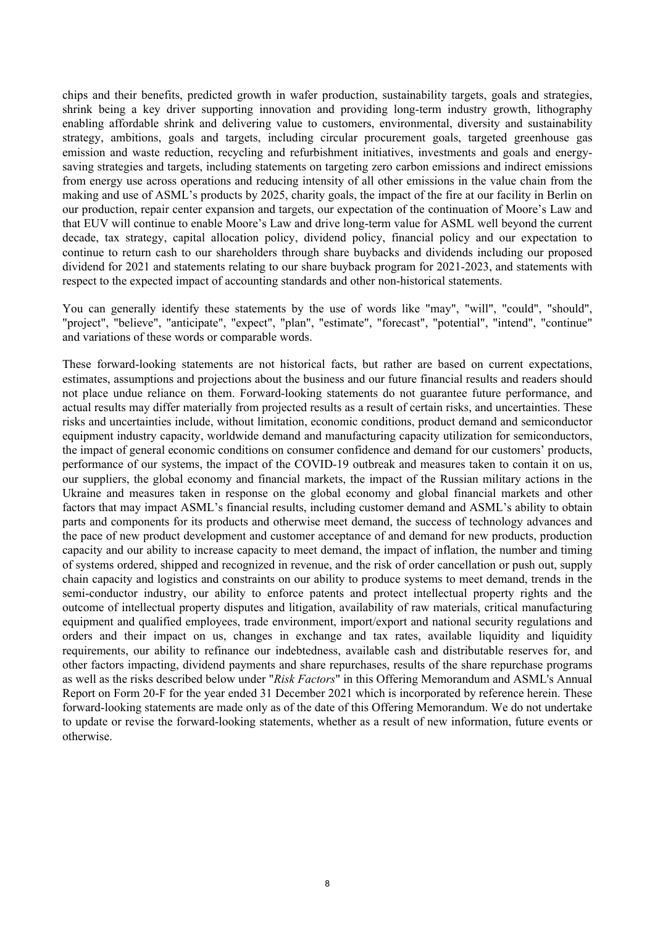chips and their benefits, predicted growth in wafer production, sustainability targets, goals and strategies, shrink being a key driver supporting innovation and providing long-term industry growth, lithography enabling affordable shrink and delivering value to customers, environmental, diversity and sustainability strategy, ambitions, goals and targets, including circular procurement goals, targeted greenhouse gas emission and waste reduction, recycling and refurbishment initiatives, investments and goals and energysaving strategies and targets, including statements on targeting zero carbon emissions and indirect emissions from energy use across operations and reducing intensity of all other emissions in the value chain from the making and use of ASML's products by 2025, charity goals, the impact of the fire at our facility in Berlin on our production, repair center expansion and targets, our expectation of the continuation of Moore's Law and that EUV will continue to enable Moore's Law and drive long-term value for ASML well beyond the current decade, tax strategy, capital allocation policy, dividend policy, financial policy and our expectation to continue to return cash to our shareholders through share buybacks and dividends including our proposed dividend for 2021 and statements relating to our share buyback program for 2021-2023, and statements with respect to the expected impact of accounting standards and other non-historical statements.

You can generally identify these statements by the use of words like "may", "will", "could", "should", "project", "believe", "anticipate", "expect", "plan", "estimate", "forecast", "potential", "intend", "continue" and variations of these words or comparable words.

These forward-looking statements are not historical facts, but rather are based on current expectations, estimates, assumptions and projections about the business and our future financial results and readers should not place undue reliance on them. Forward-looking statements do not guarantee future performance, and actual results may differ materially from projected results as a result of certain risks, and uncertainties. These risks and uncertainties include, without limitation, economic conditions, product demand and semiconductor equipment industry capacity, worldwide demand and manufacturing capacity utilization for semiconductors, the impact of general economic conditions on consumer confidence and demand for our customers' products, performance of our systems, the impact of the COVID-19 outbreak and measures taken to contain it on us, our suppliers, the global economy and financial markets, the impact of the Russian military actions in the Ukraine and measures taken in response on the global economy and global financial markets and other factors that may impact ASML's financial results, including customer demand and ASML's ability to obtain parts and components for its products and otherwise meet demand, the success of technology advances and the pace of new product development and customer acceptance of and demand for new products, production capacity and our ability to increase capacity to meet demand, the impact of inflation, the number and timing of systems ordered, shipped and recognized in revenue, and the risk of order cancellation or push out, supply chain capacity and logistics and constraints on our ability to produce systems to meet demand, trends in the semi-conductor industry, our ability to enforce patents and protect intellectual property rights and the outcome of intellectual property disputes and litigation, availability of raw materials, critical manufacturing equipment and qualified employees, trade environment, import/export and national security regulations and orders and their impact on us, changes in exchange and tax rates, available liquidity and liquidity requirements, our ability to refinance our indebtedness, available cash and distributable reserves for, and other factors impacting, dividend payments and share repurchases, results of the share repurchase programs as well as the risks described below under "*Risk Factors*" in this Offering Memorandum and ASML's Annual Report on Form 20-F for the year ended 31 December 2021 which is incorporated by reference herein. These forward-looking statements are made only as of the date of this Offering Memorandum. We do not undertake to update or revise the forward-looking statements, whether as a result of new information, future events or otherwise.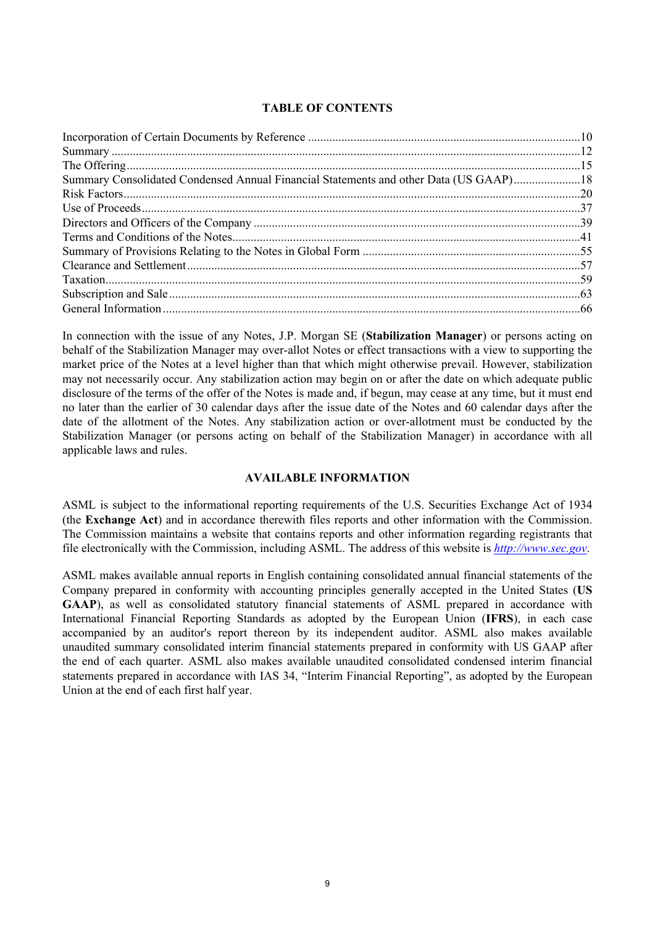# **TABLE OF CONTENTS**

| Summary Consolidated Condensed Annual Financial Statements and other Data (US GAAP)18 |  |
|---------------------------------------------------------------------------------------|--|
|                                                                                       |  |
|                                                                                       |  |
|                                                                                       |  |
|                                                                                       |  |
|                                                                                       |  |
|                                                                                       |  |
|                                                                                       |  |
|                                                                                       |  |
|                                                                                       |  |

In connection with the issue of any Notes, J.P. Morgan SE (**Stabilization Manager**) or persons acting on behalf of the Stabilization Manager may over-allot Notes or effect transactions with a view to supporting the market price of the Notes at a level higher than that which might otherwise prevail. However, stabilization may not necessarily occur. Any stabilization action may begin on or after the date on which adequate public disclosure of the terms of the offer of the Notes is made and, if begun, may cease at any time, but it must end no later than the earlier of 30 calendar days after the issue date of the Notes and 60 calendar days after the date of the allotment of the Notes. Any stabilization action or over-allotment must be conducted by the Stabilization Manager (or persons acting on behalf of the Stabilization Manager) in accordance with all applicable laws and rules.

# **AVAILABLE INFORMATION**

ASML is subject to the informational reporting requirements of the U.S. Securities Exchange Act of 1934 (the **Exchange Act**) and in accordance therewith files reports and other information with the Commission. The Commission maintains a website that contains reports and other information regarding registrants that file electronically with the Commission, including ASML. The address of this website is *[http://www.sec.gov](http://www.sec.gov/)*.

ASML makes available annual reports in English containing consolidated annual financial statements of the Company prepared in conformity with accounting principles generally accepted in the United States (**US GAAP**), as well as consolidated statutory financial statements of ASML prepared in accordance with International Financial Reporting Standards as adopted by the European Union (**IFRS**), in each case accompanied by an auditor's report thereon by its independent auditor. ASML also makes available unaudited summary consolidated interim financial statements prepared in conformity with US GAAP after the end of each quarter. ASML also makes available unaudited consolidated condensed interim financial statements prepared in accordance with IAS 34, "Interim Financial Reporting", as adopted by the European Union at the end of each first half year.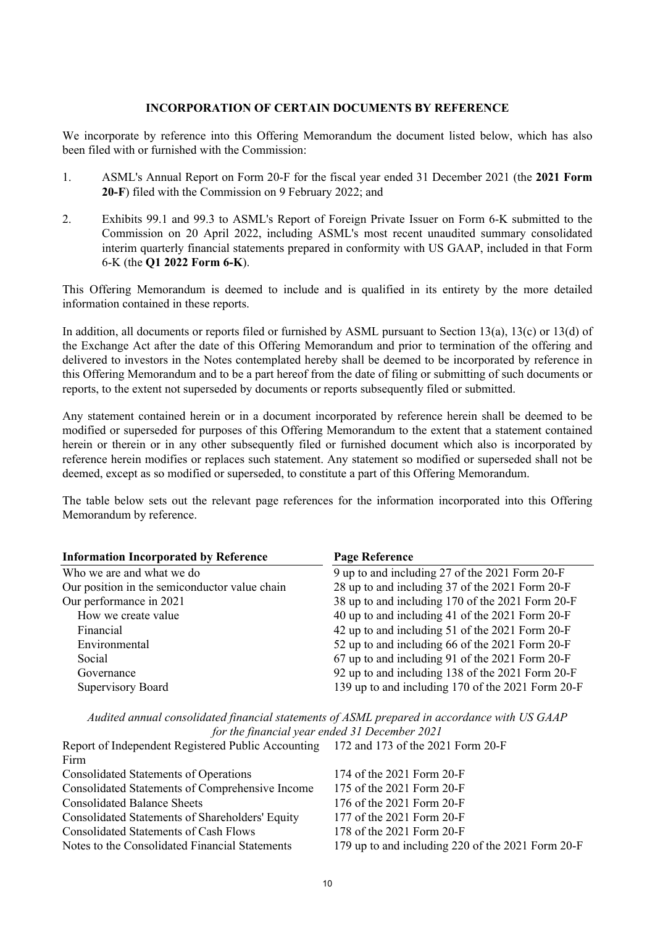# <span id="page-9-0"></span>**INCORPORATION OF CERTAIN DOCUMENTS BY REFERENCE**

We incorporate by reference into this Offering Memorandum the document listed below, which has also been filed with or furnished with the Commission:

- 1. ASML's Annual Report on Form 20-F for the fiscal year ended 31 December 2021 (the **2021 Form 20-F**) filed with the Commission on 9 February 2022; and
- 2. Exhibits 99.1 and 99.3 to ASML's Report of Foreign Private Issuer on Form 6-K submitted to the Commission on 20 April 2022, including ASML's most recent unaudited summary consolidated interim quarterly financial statements prepared in conformity with US GAAP, included in that Form 6-K (the **Q1 2022 Form 6-K**).

This Offering Memorandum is deemed to include and is qualified in its entirety by the more detailed information contained in these reports.

In addition, all documents or reports filed or furnished by ASML pursuant to Section 13(a), 13(c) or 13(d) of the Exchange Act after the date of this Offering Memorandum and prior to termination of the offering and delivered to investors in the Notes contemplated hereby shall be deemed to be incorporated by reference in this Offering Memorandum and to be a part hereof from the date of filing or submitting of such documents or reports, to the extent not superseded by documents or reports subsequently filed or submitted.

Any statement contained herein or in a document incorporated by reference herein shall be deemed to be modified or superseded for purposes of this Offering Memorandum to the extent that a statement contained herein or therein or in any other subsequently filed or furnished document which also is incorporated by reference herein modifies or replaces such statement. Any statement so modified or superseded shall not be deemed, except as so modified or superseded, to constitute a part of this Offering Memorandum.

The table below sets out the relevant page references for the information incorporated into this Offering Memorandum by reference.

| <b>Information Incorporated by Reference</b>  | <b>Page Reference</b>                             |
|-----------------------------------------------|---------------------------------------------------|
| Who we are and what we do                     | 9 up to and including 27 of the 2021 Form 20-F    |
| Our position in the semiconductor value chain | 28 up to and including 37 of the 2021 Form 20-F   |
| Our performance in 2021                       | 38 up to and including 170 of the 2021 Form 20-F  |
| How we create value                           | 40 up to and including 41 of the 2021 Form 20-F   |
| Financial                                     | 42 up to and including 51 of the 2021 Form 20-F   |
| Environmental                                 | 52 up to and including 66 of the 2021 Form 20-F   |
| Social                                        | 67 up to and including 91 of the 2021 Form 20-F   |
| Governance                                    | 92 up to and including 138 of the 2021 Form 20-F  |
| Supervisory Board                             | 139 up to and including 170 of the 2021 Form 20-F |

*Audited annual consolidated financial statements of ASML prepared in accordance with US GAAP for the financial year ended 31 December 2021*

| Report of Independent Registered Public Accounting 172 and 173 of the 2021 Form 20-F |                                                   |
|--------------------------------------------------------------------------------------|---------------------------------------------------|
| Firm                                                                                 |                                                   |
| <b>Consolidated Statements of Operations</b>                                         | 174 of the 2021 Form 20-F                         |
| Consolidated Statements of Comprehensive Income                                      | 175 of the 2021 Form 20-F                         |
| <b>Consolidated Balance Sheets</b>                                                   | 176 of the 2021 Form 20-F                         |
| Consolidated Statements of Shareholders' Equity                                      | 177 of the 2021 Form 20-F                         |
| <b>Consolidated Statements of Cash Flows</b>                                         | 178 of the 2021 Form 20-F                         |
| Notes to the Consolidated Financial Statements                                       | 179 up to and including 220 of the 2021 Form 20-F |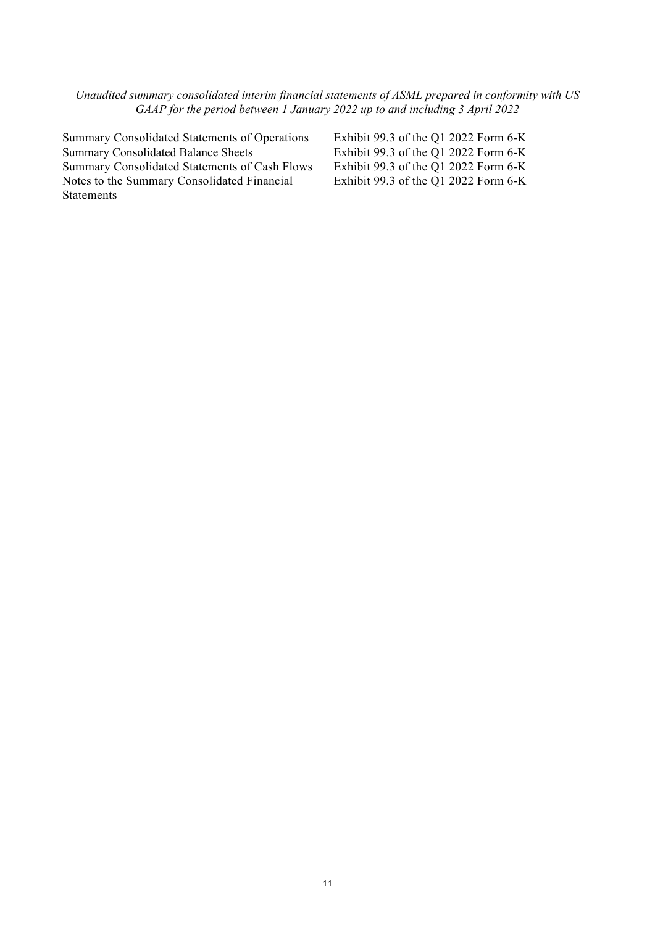*Unaudited summary consolidated interim financial statements of ASML prepared in conformity with US GAAP for the period between 1 January 2022 up to and including 3 April 2022* 

Summary Consolidated Statements of Operations Exhibit 99.3 of the Q1 2022 Form 6-K<br>
Exhibit 99.3 of the Q1 2022 Form 6-K Summary Consolidated Balance Sheets<br>
Summary Consolidated Statements of Cash Flows Exhibit 99.3 of the Q1 2022 Form 6-K Summary Consolidated Statements of Cash Flows Notes to the Summary Consolidated Financial **Statements** 

Exhibit 99.3 of the Q1 2022 Form 6-K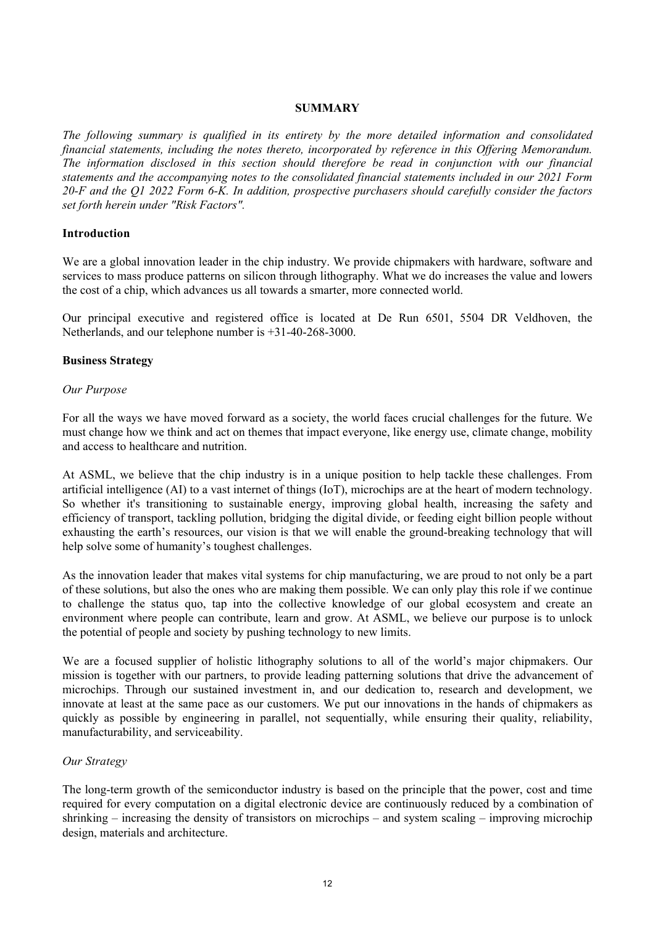# <span id="page-11-0"></span>**SUMMARY**

*The following summary is qualified in its entirety by the more detailed information and consolidated financial statements, including the notes thereto, incorporated by reference in this Offering Memorandum. The information disclosed in this section should therefore be read in conjunction with our financial statements and the accompanying notes to the consolidated financial statements included in our 2021 Form 20-F and the Q1 2022 Form 6-K. In addition, prospective purchasers should carefully consider the factors set forth herein under "Risk Factors".*

# **Introduction**

We are a global innovation leader in the chip industry. We provide chipmakers with hardware, software and services to mass produce patterns on silicon through lithography. What we do increases the value and lowers the cost of a chip, which advances us all towards a smarter, more connected world.

Our principal executive and registered office is located at De Run 6501, 5504 DR Veldhoven, the Netherlands, and our telephone number is +31-40-268-3000.

# **Business Strategy**

# *Our Purpose*

For all the ways we have moved forward as a society, the world faces crucial challenges for the future. We must change how we think and act on themes that impact everyone, like energy use, climate change, mobility and access to healthcare and nutrition.

At ASML, we believe that the chip industry is in a unique position to help tackle these challenges. From artificial intelligence (AI) to a vast internet of things (IoT), microchips are at the heart of modern technology. So whether it's transitioning to sustainable energy, improving global health, increasing the safety and efficiency of transport, tackling pollution, bridging the digital divide, or feeding eight billion people without exhausting the earth's resources, our vision is that we will enable the ground-breaking technology that will help solve some of humanity's toughest challenges.

As the innovation leader that makes vital systems for chip manufacturing, we are proud to not only be a part of these solutions, but also the ones who are making them possible. We can only play this role if we continue to challenge the status quo, tap into the collective knowledge of our global ecosystem and create an environment where people can contribute, learn and grow. At ASML, we believe our purpose is to unlock the potential of people and society by pushing technology to new limits.

We are a focused supplier of holistic lithography solutions to all of the world's major chipmakers. Our mission is together with our partners, to provide leading patterning solutions that drive the advancement of microchips. Through our sustained investment in, and our dedication to, research and development, we innovate at least at the same pace as our customers. We put our innovations in the hands of chipmakers as quickly as possible by engineering in parallel, not sequentially, while ensuring their quality, reliability, manufacturability, and serviceability.

# *Our Strategy*

The long-term growth of the semiconductor industry is based on the principle that the power, cost and time required for every computation on a digital electronic device are continuously reduced by a combination of shrinking – increasing the density of transistors on microchips – and system scaling – improving microchip design, materials and architecture.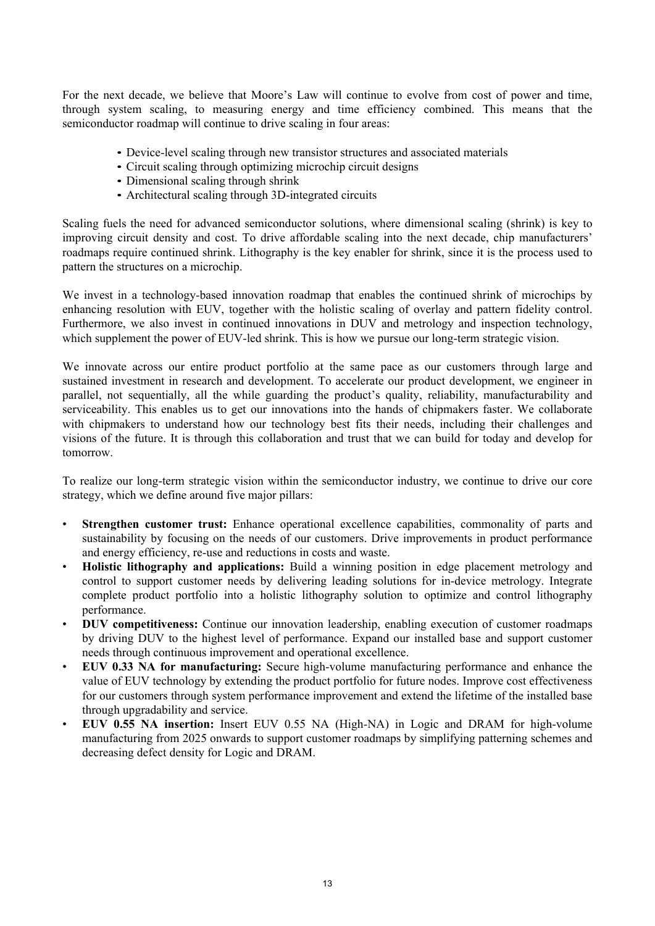For the next decade, we believe that Moore's Law will continue to evolve from cost of power and time, through system scaling, to measuring energy and time efficiency combined. This means that the semiconductor roadmap will continue to drive scaling in four areas:

- Device-level scaling through new transistor structures and associated materials
- Circuit scaling through optimizing microchip circuit designs
- Dimensional scaling through shrink
- Architectural scaling through 3D-integrated circuits

Scaling fuels the need for advanced semiconductor solutions, where dimensional scaling (shrink) is key to improving circuit density and cost. To drive affordable scaling into the next decade, chip manufacturers' roadmaps require continued shrink. Lithography is the key enabler for shrink, since it is the process used to pattern the structures on a microchip.

We invest in a technology-based innovation roadmap that enables the continued shrink of microchips by enhancing resolution with EUV, together with the holistic scaling of overlay and pattern fidelity control. Furthermore, we also invest in continued innovations in DUV and metrology and inspection technology, which supplement the power of EUV-led shrink. This is how we pursue our long-term strategic vision.

We innovate across our entire product portfolio at the same pace as our customers through large and sustained investment in research and development. To accelerate our product development, we engineer in parallel, not sequentially, all the while guarding the product's quality, reliability, manufacturability and serviceability. This enables us to get our innovations into the hands of chipmakers faster. We collaborate with chipmakers to understand how our technology best fits their needs, including their challenges and visions of the future. It is through this collaboration and trust that we can build for today and develop for tomorrow.

To realize our long-term strategic vision within the semiconductor industry, we continue to drive our core strategy, which we define around five major pillars:

- **Strengthen customer trust:** Enhance operational excellence capabilities, commonality of parts and sustainability by focusing on the needs of our customers. Drive improvements in product performance and energy efficiency, re-use and reductions in costs and waste.
- **Holistic lithography and applications:** Build a winning position in edge placement metrology and control to support customer needs by delivering leading solutions for in-device metrology. Integrate complete product portfolio into a holistic lithography solution to optimize and control lithography performance.
- **DUV competitiveness:** Continue our innovation leadership, enabling execution of customer roadmaps by driving DUV to the highest level of performance. Expand our installed base and support customer needs through continuous improvement and operational excellence.
- **EUV 0.33 NA for manufacturing:** Secure high-volume manufacturing performance and enhance the value of EUV technology by extending the product portfolio for future nodes. Improve cost effectiveness for our customers through system performance improvement and extend the lifetime of the installed base through upgradability and service.
- **EUV 0.55 NA insertion:** Insert EUV 0.55 NA (High-NA) in Logic and DRAM for high-volume manufacturing from 2025 onwards to support customer roadmaps by simplifying patterning schemes and decreasing defect density for Logic and DRAM.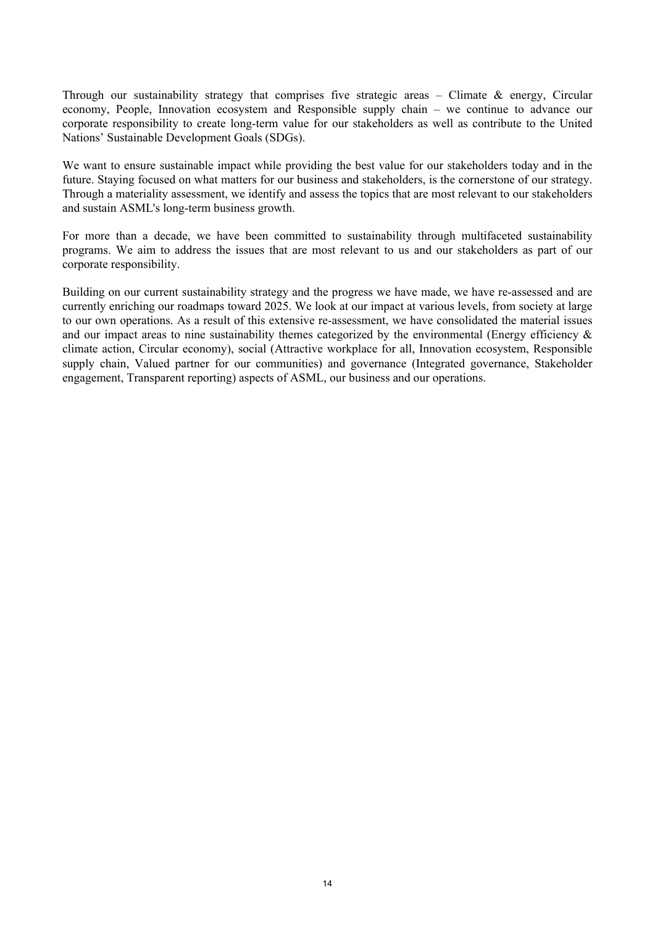Through our sustainability strategy that comprises five strategic areas – Climate & energy, Circular economy, People, Innovation ecosystem and Responsible supply chain – we continue to advance our corporate responsibility to create long-term value for our stakeholders as well as contribute to the United Nations' Sustainable Development Goals (SDGs).

We want to ensure sustainable impact while providing the best value for our stakeholders today and in the future. Staying focused on what matters for our business and stakeholders, is the cornerstone of our strategy. Through a materiality assessment, we identify and assess the topics that are most relevant to our stakeholders and sustain ASML's long-term business growth.

For more than a decade, we have been committed to sustainability through multifaceted sustainability programs. We aim to address the issues that are most relevant to us and our stakeholders as part of our corporate responsibility.

Building on our current sustainability strategy and the progress we have made, we have re-assessed and are currently enriching our roadmaps toward 2025. We look at our impact at various levels, from society at large to our own operations. As a result of this extensive re-assessment, we have consolidated the material issues and our impact areas to nine sustainability themes categorized by the environmental (Energy efficiency & climate action, Circular economy), social (Attractive workplace for all, Innovation ecosystem, Responsible supply chain, Valued partner for our communities) and governance (Integrated governance, Stakeholder engagement, Transparent reporting) aspects of ASML, our business and our operations.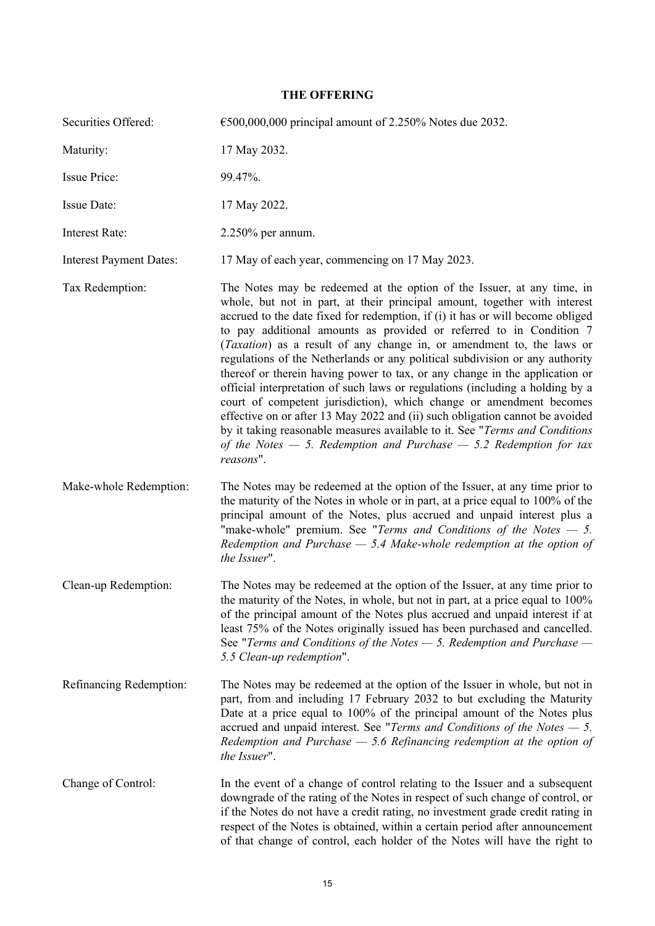# <span id="page-14-0"></span>**THE OFFERING**

| Securities Offered:            | $\epsilon$ 500,000,000 principal amount of 2.250% Notes due 2032.                                                                                                                                                                                                                                                                                                                                                                                                                                                                                                                                                                                                                                                                                                                                                                                                                                                                                                 |
|--------------------------------|-------------------------------------------------------------------------------------------------------------------------------------------------------------------------------------------------------------------------------------------------------------------------------------------------------------------------------------------------------------------------------------------------------------------------------------------------------------------------------------------------------------------------------------------------------------------------------------------------------------------------------------------------------------------------------------------------------------------------------------------------------------------------------------------------------------------------------------------------------------------------------------------------------------------------------------------------------------------|
| Maturity:                      | 17 May 2032.                                                                                                                                                                                                                                                                                                                                                                                                                                                                                                                                                                                                                                                                                                                                                                                                                                                                                                                                                      |
| <b>Issue Price:</b>            | 99.47%.                                                                                                                                                                                                                                                                                                                                                                                                                                                                                                                                                                                                                                                                                                                                                                                                                                                                                                                                                           |
| Issue Date:                    | 17 May 2022.                                                                                                                                                                                                                                                                                                                                                                                                                                                                                                                                                                                                                                                                                                                                                                                                                                                                                                                                                      |
| <b>Interest Rate:</b>          | $2.250\%$ per annum.                                                                                                                                                                                                                                                                                                                                                                                                                                                                                                                                                                                                                                                                                                                                                                                                                                                                                                                                              |
| <b>Interest Payment Dates:</b> | 17 May of each year, commencing on 17 May 2023.                                                                                                                                                                                                                                                                                                                                                                                                                                                                                                                                                                                                                                                                                                                                                                                                                                                                                                                   |
| Tax Redemption:                | The Notes may be redeemed at the option of the Issuer, at any time, in<br>whole, but not in part, at their principal amount, together with interest<br>accrued to the date fixed for redemption, if (i) it has or will become obliged<br>to pay additional amounts as provided or referred to in Condition 7<br>(Taxation) as a result of any change in, or amendment to, the laws or<br>regulations of the Netherlands or any political subdivision or any authority<br>thereof or therein having power to tax, or any change in the application or<br>official interpretation of such laws or regulations (including a holding by a<br>court of competent jurisdiction), which change or amendment becomes<br>effective on or after 13 May 2022 and (ii) such obligation cannot be avoided<br>by it taking reasonable measures available to it. See "Terms and Conditions<br>of the Notes $-5$ . Redemption and Purchase $-5.2$ Redemption for tax<br>reasons". |
| Make-whole Redemption:         | The Notes may be redeemed at the option of the Issuer, at any time prior to<br>the maturity of the Notes in whole or in part, at a price equal to 100% of the<br>principal amount of the Notes, plus accrued and unpaid interest plus a<br>"make-whole" premium. See "Terms and Conditions of the Notes $-5$ .<br>Redemption and Purchase $-$ 5.4 Make-whole redemption at the option of<br>the Issuer".                                                                                                                                                                                                                                                                                                                                                                                                                                                                                                                                                          |
| Clean-up Redemption:           | The Notes may be redeemed at the option of the Issuer, at any time prior to<br>the maturity of the Notes, in whole, but not in part, at a price equal to 100%<br>of the principal amount of the Notes plus accrued and unpaid interest if at<br>least 75% of the Notes originally issued has been purchased and cancelled.<br>See "Terms and Conditions of the Notes $-5$ . Redemption and Purchase $-$<br>5.5 Clean-up redemption".                                                                                                                                                                                                                                                                                                                                                                                                                                                                                                                              |
| Refinancing Redemption:        | The Notes may be redeemed at the option of the Issuer in whole, but not in<br>part, from and including 17 February 2032 to but excluding the Maturity<br>Date at a price equal to 100% of the principal amount of the Notes plus<br>accrued and unpaid interest. See "Terms and Conditions of the Notes $-5$ .<br>Redemption and Purchase $-$ 5.6 Refinancing redemption at the option of<br>the Issuer".                                                                                                                                                                                                                                                                                                                                                                                                                                                                                                                                                         |
| Change of Control:             | In the event of a change of control relating to the Issuer and a subsequent<br>downgrade of the rating of the Notes in respect of such change of control, or<br>if the Notes do not have a credit rating, no investment grade credit rating in<br>respect of the Notes is obtained, within a certain period after announcement<br>of that change of control, each holder of the Notes will have the right to                                                                                                                                                                                                                                                                                                                                                                                                                                                                                                                                                      |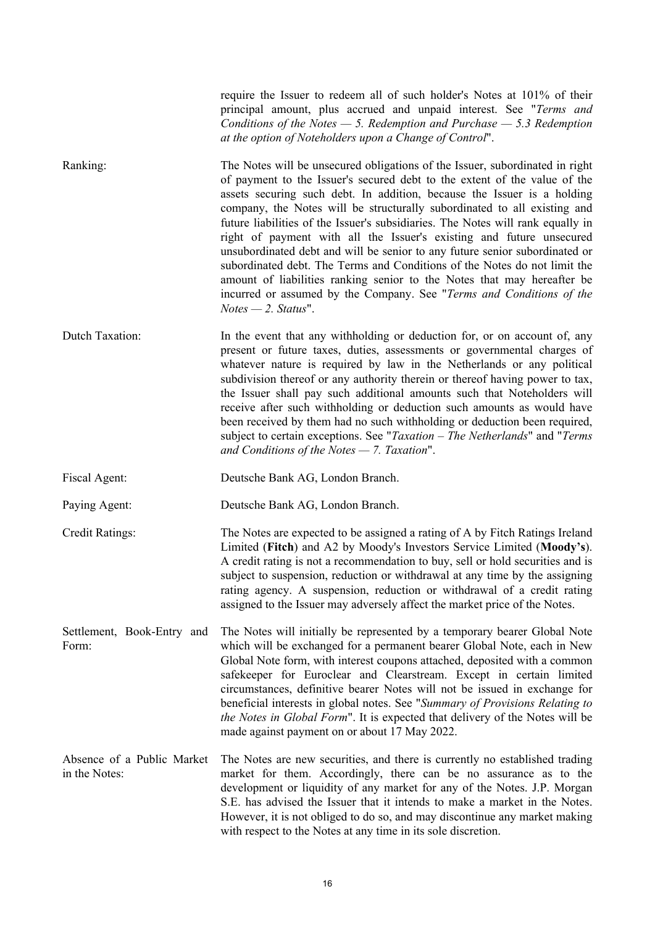require the Issuer to redeem all of such holder's Notes at 101% of their principal amount, plus accrued and unpaid interest. See "*Terms and Conditions of the Notes — 5. Redemption and Purchase — 5.3 Redemption at the option of Noteholders upon a Change of Control*".

Ranking: The Notes will be unsecured obligations of the Issuer, subordinated in right of payment to the Issuer's secured debt to the extent of the value of the assets securing such debt. In addition, because the Issuer is a holding company, the Notes will be structurally subordinated to all existing and future liabilities of the Issuer's subsidiaries. The Notes will rank equally in right of payment with all the Issuer's existing and future unsecured unsubordinated debt and will be senior to any future senior subordinated or subordinated debt. The Terms and Conditions of the Notes do not limit the amount of liabilities ranking senior to the Notes that may hereafter be incurred or assumed by the Company. See "*Terms and Conditions of the Notes — 2. Status*".

Dutch Taxation: In the event that any withholding or deduction for, or on account of, any present or future taxes, duties, assessments or governmental charges of whatever nature is required by law in the Netherlands or any political subdivision thereof or any authority therein or thereof having power to tax, the Issuer shall pay such additional amounts such that Noteholders will receive after such withholding or deduction such amounts as would have been received by them had no such withholding or deduction been required, subject to certain exceptions. See "*Taxation – The Netherlands*" and "*Terms and Conditions of the Notes — 7. Taxation*".

Fiscal Agent: Deutsche Bank AG, London Branch.

Paying Agent: Deutsche Bank AG, London Branch.

Credit Ratings: The Notes are expected to be assigned a rating of A by Fitch Ratings Ireland Limited (**Fitch**) and A2 by Moody's Investors Service Limited (**Moody's**). A credit rating is not a recommendation to buy, sell or hold securities and is subject to suspension, reduction or withdrawal at any time by the assigning rating agency. A suspension, reduction or withdrawal of a credit rating assigned to the Issuer may adversely affect the market price of the Notes.

Settlement, Book-Entry and Form: The Notes will initially be represented by a temporary bearer Global Note which will be exchanged for a permanent bearer Global Note, each in New Global Note form, with interest coupons attached, deposited with a common safekeeper for Euroclear and Clearstream. Except in certain limited circumstances, definitive bearer Notes will not be issued in exchange for beneficial interests in global notes. See "*Summary of Provisions Relating to the Notes in Global Form*". It is expected that delivery of the Notes will be made against payment on or about 17 May 2022.

Absence of a Public Market in the Notes: The Notes are new securities, and there is currently no established trading market for them. Accordingly, there can be no assurance as to the development or liquidity of any market for any of the Notes. J.P. Morgan S.E. has advised the Issuer that it intends to make a market in the Notes. However, it is not obliged to do so, and may discontinue any market making with respect to the Notes at any time in its sole discretion.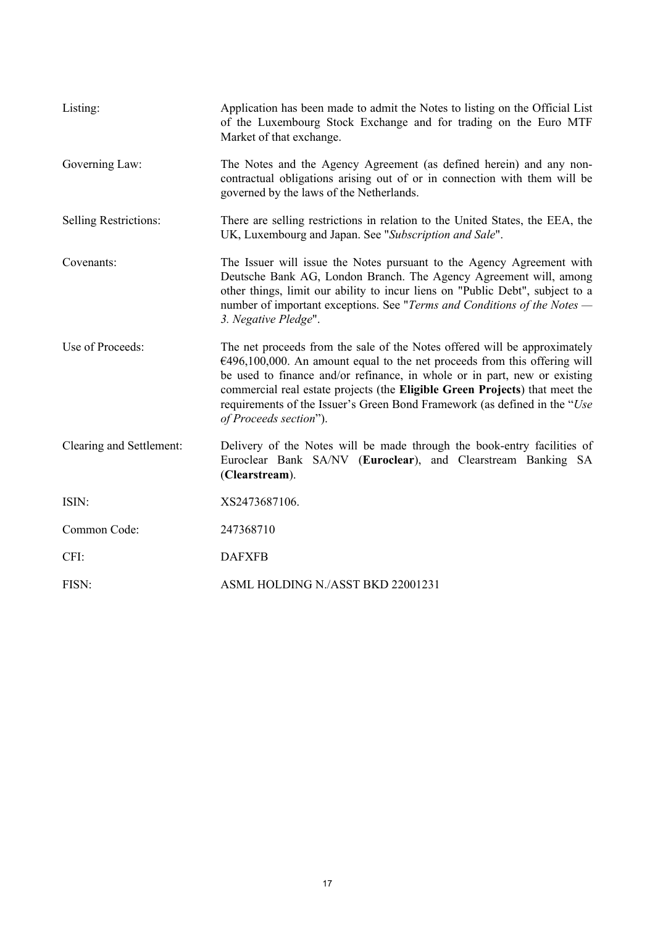| Listing:                     | Application has been made to admit the Notes to listing on the Official List<br>of the Luxembourg Stock Exchange and for trading on the Euro MTF<br>Market of that exchange.                                                                                                                                                                                                                                                  |
|------------------------------|-------------------------------------------------------------------------------------------------------------------------------------------------------------------------------------------------------------------------------------------------------------------------------------------------------------------------------------------------------------------------------------------------------------------------------|
| Governing Law:               | The Notes and the Agency Agreement (as defined herein) and any non-<br>contractual obligations arising out of or in connection with them will be<br>governed by the laws of the Netherlands.                                                                                                                                                                                                                                  |
| <b>Selling Restrictions:</b> | There are selling restrictions in relation to the United States, the EEA, the<br>UK, Luxembourg and Japan. See "Subscription and Sale".                                                                                                                                                                                                                                                                                       |
| Covenants:                   | The Issuer will issue the Notes pursuant to the Agency Agreement with<br>Deutsche Bank AG, London Branch. The Agency Agreement will, among<br>other things, limit our ability to incur liens on "Public Debt", subject to a<br>number of important exceptions. See "Terms and Conditions of the Notes -<br>3. Negative Pledge".                                                                                               |
| Use of Proceeds:             | The net proceeds from the sale of the Notes offered will be approximately<br>$€496,100,000$ . An amount equal to the net proceeds from this offering will<br>be used to finance and/or refinance, in whole or in part, new or existing<br>commercial real estate projects (the Eligible Green Projects) that meet the<br>requirements of the Issuer's Green Bond Framework (as defined in the "Use"<br>of Proceeds section"). |
| Clearing and Settlement:     | Delivery of the Notes will be made through the book-entry facilities of<br>Euroclear Bank SA/NV (Euroclear), and Clearstream Banking SA<br>(Clearstream).                                                                                                                                                                                                                                                                     |
| ISIN:                        | XS2473687106.                                                                                                                                                                                                                                                                                                                                                                                                                 |
| Common Code:                 | 247368710                                                                                                                                                                                                                                                                                                                                                                                                                     |
| CFI:                         | <b>DAFXFB</b>                                                                                                                                                                                                                                                                                                                                                                                                                 |
| FISN:                        | ASML HOLDING N./ASST BKD 22001231                                                                                                                                                                                                                                                                                                                                                                                             |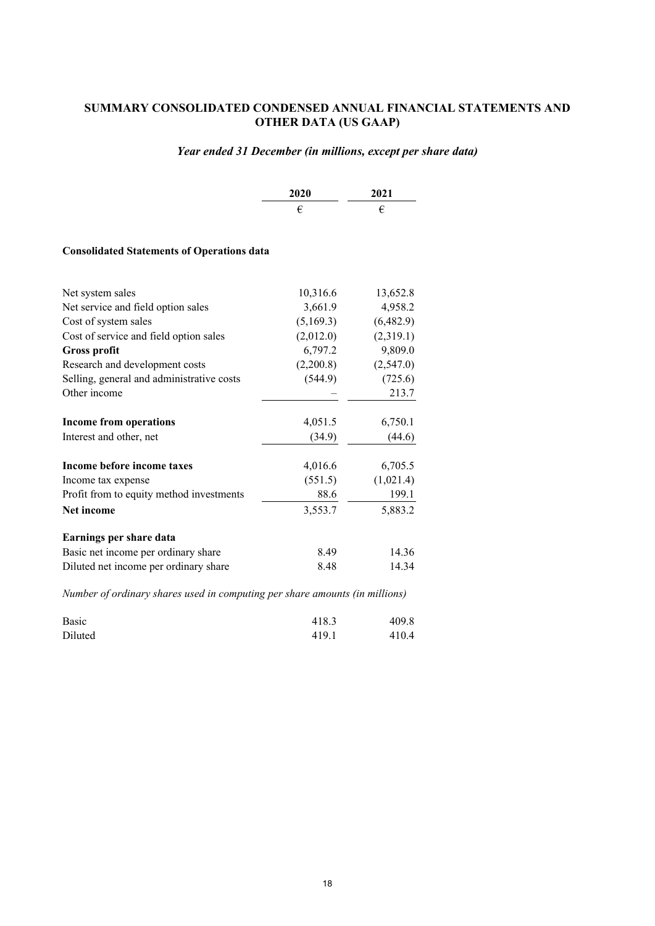# <span id="page-17-0"></span>**SUMMARY CONSOLIDATED CONDENSED ANNUAL FINANCIAL STATEMENTS AND OTHER DATA (US GAAP)**

# *Year ended 31 December (in millions, except per share data)*

| <b>2020</b> | 2021 |
|-------------|------|
|             |      |

#### **Consolidated Statements of Operations data**

| Net system sales                          | 10,316.6  | 13,652.8  |
|-------------------------------------------|-----------|-----------|
| Net service and field option sales        | 3,661.9   | 4,958.2   |
| Cost of system sales                      | (5,169.3) | (6,482.9) |
| Cost of service and field option sales    | (2,012.0) | (2,319.1) |
| <b>Gross profit</b>                       | 6,797.2   | 9,809.0   |
| Research and development costs            | (2,200.8) | (2,547.0) |
| Selling, general and administrative costs | (544.9)   | (725.6)   |
| Other income                              |           | 213.7     |
| <b>Income from operations</b>             | 4,051.5   | 6,750.1   |
| Interest and other, net                   | (34.9)    | (44.6)    |
| Income before income taxes                | 4,016.6   | 6,705.5   |
| Income tax expense                        | (551.5)   | (1,021.4) |
| Profit from to equity method investments  | 88.6      | 199.1     |
| <b>Net income</b>                         | 3,553.7   | 5,883.2   |
| Earnings per share data                   |           |           |
| Basic net income per ordinary share       | 8.49      | 14.36     |
| Diluted net income per ordinary share     | 8.48      | 14.34     |

*Number of ordinary shares used in computing per share amounts (in millions)*

| Basic   | 418.3 | 409.8 |
|---------|-------|-------|
| Diluted | 419.1 | 410.4 |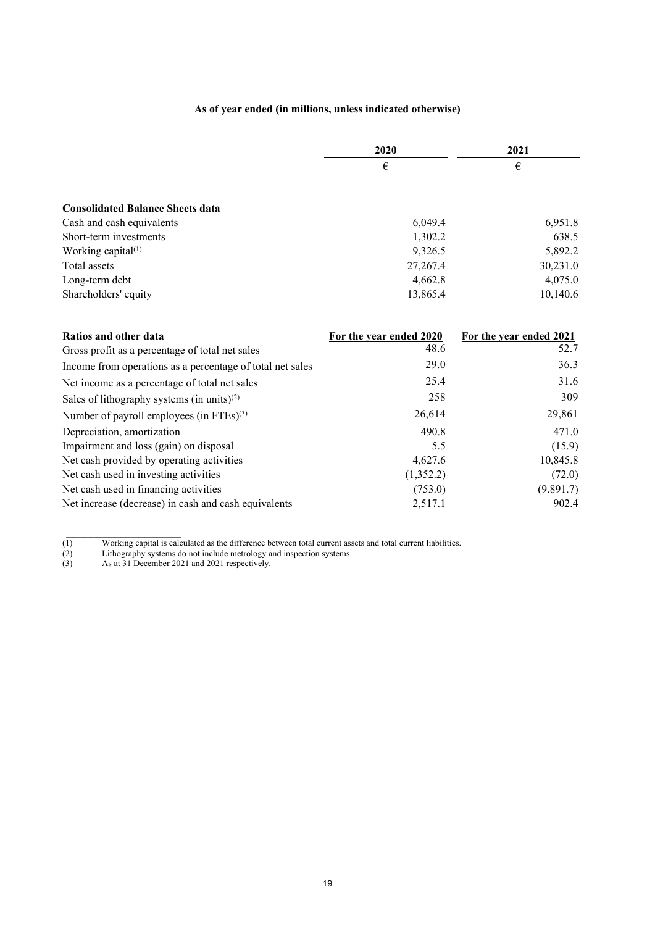# **As of year ended (in millions, unless indicated otherwise)**

|                                         | 2020     | 2021     |  |
|-----------------------------------------|----------|----------|--|
|                                         | €        | €        |  |
| <b>Consolidated Balance Sheets data</b> |          |          |  |
| Cash and cash equivalents               | 6,049.4  | 6,951.8  |  |
| Short-term investments                  | 1,302.2  | 638.5    |  |
| Working capital <sup>(1)</sup>          | 9,326.5  | 5,892.2  |  |
| Total assets                            | 27,267.4 | 30,231.0 |  |
| Long-term debt                          | 4,662.8  | 4,075.0  |  |
| Shareholders' equity                    | 13,865.4 | 10,140.6 |  |

| Ratios and other data                                     | For the year ended 2020 | For the year ended 2021 |
|-----------------------------------------------------------|-------------------------|-------------------------|
| Gross profit as a percentage of total net sales           | 48.6                    | 52.7                    |
| Income from operations as a percentage of total net sales | 29.0                    | 36.3                    |
| Net income as a percentage of total net sales             | 25.4                    | 31.6                    |
| Sales of lithography systems (in units) $(2)$             | 258                     | 309                     |
| Number of payroll employees (in FTEs) <sup>(3)</sup>      | 26,614                  | 29,861                  |
| Depreciation, amortization                                | 490.8                   | 471.0                   |
| Impairment and loss (gain) on disposal                    | 5.5                     | (15.9)                  |
| Net cash provided by operating activities                 | 4,627.6                 | 10,845.8                |
| Net cash used in investing activities                     | (1,352.2)               | (72.0)                  |
| Net cash used in financing activities                     | (753.0)                 | (9.891.7)               |
| Net increase (decrease) in cash and cash equivalents      | 2,517.1                 | 902.4                   |

<sup>(1)</sup> Working capital is calculated as the difference between total current assets and total current liabilities.

 $\mathcal{L}_\text{max}$ 

<sup>(2)</sup> Lithography systems do not include metrology and inspection systems.

<sup>(3)</sup> As at 31 December 2021 and 2021 respectively.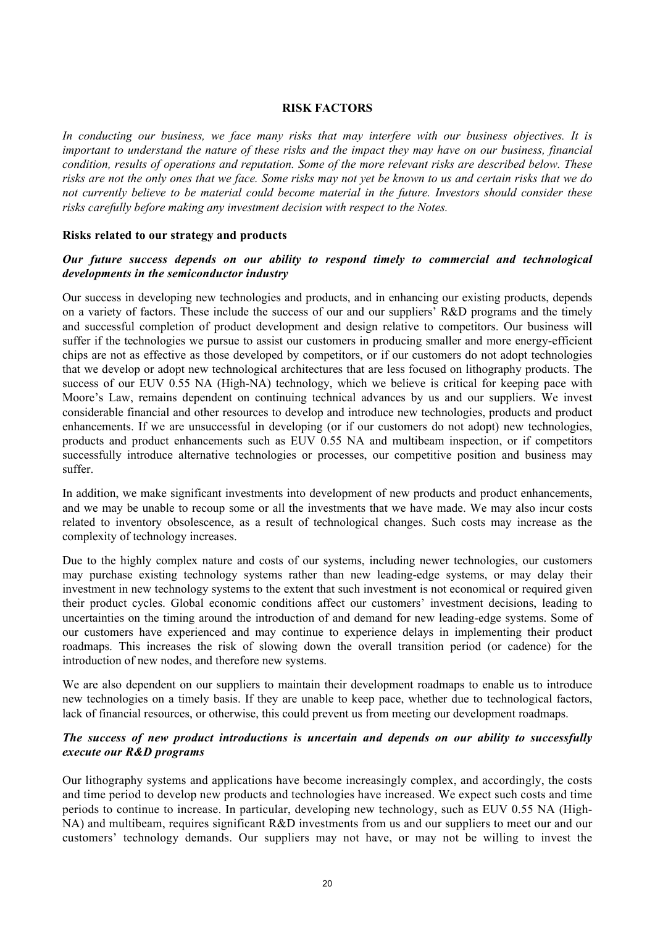#### <span id="page-19-0"></span>**RISK FACTORS**

*In conducting our business, we face many risks that may interfere with our business objectives. It is important to understand the nature of these risks and the impact they may have on our business, financial condition, results of operations and reputation. Some of the more relevant risks are described below. These risks are not the only ones that we face. Some risks may not yet be known to us and certain risks that we do not currently believe to be material could become material in the future. Investors should consider these risks carefully before making any investment decision with respect to the Notes.*

# **Risks related to our strategy and products**

# *Our future success depends on our ability to respond timely to commercial and technological developments in the semiconductor industry*

Our success in developing new technologies and products, and in enhancing our existing products, depends on a variety of factors. These include the success of our and our suppliers' R&D programs and the timely and successful completion of product development and design relative to competitors. Our business will suffer if the technologies we pursue to assist our customers in producing smaller and more energy-efficient chips are not as effective as those developed by competitors, or if our customers do not adopt technologies that we develop or adopt new technological architectures that are less focused on lithography products. The success of our EUV 0.55 NA (High-NA) technology, which we believe is critical for keeping pace with Moore's Law, remains dependent on continuing technical advances by us and our suppliers. We invest considerable financial and other resources to develop and introduce new technologies, products and product enhancements. If we are unsuccessful in developing (or if our customers do not adopt) new technologies, products and product enhancements such as EUV 0.55 NA and multibeam inspection, or if competitors successfully introduce alternative technologies or processes, our competitive position and business may suffer.

In addition, we make significant investments into development of new products and product enhancements, and we may be unable to recoup some or all the investments that we have made. We may also incur costs related to inventory obsolescence, as a result of technological changes. Such costs may increase as the complexity of technology increases.

Due to the highly complex nature and costs of our systems, including newer technologies, our customers may purchase existing technology systems rather than new leading-edge systems, or may delay their investment in new technology systems to the extent that such investment is not economical or required given their product cycles. Global economic conditions affect our customers' investment decisions, leading to uncertainties on the timing around the introduction of and demand for new leading-edge systems. Some of our customers have experienced and may continue to experience delays in implementing their product roadmaps. This increases the risk of slowing down the overall transition period (or cadence) for the introduction of new nodes, and therefore new systems.

We are also dependent on our suppliers to maintain their development roadmaps to enable us to introduce new technologies on a timely basis. If they are unable to keep pace, whether due to technological factors, lack of financial resources, or otherwise, this could prevent us from meeting our development roadmaps.

# *The success of new product introductions is uncertain and depends on our ability to successfully execute our R&D programs*

Our lithography systems and applications have become increasingly complex, and accordingly, the costs and time period to develop new products and technologies have increased. We expect such costs and time periods to continue to increase. In particular, developing new technology, such as EUV 0.55 NA (High-NA) and multibeam, requires significant R&D investments from us and our suppliers to meet our and our customers' technology demands. Our suppliers may not have, or may not be willing to invest the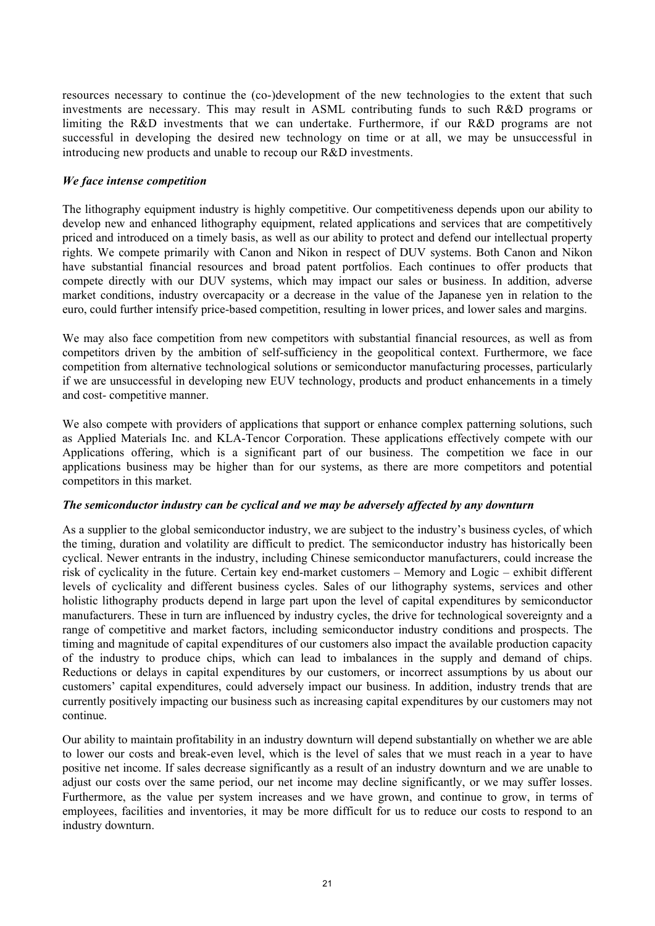resources necessary to continue the (co-)development of the new technologies to the extent that such investments are necessary. This may result in ASML contributing funds to such R&D programs or limiting the R&D investments that we can undertake. Furthermore, if our R&D programs are not successful in developing the desired new technology on time or at all, we may be unsuccessful in introducing new products and unable to recoup our R&D investments.

# *We face intense competition*

The lithography equipment industry is highly competitive. Our competitiveness depends upon our ability to develop new and enhanced lithography equipment, related applications and services that are competitively priced and introduced on a timely basis, as well as our ability to protect and defend our intellectual property rights. We compete primarily with Canon and Nikon in respect of DUV systems. Both Canon and Nikon have substantial financial resources and broad patent portfolios. Each continues to offer products that compete directly with our DUV systems, which may impact our sales or business. In addition, adverse market conditions, industry overcapacity or a decrease in the value of the Japanese yen in relation to the euro, could further intensify price-based competition, resulting in lower prices, and lower sales and margins.

We may also face competition from new competitors with substantial financial resources, as well as from competitors driven by the ambition of self-sufficiency in the geopolitical context. Furthermore, we face competition from alternative technological solutions or semiconductor manufacturing processes, particularly if we are unsuccessful in developing new EUV technology, products and product enhancements in a timely and cost- competitive manner.

We also compete with providers of applications that support or enhance complex patterning solutions, such as Applied Materials Inc. and KLA-Tencor Corporation. These applications effectively compete with our Applications offering, which is a significant part of our business. The competition we face in our applications business may be higher than for our systems, as there are more competitors and potential competitors in this market.

# *The semiconductor industry can be cyclical and we may be adversely affected by any downturn*

As a supplier to the global semiconductor industry, we are subject to the industry's business cycles, of which the timing, duration and volatility are difficult to predict. The semiconductor industry has historically been cyclical. Newer entrants in the industry, including Chinese semiconductor manufacturers, could increase the risk of cyclicality in the future. Certain key end-market customers – Memory and Logic – exhibit different levels of cyclicality and different business cycles. Sales of our lithography systems, services and other holistic lithography products depend in large part upon the level of capital expenditures by semiconductor manufacturers. These in turn are influenced by industry cycles, the drive for technological sovereignty and a range of competitive and market factors, including semiconductor industry conditions and prospects. The timing and magnitude of capital expenditures of our customers also impact the available production capacity of the industry to produce chips, which can lead to imbalances in the supply and demand of chips. Reductions or delays in capital expenditures by our customers, or incorrect assumptions by us about our customers' capital expenditures, could adversely impact our business. In addition, industry trends that are currently positively impacting our business such as increasing capital expenditures by our customers may not continue.

Our ability to maintain profitability in an industry downturn will depend substantially on whether we are able to lower our costs and break-even level, which is the level of sales that we must reach in a year to have positive net income. If sales decrease significantly as a result of an industry downturn and we are unable to adjust our costs over the same period, our net income may decline significantly, or we may suffer losses. Furthermore, as the value per system increases and we have grown, and continue to grow, in terms of employees, facilities and inventories, it may be more difficult for us to reduce our costs to respond to an industry downturn.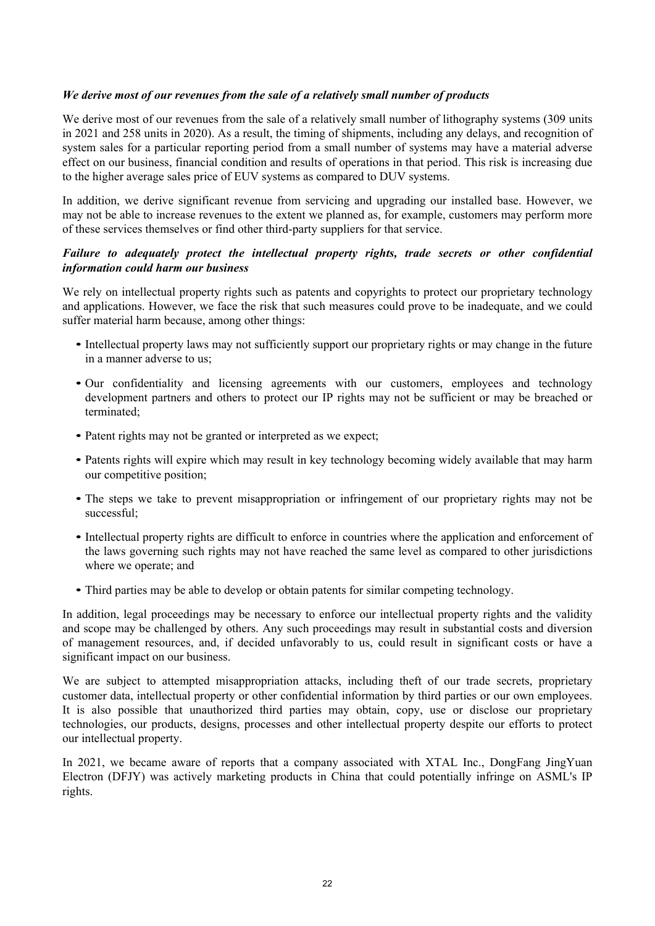# *We derive most of our revenues from the sale of a relatively small number of products*

We derive most of our revenues from the sale of a relatively small number of lithography systems (309 units in 2021 and 258 units in 2020). As a result, the timing of shipments, including any delays, and recognition of system sales for a particular reporting period from a small number of systems may have a material adverse effect on our business, financial condition and results of operations in that period. This risk is increasing due to the higher average sales price of EUV systems as compared to DUV systems.

In addition, we derive significant revenue from servicing and upgrading our installed base. However, we may not be able to increase revenues to the extent we planned as, for example, customers may perform more of these services themselves or find other third-party suppliers for that service.

# *Failure to adequately protect the intellectual property rights, trade secrets or other confidential information could harm our business*

We rely on intellectual property rights such as patents and copyrights to protect our proprietary technology and applications. However, we face the risk that such measures could prove to be inadequate, and we could suffer material harm because, among other things:

- Intellectual property laws may not sufficiently support our proprietary rights or may change in the future in a manner adverse to us;
- Our confidentiality and licensing agreements with our customers, employees and technology development partners and others to protect our IP rights may not be sufficient or may be breached or terminated;
- Patent rights may not be granted or interpreted as we expect;
- Patents rights will expire which may result in key technology becoming widely available that may harm our competitive position;
- The steps we take to prevent misappropriation or infringement of our proprietary rights may not be successful;
- Intellectual property rights are difficult to enforce in countries where the application and enforcement of the laws governing such rights may not have reached the same level as compared to other jurisdictions where we operate; and
- Third parties may be able to develop or obtain patents for similar competing technology.

In addition, legal proceedings may be necessary to enforce our intellectual property rights and the validity and scope may be challenged by others. Any such proceedings may result in substantial costs and diversion of management resources, and, if decided unfavorably to us, could result in significant costs or have a significant impact on our business.

We are subject to attempted misappropriation attacks, including theft of our trade secrets, proprietary customer data, intellectual property or other confidential information by third parties or our own employees. It is also possible that unauthorized third parties may obtain, copy, use or disclose our proprietary technologies, our products, designs, processes and other intellectual property despite our efforts to protect our intellectual property.

In 2021, we became aware of reports that a company associated with XTAL Inc., DongFang JingYuan Electron (DFJY) was actively marketing products in China that could potentially infringe on ASML's IP rights.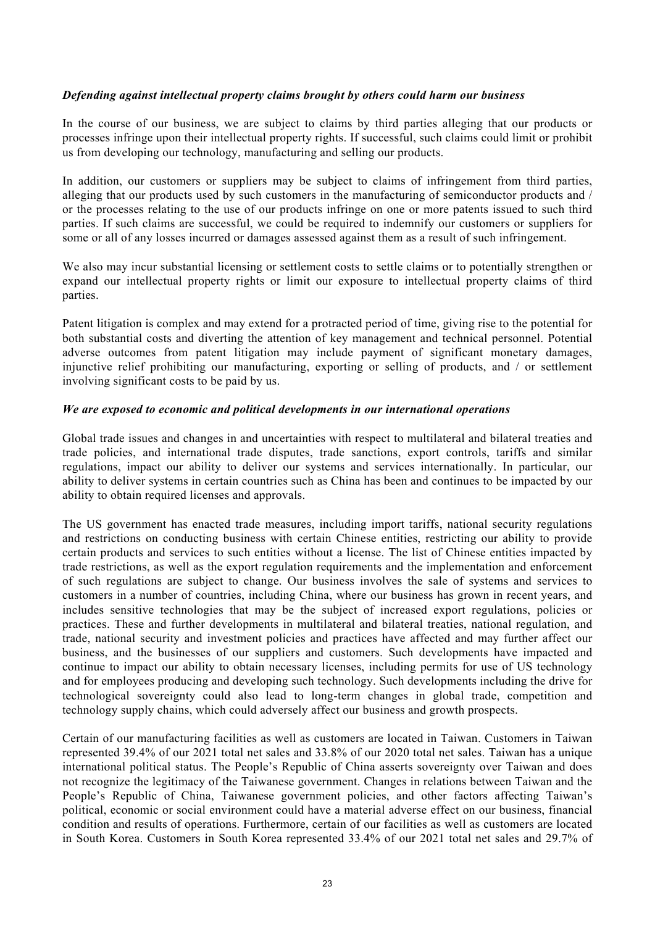# *Defending against intellectual property claims brought by others could harm our business*

In the course of our business, we are subject to claims by third parties alleging that our products or processes infringe upon their intellectual property rights. If successful, such claims could limit or prohibit us from developing our technology, manufacturing and selling our products.

In addition, our customers or suppliers may be subject to claims of infringement from third parties, alleging that our products used by such customers in the manufacturing of semiconductor products and / or the processes relating to the use of our products infringe on one or more patents issued to such third parties. If such claims are successful, we could be required to indemnify our customers or suppliers for some or all of any losses incurred or damages assessed against them as a result of such infringement.

We also may incur substantial licensing or settlement costs to settle claims or to potentially strengthen or expand our intellectual property rights or limit our exposure to intellectual property claims of third parties.

Patent litigation is complex and may extend for a protracted period of time, giving rise to the potential for both substantial costs and diverting the attention of key management and technical personnel. Potential adverse outcomes from patent litigation may include payment of significant monetary damages, injunctive relief prohibiting our manufacturing, exporting or selling of products, and / or settlement involving significant costs to be paid by us.

# *We are exposed to economic and political developments in our international operations*

Global trade issues and changes in and uncertainties with respect to multilateral and bilateral treaties and trade policies, and international trade disputes, trade sanctions, export controls, tariffs and similar regulations, impact our ability to deliver our systems and services internationally. In particular, our ability to deliver systems in certain countries such as China has been and continues to be impacted by our ability to obtain required licenses and approvals.

The US government has enacted trade measures, including import tariffs, national security regulations and restrictions on conducting business with certain Chinese entities, restricting our ability to provide certain products and services to such entities without a license. The list of Chinese entities impacted by trade restrictions, as well as the export regulation requirements and the implementation and enforcement of such regulations are subject to change. Our business involves the sale of systems and services to customers in a number of countries, including China, where our business has grown in recent years, and includes sensitive technologies that may be the subject of increased export regulations, policies or practices. These and further developments in multilateral and bilateral treaties, national regulation, and trade, national security and investment policies and practices have affected and may further affect our business, and the businesses of our suppliers and customers. Such developments have impacted and continue to impact our ability to obtain necessary licenses, including permits for use of US technology and for employees producing and developing such technology. Such developments including the drive for technological sovereignty could also lead to long-term changes in global trade, competition and technology supply chains, which could adversely affect our business and growth prospects.

Certain of our manufacturing facilities as well as customers are located in Taiwan. Customers in Taiwan represented 39.4% of our 2021 total net sales and 33.8% of our 2020 total net sales. Taiwan has a unique international political status. The People's Republic of China asserts sovereignty over Taiwan and does not recognize the legitimacy of the Taiwanese government. Changes in relations between Taiwan and the People's Republic of China, Taiwanese government policies, and other factors affecting Taiwan's political, economic or social environment could have a material adverse effect on our business, financial condition and results of operations. Furthermore, certain of our facilities as well as customers are located in South Korea. Customers in South Korea represented 33.4% of our 2021 total net sales and 29.7% of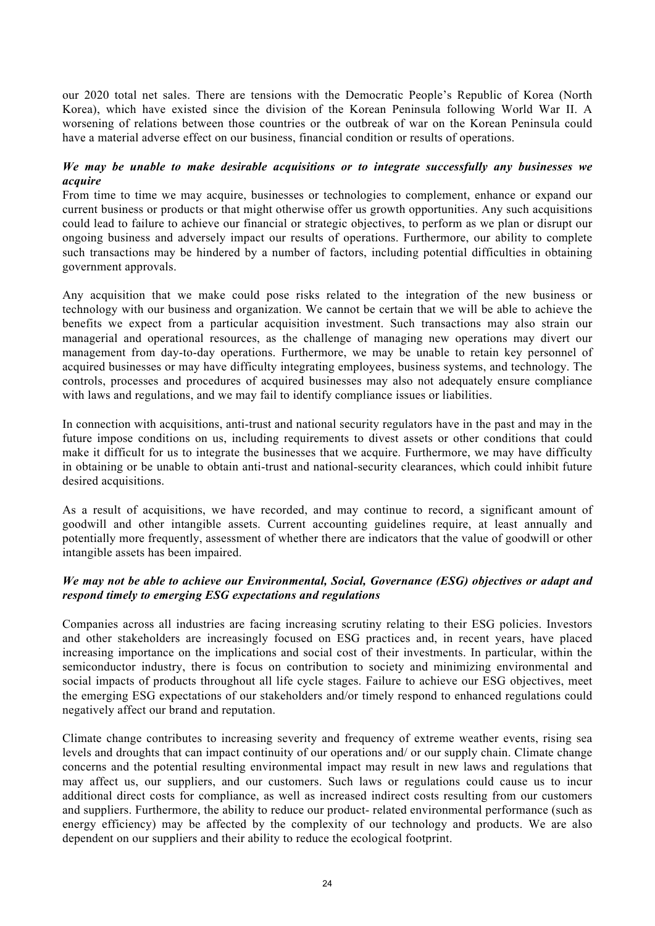our 2020 total net sales. There are tensions with the Democratic People's Republic of Korea (North Korea), which have existed since the division of the Korean Peninsula following World War II. A worsening of relations between those countries or the outbreak of war on the Korean Peninsula could have a material adverse effect on our business, financial condition or results of operations.

# *We may be unable to make desirable acquisitions or to integrate successfully any businesses we acquire*

From time to time we may acquire, businesses or technologies to complement, enhance or expand our current business or products or that might otherwise offer us growth opportunities. Any such acquisitions could lead to failure to achieve our financial or strategic objectives, to perform as we plan or disrupt our ongoing business and adversely impact our results of operations. Furthermore, our ability to complete such transactions may be hindered by a number of factors, including potential difficulties in obtaining government approvals.

Any acquisition that we make could pose risks related to the integration of the new business or technology with our business and organization. We cannot be certain that we will be able to achieve the benefits we expect from a particular acquisition investment. Such transactions may also strain our managerial and operational resources, as the challenge of managing new operations may divert our management from day-to-day operations. Furthermore, we may be unable to retain key personnel of acquired businesses or may have difficulty integrating employees, business systems, and technology. The controls, processes and procedures of acquired businesses may also not adequately ensure compliance with laws and regulations, and we may fail to identify compliance issues or liabilities.

In connection with acquisitions, anti-trust and national security regulators have in the past and may in the future impose conditions on us, including requirements to divest assets or other conditions that could make it difficult for us to integrate the businesses that we acquire. Furthermore, we may have difficulty in obtaining or be unable to obtain anti-trust and national-security clearances, which could inhibit future desired acquisitions.

As a result of acquisitions, we have recorded, and may continue to record, a significant amount of goodwill and other intangible assets. Current accounting guidelines require, at least annually and potentially more frequently, assessment of whether there are indicators that the value of goodwill or other intangible assets has been impaired.

# *We may not be able to achieve our Environmental, Social, Governance (ESG) objectives or adapt and respond timely to emerging ESG expectations and regulations*

Companies across all industries are facing increasing scrutiny relating to their ESG policies. Investors and other stakeholders are increasingly focused on ESG practices and, in recent years, have placed increasing importance on the implications and social cost of their investments. In particular, within the semiconductor industry, there is focus on contribution to society and minimizing environmental and social impacts of products throughout all life cycle stages. Failure to achieve our ESG objectives, meet the emerging ESG expectations of our stakeholders and/or timely respond to enhanced regulations could negatively affect our brand and reputation.

Climate change contributes to increasing severity and frequency of extreme weather events, rising sea levels and droughts that can impact continuity of our operations and/ or our supply chain. Climate change concerns and the potential resulting environmental impact may result in new laws and regulations that may affect us, our suppliers, and our customers. Such laws or regulations could cause us to incur additional direct costs for compliance, as well as increased indirect costs resulting from our customers and suppliers. Furthermore, the ability to reduce our product- related environmental performance (such as energy efficiency) may be affected by the complexity of our technology and products. We are also dependent on our suppliers and their ability to reduce the ecological footprint.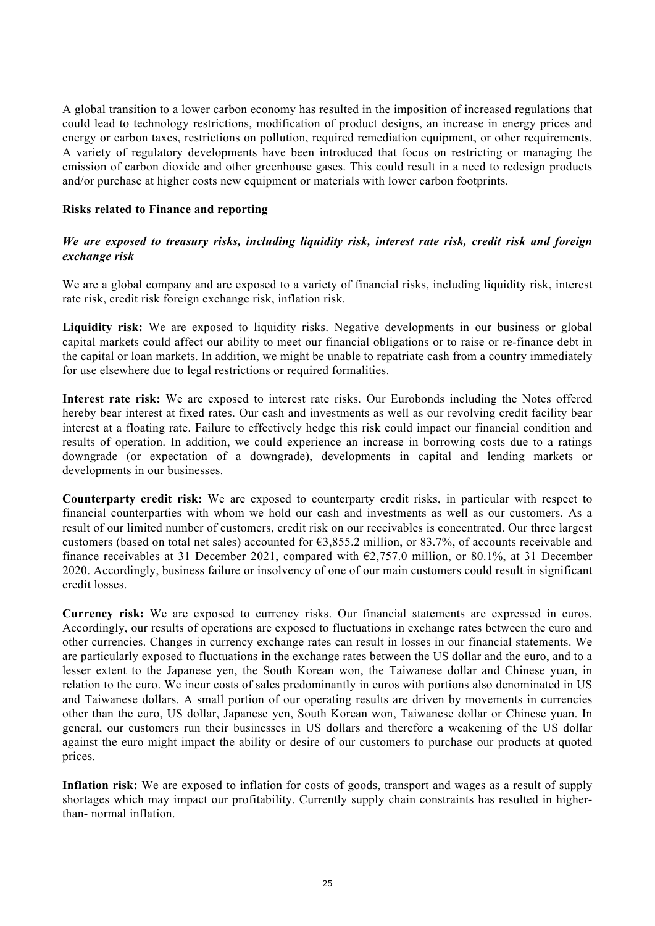A global transition to a lower carbon economy has resulted in the imposition of increased regulations that could lead to technology restrictions, modification of product designs, an increase in energy prices and energy or carbon taxes, restrictions on pollution, required remediation equipment, or other requirements. A variety of regulatory developments have been introduced that focus on restricting or managing the emission of carbon dioxide and other greenhouse gases. This could result in a need to redesign products and/or purchase at higher costs new equipment or materials with lower carbon footprints.

# **Risks related to Finance and reporting**

# *We are exposed to treasury risks, including liquidity risk, interest rate risk, credit risk and foreign exchange risk*

We are a global company and are exposed to a variety of financial risks, including liquidity risk, interest rate risk, credit risk foreign exchange risk, inflation risk.

**Liquidity risk:** We are exposed to liquidity risks. Negative developments in our business or global capital markets could affect our ability to meet our financial obligations or to raise or re‐finance debt in the capital or loan markets. In addition, we might be unable to repatriate cash from a country immediately for use elsewhere due to legal restrictions or required formalities.

**Interest rate risk:** We are exposed to interest rate risks. Our Eurobonds including the Notes offered hereby bear interest at fixed rates. Our cash and investments as well as our revolving credit facility bear interest at a floating rate. Failure to effectively hedge this risk could impact our financial condition and results of operation. In addition, we could experience an increase in borrowing costs due to a ratings downgrade (or expectation of a downgrade), developments in capital and lending markets or developments in our businesses.

**Counterparty credit risk:** We are exposed to counterparty credit risks, in particular with respect to financial counterparties with whom we hold our cash and investments as well as our customers. As a result of our limited number of customers, credit risk on our receivables is concentrated. Our three largest customers (based on total net sales) accounted for  $\epsilon$ 3,855.2 million, or 83.7%, of accounts receivable and finance receivables at 31 December 2021, compared with  $\epsilon$ 2,757.0 million, or 80.1%, at 31 December 2020. Accordingly, business failure or insolvency of one of our main customers could result in significant credit losses.

**Currency risk:** We are exposed to currency risks. Our financial statements are expressed in euros. Accordingly, our results of operations are exposed to fluctuations in exchange rates between the euro and other currencies. Changes in currency exchange rates can result in losses in our financial statements. We are particularly exposed to fluctuations in the exchange rates between the US dollar and the euro, and to a lesser extent to the Japanese yen, the South Korean won, the Taiwanese dollar and Chinese yuan, in relation to the euro. We incur costs of sales predominantly in euros with portions also denominated in US and Taiwanese dollars. A small portion of our operating results are driven by movements in currencies other than the euro, US dollar, Japanese yen, South Korean won, Taiwanese dollar or Chinese yuan. In general, our customers run their businesses in US dollars and therefore a weakening of the US dollar against the euro might impact the ability or desire of our customers to purchase our products at quoted prices.

**Inflation risk:** We are exposed to inflation for costs of goods, transport and wages as a result of supply shortages which may impact our profitability. Currently supply chain constraints has resulted in higherthan- normal inflation.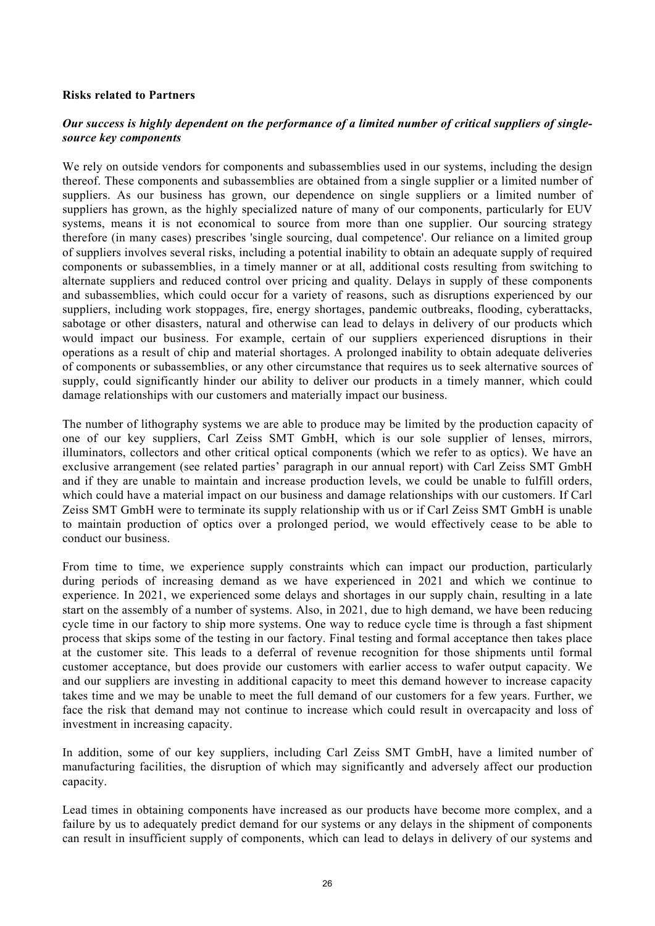# **Risks related to Partners**

# *Our success is highly dependent on the performance of a limited number of critical suppliers of singlesource key components*

We rely on outside vendors for components and subassemblies used in our systems, including the design thereof. These components and subassemblies are obtained from a single supplier or a limited number of suppliers. As our business has grown, our dependence on single suppliers or a limited number of suppliers has grown, as the highly specialized nature of many of our components, particularly for EUV systems, means it is not economical to source from more than one supplier. Our sourcing strategy therefore (in many cases) prescribes 'single sourcing, dual competence'. Our reliance on a limited group of suppliers involves several risks, including a potential inability to obtain an adequate supply of required components or subassemblies, in a timely manner or at all, additional costs resulting from switching to alternate suppliers and reduced control over pricing and quality. Delays in supply of these components and subassemblies, which could occur for a variety of reasons, such as disruptions experienced by our suppliers, including work stoppages, fire, energy shortages, pandemic outbreaks, flooding, cyberattacks, sabotage or other disasters, natural and otherwise can lead to delays in delivery of our products which would impact our business. For example, certain of our suppliers experienced disruptions in their operations as a result of chip and material shortages. A prolonged inability to obtain adequate deliveries of components or subassemblies, or any other circumstance that requires us to seek alternative sources of supply, could significantly hinder our ability to deliver our products in a timely manner, which could damage relationships with our customers and materially impact our business.

The number of lithography systems we are able to produce may be limited by the production capacity of one of our key suppliers, Carl Zeiss SMT GmbH, which is our sole supplier of lenses, mirrors, illuminators, collectors and other critical optical components (which we refer to as optics). We have an exclusive arrangement (see related parties' paragraph in our annual report) with Carl Zeiss SMT GmbH and if they are unable to maintain and increase production levels, we could be unable to fulfill orders, which could have a material impact on our business and damage relationships with our customers. If Carl Zeiss SMT GmbH were to terminate its supply relationship with us or if Carl Zeiss SMT GmbH is unable to maintain production of optics over a prolonged period, we would effectively cease to be able to conduct our business.

From time to time, we experience supply constraints which can impact our production, particularly during periods of increasing demand as we have experienced in 2021 and which we continue to experience. In 2021, we experienced some delays and shortages in our supply chain, resulting in a late start on the assembly of a number of systems. Also, in 2021, due to high demand, we have been reducing cycle time in our factory to ship more systems. One way to reduce cycle time is through a fast shipment process that skips some of the testing in our factory. Final testing and formal acceptance then takes place at the customer site. This leads to a deferral of revenue recognition for those shipments until formal customer acceptance, but does provide our customers with earlier access to wafer output capacity. We and our suppliers are investing in additional capacity to meet this demand however to increase capacity takes time and we may be unable to meet the full demand of our customers for a few years. Further, we face the risk that demand may not continue to increase which could result in overcapacity and loss of investment in increasing capacity.

In addition, some of our key suppliers, including Carl Zeiss SMT GmbH, have a limited number of manufacturing facilities, the disruption of which may significantly and adversely affect our production capacity.

Lead times in obtaining components have increased as our products have become more complex, and a failure by us to adequately predict demand for our systems or any delays in the shipment of components can result in insufficient supply of components, which can lead to delays in delivery of our systems and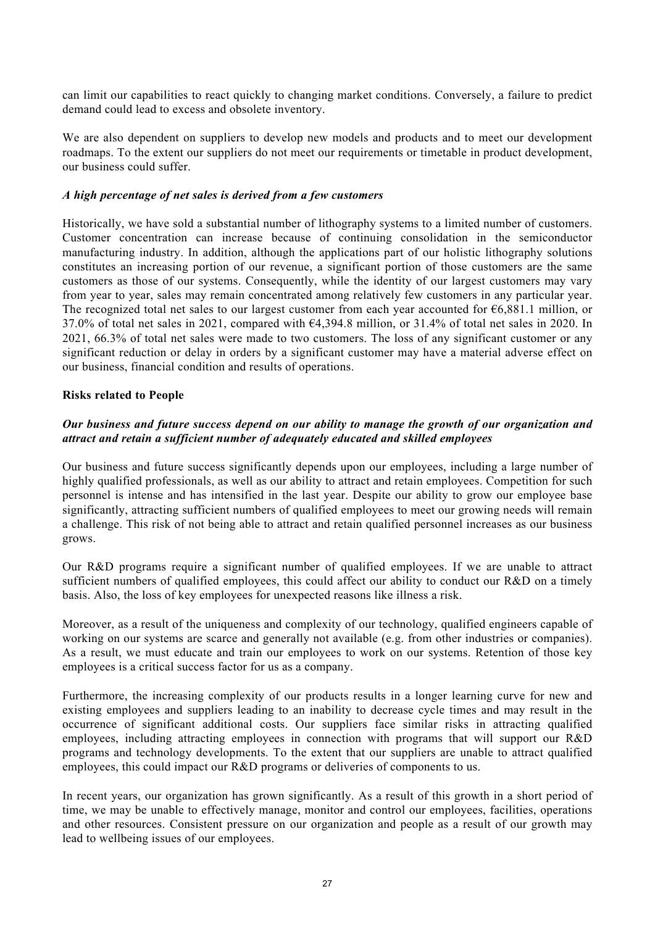can limit our capabilities to react quickly to changing market conditions. Conversely, a failure to predict demand could lead to excess and obsolete inventory.

We are also dependent on suppliers to develop new models and products and to meet our development roadmaps. To the extent our suppliers do not meet our requirements or timetable in product development, our business could suffer.

#### *A high percentage of net sales is derived from a few customers*

Historically, we have sold a substantial number of lithography systems to a limited number of customers. Customer concentration can increase because of continuing consolidation in the semiconductor manufacturing industry. In addition, although the applications part of our holistic lithography solutions constitutes an increasing portion of our revenue, a significant portion of those customers are the same customers as those of our systems. Consequently, while the identity of our largest customers may vary from year to year, sales may remain concentrated among relatively few customers in any particular year. The recognized total net sales to our largest customer from each year accounted for €6,881.1 million, or 37.0% of total net sales in 2021, compared with €4,394.8 million, or 31.4% of total net sales in 2020. In 2021, 66.3% of total net sales were made to two customers. The loss of any significant customer or any significant reduction or delay in orders by a significant customer may have a material adverse effect on our business, financial condition and results of operations.

#### **Risks related to People**

# *Our business and future success depend on our ability to manage the growth of our organization and attract and retain a sufficient number of adequately educated and skilled employees*

Our business and future success significantly depends upon our employees, including a large number of highly qualified professionals, as well as our ability to attract and retain employees. Competition for such personnel is intense and has intensified in the last year. Despite our ability to grow our employee base significantly, attracting sufficient numbers of qualified employees to meet our growing needs will remain a challenge. This risk of not being able to attract and retain qualified personnel increases as our business grows.

Our R&D programs require a significant number of qualified employees. If we are unable to attract sufficient numbers of qualified employees, this could affect our ability to conduct our R&D on a timely basis. Also, the loss of key employees for unexpected reasons like illness a risk.

Moreover, as a result of the uniqueness and complexity of our technology, qualified engineers capable of working on our systems are scarce and generally not available (e.g. from other industries or companies). As a result, we must educate and train our employees to work on our systems. Retention of those key employees is a critical success factor for us as a company.

Furthermore, the increasing complexity of our products results in a longer learning curve for new and existing employees and suppliers leading to an inability to decrease cycle times and may result in the occurrence of significant additional costs. Our suppliers face similar risks in attracting qualified employees, including attracting employees in connection with programs that will support our R&D programs and technology developments. To the extent that our suppliers are unable to attract qualified employees, this could impact our R&D programs or deliveries of components to us.

In recent years, our organization has grown significantly. As a result of this growth in a short period of time, we may be unable to effectively manage, monitor and control our employees, facilities, operations and other resources. Consistent pressure on our organization and people as a result of our growth may lead to wellbeing issues of our employees.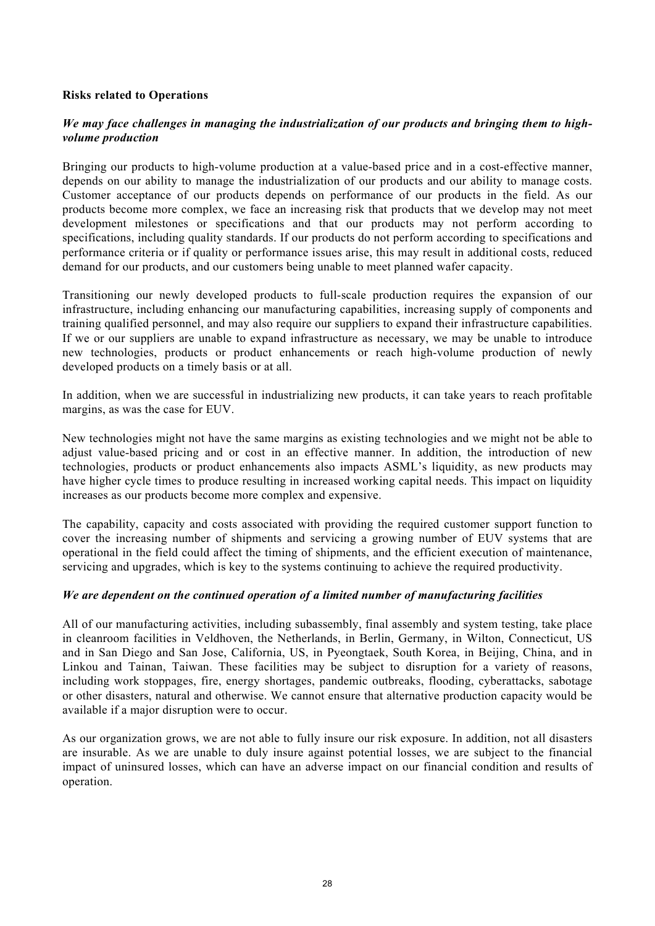# **Risks related to Operations**

# *We may face challenges in managing the industrialization of our products and bringing them to highvolume production*

Bringing our products to high-volume production at a value-based price and in a cost-effective manner, depends on our ability to manage the industrialization of our products and our ability to manage costs. Customer acceptance of our products depends on performance of our products in the field. As our products become more complex, we face an increasing risk that products that we develop may not meet development milestones or specifications and that our products may not perform according to specifications, including quality standards. If our products do not perform according to specifications and performance criteria or if quality or performance issues arise, this may result in additional costs, reduced demand for our products, and our customers being unable to meet planned wafer capacity.

Transitioning our newly developed products to full-scale production requires the expansion of our infrastructure, including enhancing our manufacturing capabilities, increasing supply of components and training qualified personnel, and may also require our suppliers to expand their infrastructure capabilities. If we or our suppliers are unable to expand infrastructure as necessary, we may be unable to introduce new technologies, products or product enhancements or reach high-volume production of newly developed products on a timely basis or at all.

In addition, when we are successful in industrializing new products, it can take years to reach profitable margins, as was the case for EUV.

New technologies might not have the same margins as existing technologies and we might not be able to adjust value-based pricing and or cost in an effective manner. In addition, the introduction of new technologies, products or product enhancements also impacts ASML's liquidity, as new products may have higher cycle times to produce resulting in increased working capital needs. This impact on liquidity increases as our products become more complex and expensive.

The capability, capacity and costs associated with providing the required customer support function to cover the increasing number of shipments and servicing a growing number of EUV systems that are operational in the field could affect the timing of shipments, and the efficient execution of maintenance, servicing and upgrades, which is key to the systems continuing to achieve the required productivity.

# *We are dependent on the continued operation of a limited number of manufacturing facilities*

All of our manufacturing activities, including subassembly, final assembly and system testing, take place in cleanroom facilities in Veldhoven, the Netherlands, in Berlin, Germany, in Wilton, Connecticut, US and in San Diego and San Jose, California, US, in Pyeongtaek, South Korea, in Beijing, China, and in Linkou and Tainan, Taiwan. These facilities may be subject to disruption for a variety of reasons, including work stoppages, fire, energy shortages, pandemic outbreaks, flooding, cyberattacks, sabotage or other disasters, natural and otherwise. We cannot ensure that alternative production capacity would be available if a major disruption were to occur.

As our organization grows, we are not able to fully insure our risk exposure. In addition, not all disasters are insurable. As we are unable to duly insure against potential losses, we are subject to the financial impact of uninsured losses, which can have an adverse impact on our financial condition and results of operation.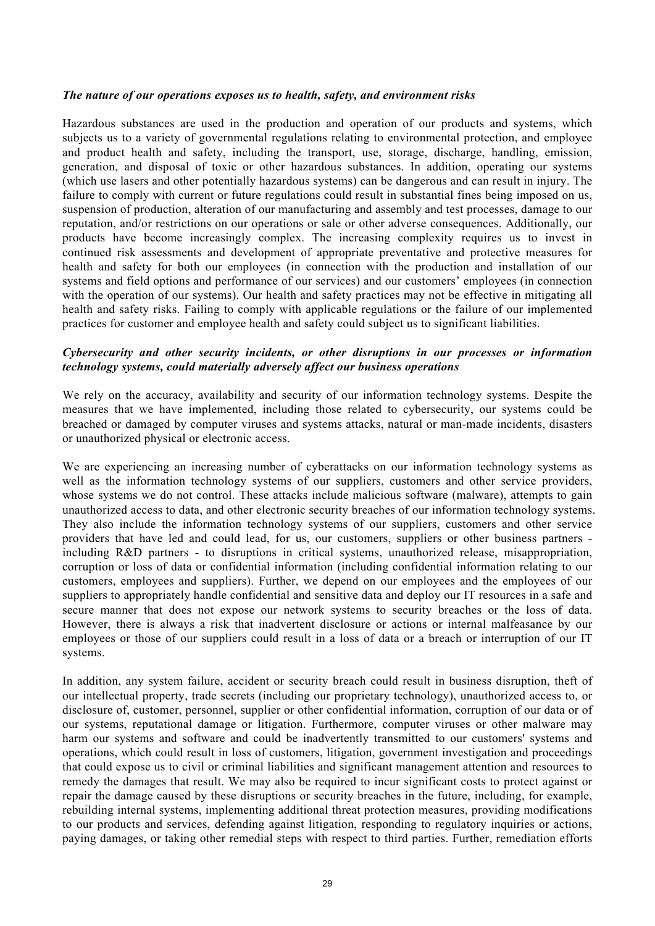#### *The nature of our operations exposes us to health, safety, and environment risks*

Hazardous substances are used in the production and operation of our products and systems, which subjects us to a variety of governmental regulations relating to environmental protection, and employee and product health and safety, including the transport, use, storage, discharge, handling, emission, generation, and disposal of toxic or other hazardous substances. In addition, operating our systems (which use lasers and other potentially hazardous systems) can be dangerous and can result in injury. The failure to comply with current or future regulations could result in substantial fines being imposed on us, suspension of production, alteration of our manufacturing and assembly and test processes, damage to our reputation, and/or restrictions on our operations or sale or other adverse consequences. Additionally, our products have become increasingly complex. The increasing complexity requires us to invest in continued risk assessments and development of appropriate preventative and protective measures for health and safety for both our employees (in connection with the production and installation of our systems and field options and performance of our services) and our customers' employees (in connection with the operation of our systems). Our health and safety practices may not be effective in mitigating all health and safety risks. Failing to comply with applicable regulations or the failure of our implemented practices for customer and employee health and safety could subject us to significant liabilities.

# *Cybersecurity and other security incidents, or other disruptions in our processes or information technology systems, could materially adversely affect our business operations*

We rely on the accuracy, availability and security of our information technology systems. Despite the measures that we have implemented, including those related to cybersecurity, our systems could be breached or damaged by computer viruses and systems attacks, natural or man-made incidents, disasters or unauthorized physical or electronic access.

We are experiencing an increasing number of cyberattacks on our information technology systems as well as the information technology systems of our suppliers, customers and other service providers, whose systems we do not control. These attacks include malicious software (malware), attempts to gain unauthorized access to data, and other electronic security breaches of our information technology systems. They also include the information technology systems of our suppliers, customers and other service providers that have led and could lead, for us, our customers, suppliers or other business partners including R&D partners - to disruptions in critical systems, unauthorized release, misappropriation, corruption or loss of data or confidential information (including confidential information relating to our customers, employees and suppliers). Further, we depend on our employees and the employees of our suppliers to appropriately handle confidential and sensitive data and deploy our IT resources in a safe and secure manner that does not expose our network systems to security breaches or the loss of data. However, there is always a risk that inadvertent disclosure or actions or internal malfeasance by our employees or those of our suppliers could result in a loss of data or a breach or interruption of our IT systems.

In addition, any system failure, accident or security breach could result in business disruption, theft of our intellectual property, trade secrets (including our proprietary technology), unauthorized access to, or disclosure of, customer, personnel, supplier or other confidential information, corruption of our data or of our systems, reputational damage or litigation. Furthermore, computer viruses or other malware may harm our systems and software and could be inadvertently transmitted to our customers' systems and operations, which could result in loss of customers, litigation, government investigation and proceedings that could expose us to civil or criminal liabilities and significant management attention and resources to remedy the damages that result. We may also be required to incur significant costs to protect against or repair the damage caused by these disruptions or security breaches in the future, including, for example, rebuilding internal systems, implementing additional threat protection measures, providing modifications to our products and services, defending against litigation, responding to regulatory inquiries or actions, paying damages, or taking other remedial steps with respect to third parties. Further, remediation efforts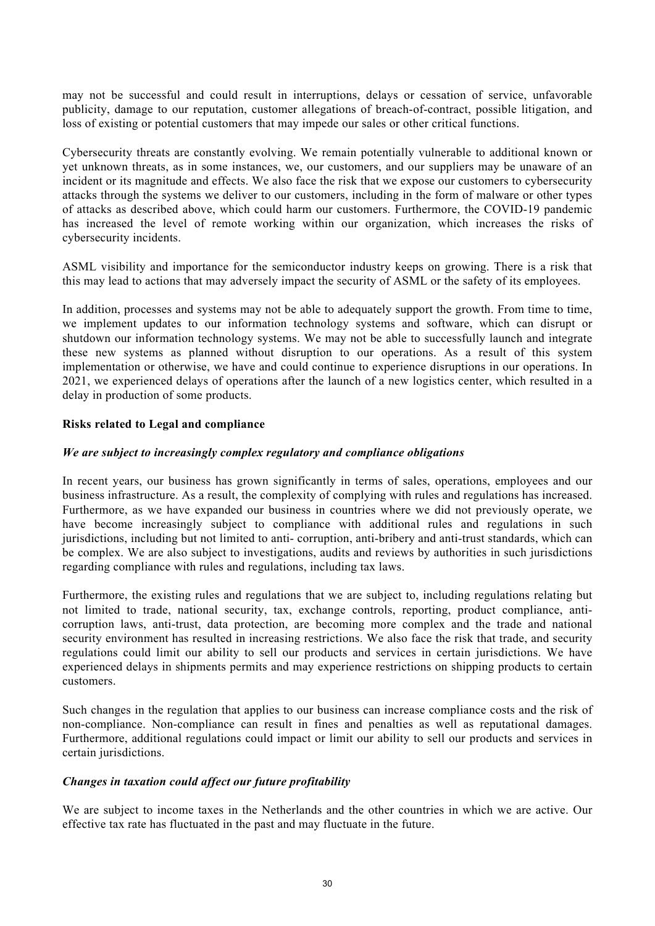may not be successful and could result in interruptions, delays or cessation of service, unfavorable publicity, damage to our reputation, customer allegations of breach-of-contract, possible litigation, and loss of existing or potential customers that may impede our sales or other critical functions.

Cybersecurity threats are constantly evolving. We remain potentially vulnerable to additional known or yet unknown threats, as in some instances, we, our customers, and our suppliers may be unaware of an incident or its magnitude and effects. We also face the risk that we expose our customers to cybersecurity attacks through the systems we deliver to our customers, including in the form of malware or other types of attacks as described above, which could harm our customers. Furthermore, the COVID-19 pandemic has increased the level of remote working within our organization, which increases the risks of cybersecurity incidents.

ASML visibility and importance for the semiconductor industry keeps on growing. There is a risk that this may lead to actions that may adversely impact the security of ASML or the safety of its employees.

In addition, processes and systems may not be able to adequately support the growth. From time to time, we implement updates to our information technology systems and software, which can disrupt or shutdown our information technology systems. We may not be able to successfully launch and integrate these new systems as planned without disruption to our operations. As a result of this system implementation or otherwise, we have and could continue to experience disruptions in our operations. In 2021, we experienced delays of operations after the launch of a new logistics center, which resulted in a delay in production of some products.

# **Risks related to Legal and compliance**

# *We are subject to increasingly complex regulatory and compliance obligations*

In recent years, our business has grown significantly in terms of sales, operations, employees and our business infrastructure. As a result, the complexity of complying with rules and regulations has increased. Furthermore, as we have expanded our business in countries where we did not previously operate, we have become increasingly subject to compliance with additional rules and regulations in such jurisdictions, including but not limited to anti- corruption, anti-bribery and anti-trust standards, which can be complex. We are also subject to investigations, audits and reviews by authorities in such jurisdictions regarding compliance with rules and regulations, including tax laws.

Furthermore, the existing rules and regulations that we are subject to, including regulations relating but not limited to trade, national security, tax, exchange controls, reporting, product compliance, anticorruption laws, anti-trust, data protection, are becoming more complex and the trade and national security environment has resulted in increasing restrictions. We also face the risk that trade, and security regulations could limit our ability to sell our products and services in certain jurisdictions. We have experienced delays in shipments permits and may experience restrictions on shipping products to certain customers.

Such changes in the regulation that applies to our business can increase compliance costs and the risk of non-compliance. Non-compliance can result in fines and penalties as well as reputational damages. Furthermore, additional regulations could impact or limit our ability to sell our products and services in certain jurisdictions.

# *Changes in taxation could affect our future profitability*

We are subject to income taxes in the Netherlands and the other countries in which we are active. Our effective tax rate has fluctuated in the past and may fluctuate in the future.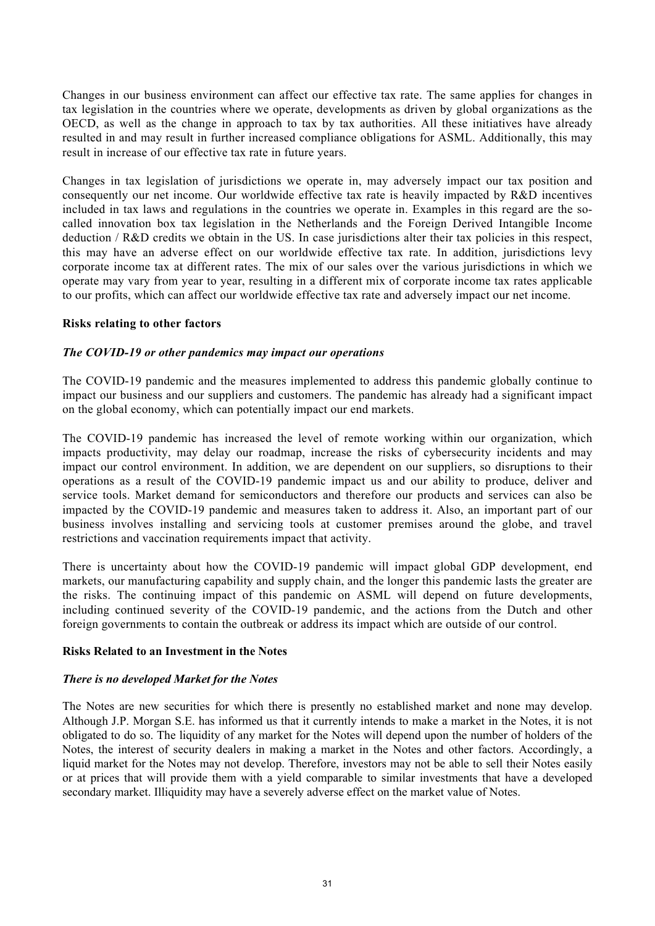Changes in our business environment can affect our effective tax rate. The same applies for changes in tax legislation in the countries where we operate, developments as driven by global organizations as the OECD, as well as the change in approach to tax by tax authorities. All these initiatives have already resulted in and may result in further increased compliance obligations for ASML. Additionally, this may result in increase of our effective tax rate in future years.

Changes in tax legislation of jurisdictions we operate in, may adversely impact our tax position and consequently our net income. Our worldwide effective tax rate is heavily impacted by R&D incentives included in tax laws and regulations in the countries we operate in. Examples in this regard are the socalled innovation box tax legislation in the Netherlands and the Foreign Derived Intangible Income deduction / R&D credits we obtain in the US. In case jurisdictions alter their tax policies in this respect, this may have an adverse effect on our worldwide effective tax rate. In addition, jurisdictions levy corporate income tax at different rates. The mix of our sales over the various jurisdictions in which we operate may vary from year to year, resulting in a different mix of corporate income tax rates applicable to our profits, which can affect our worldwide effective tax rate and adversely impact our net income.

# **Risks relating to other factors**

# *The COVID-19 or other pandemics may impact our operations*

The COVID-19 pandemic and the measures implemented to address this pandemic globally continue to impact our business and our suppliers and customers. The pandemic has already had a significant impact on the global economy, which can potentially impact our end markets.

The COVID-19 pandemic has increased the level of remote working within our organization, which impacts productivity, may delay our roadmap, increase the risks of cybersecurity incidents and may impact our control environment. In addition, we are dependent on our suppliers, so disruptions to their operations as a result of the COVID-19 pandemic impact us and our ability to produce, deliver and service tools. Market demand for semiconductors and therefore our products and services can also be impacted by the COVID-19 pandemic and measures taken to address it. Also, an important part of our business involves installing and servicing tools at customer premises around the globe, and travel restrictions and vaccination requirements impact that activity.

There is uncertainty about how the COVID-19 pandemic will impact global GDP development, end markets, our manufacturing capability and supply chain, and the longer this pandemic lasts the greater are the risks. The continuing impact of this pandemic on ASML will depend on future developments, including continued severity of the COVID-19 pandemic, and the actions from the Dutch and other foreign governments to contain the outbreak or address its impact which are outside of our control.

# **Risks Related to an Investment in the Notes**

# *There is no developed Market for the Notes*

The Notes are new securities for which there is presently no established market and none may develop. Although J.P. Morgan S.E. has informed us that it currently intends to make a market in the Notes, it is not obligated to do so. The liquidity of any market for the Notes will depend upon the number of holders of the Notes, the interest of security dealers in making a market in the Notes and other factors. Accordingly, a liquid market for the Notes may not develop. Therefore, investors may not be able to sell their Notes easily or at prices that will provide them with a yield comparable to similar investments that have a developed secondary market. Illiquidity may have a severely adverse effect on the market value of Notes.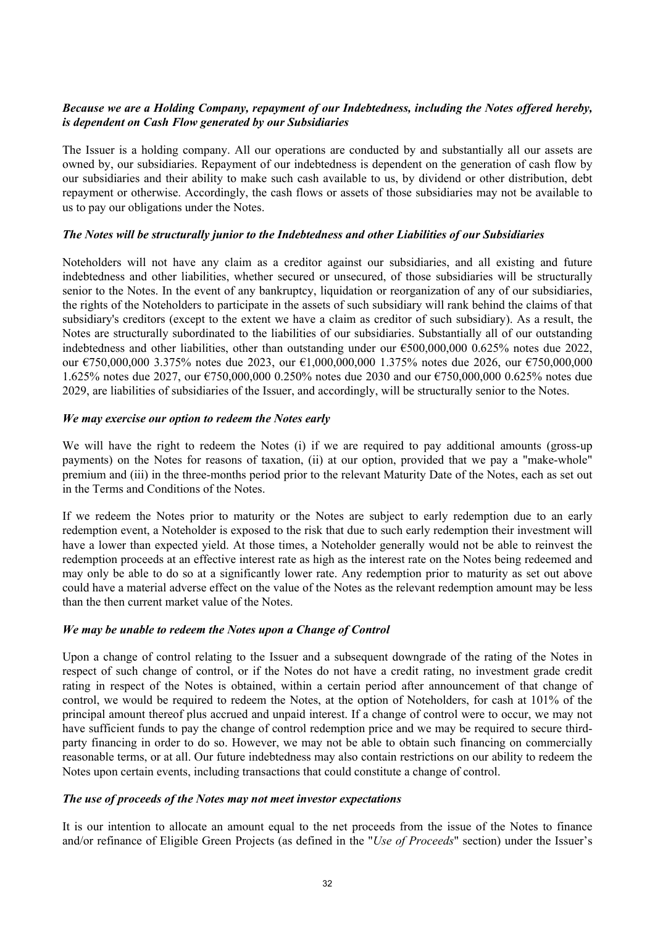# *Because we are a Holding Company, repayment of our Indebtedness, including the Notes offered hereby, is dependent on Cash Flow generated by our Subsidiaries*

The Issuer is a holding company. All our operations are conducted by and substantially all our assets are owned by, our subsidiaries. Repayment of our indebtedness is dependent on the generation of cash flow by our subsidiaries and their ability to make such cash available to us, by dividend or other distribution, debt repayment or otherwise. Accordingly, the cash flows or assets of those subsidiaries may not be available to us to pay our obligations under the Notes.

# *The Notes will be structurally junior to the Indebtedness and other Liabilities of our Subsidiaries*

Noteholders will not have any claim as a creditor against our subsidiaries, and all existing and future indebtedness and other liabilities, whether secured or unsecured, of those subsidiaries will be structurally senior to the Notes. In the event of any bankruptcy, liquidation or reorganization of any of our subsidiaries, the rights of the Noteholders to participate in the assets of such subsidiary will rank behind the claims of that subsidiary's creditors (except to the extent we have a claim as creditor of such subsidiary). As a result, the Notes are structurally subordinated to the liabilities of our subsidiaries. Substantially all of our outstanding indebtedness and other liabilities, other than outstanding under our  $\epsilon$ 500,000,000 0.625% notes due 2022, our €750,000,000 3.375% notes due 2023, our €1,000,000,000 1.375% notes due 2026, our €750,000,000 1.625% notes due 2027, our €750,000,000 0.250% notes due 2030 and our €750,000,000 0.625% notes due 2029, are liabilities of subsidiaries of the Issuer, and accordingly, will be structurally senior to the Notes.

# *We may exercise our option to redeem the Notes early*

We will have the right to redeem the Notes (i) if we are required to pay additional amounts (gross-up payments) on the Notes for reasons of taxation, (ii) at our option, provided that we pay a "make-whole" premium and (iii) in the three-months period prior to the relevant Maturity Date of the Notes, each as set out in the Terms and Conditions of the Notes.

If we redeem the Notes prior to maturity or the Notes are subject to early redemption due to an early redemption event, a Noteholder is exposed to the risk that due to such early redemption their investment will have a lower than expected yield. At those times, a Noteholder generally would not be able to reinvest the redemption proceeds at an effective interest rate as high as the interest rate on the Notes being redeemed and may only be able to do so at a significantly lower rate. Any redemption prior to maturity as set out above could have a material adverse effect on the value of the Notes as the relevant redemption amount may be less than the then current market value of the Notes.

# *We may be unable to redeem the Notes upon a Change of Control*

Upon a change of control relating to the Issuer and a subsequent downgrade of the rating of the Notes in respect of such change of control, or if the Notes do not have a credit rating, no investment grade credit rating in respect of the Notes is obtained, within a certain period after announcement of that change of control, we would be required to redeem the Notes, at the option of Noteholders, for cash at 101% of the principal amount thereof plus accrued and unpaid interest. If a change of control were to occur, we may not have sufficient funds to pay the change of control redemption price and we may be required to secure thirdparty financing in order to do so. However, we may not be able to obtain such financing on commercially reasonable terms, or at all. Our future indebtedness may also contain restrictions on our ability to redeem the Notes upon certain events, including transactions that could constitute a change of control.

# *The use of proceeds of the Notes may not meet investor expectations*

It is our intention to allocate an amount equal to the net proceeds from the issue of the Notes to finance and/or refinance of Eligible Green Projects (as defined in the "*Use of Proceeds*" section) under the Issuer's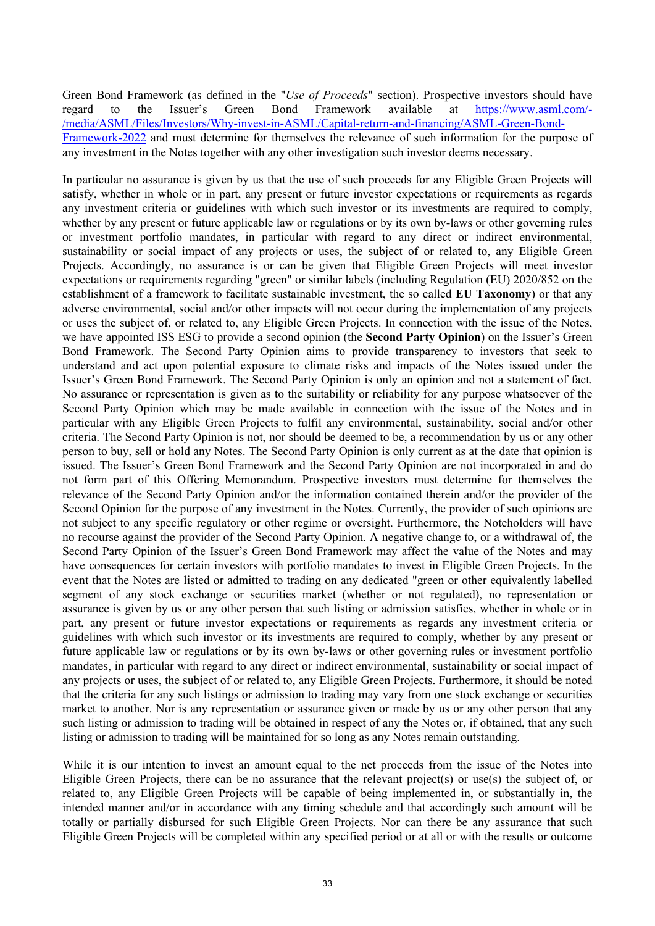Green Bond Framework (as defined in the "*Use of Proceeds*" section). Prospective investors should have regard to the Issuer's Green Bond Framework available at [https://www.asml.com/-](https://www.asml.com/-/media/ASML/Files/Investors/Why-invest-in-ASML/Capital-return-and-financing/ASML-Green-Bond-Framework-2022) [/media/ASML/Files/Investors/Why-invest-in-ASML/Capital-return-and-financing/ASML-Green-Bond-](https://www.asml.com/-/media/ASML/Files/Investors/Why-invest-in-ASML/Capital-return-and-financing/ASML-Green-Bond-Framework-2022)[Framework-2022](https://www.asml.com/-/media/ASML/Files/Investors/Why-invest-in-ASML/Capital-return-and-financing/ASML-Green-Bond-Framework-2022) and must determine for themselves the relevance of such information for the purpose of any investment in the Notes together with any other investigation such investor deems necessary.

In particular no assurance is given by us that the use of such proceeds for any Eligible Green Projects will satisfy, whether in whole or in part, any present or future investor expectations or requirements as regards any investment criteria or guidelines with which such investor or its investments are required to comply, whether by any present or future applicable law or regulations or by its own by-laws or other governing rules or investment portfolio mandates, in particular with regard to any direct or indirect environmental, sustainability or social impact of any projects or uses, the subject of or related to, any Eligible Green Projects. Accordingly, no assurance is or can be given that Eligible Green Projects will meet investor expectations or requirements regarding "green" or similar labels (including Regulation (EU) 2020/852 on the establishment of a framework to facilitate sustainable investment, the so called **EU Taxonomy**) or that any adverse environmental, social and/or other impacts will not occur during the implementation of any projects or uses the subject of, or related to, any Eligible Green Projects. In connection with the issue of the Notes, we have appointed ISS ESG to provide a second opinion (the **Second Party Opinion**) on the Issuer's Green Bond Framework. The Second Party Opinion aims to provide transparency to investors that seek to understand and act upon potential exposure to climate risks and impacts of the Notes issued under the Issuer's Green Bond Framework. The Second Party Opinion is only an opinion and not a statement of fact. No assurance or representation is given as to the suitability or reliability for any purpose whatsoever of the Second Party Opinion which may be made available in connection with the issue of the Notes and in particular with any Eligible Green Projects to fulfil any environmental, sustainability, social and/or other criteria. The Second Party Opinion is not, nor should be deemed to be, a recommendation by us or any other person to buy, sell or hold any Notes. The Second Party Opinion is only current as at the date that opinion is issued. The Issuer's Green Bond Framework and the Second Party Opinion are not incorporated in and do not form part of this Offering Memorandum. Prospective investors must determine for themselves the relevance of the Second Party Opinion and/or the information contained therein and/or the provider of the Second Opinion for the purpose of any investment in the Notes. Currently, the provider of such opinions are not subject to any specific regulatory or other regime or oversight. Furthermore, the Noteholders will have no recourse against the provider of the Second Party Opinion. A negative change to, or a withdrawal of, the Second Party Opinion of the Issuer's Green Bond Framework may affect the value of the Notes and may have consequences for certain investors with portfolio mandates to invest in Eligible Green Projects. In the event that the Notes are listed or admitted to trading on any dedicated "green or other equivalently labelled segment of any stock exchange or securities market (whether or not regulated), no representation or assurance is given by us or any other person that such listing or admission satisfies, whether in whole or in part, any present or future investor expectations or requirements as regards any investment criteria or guidelines with which such investor or its investments are required to comply, whether by any present or future applicable law or regulations or by its own by-laws or other governing rules or investment portfolio mandates, in particular with regard to any direct or indirect environmental, sustainability or social impact of any projects or uses, the subject of or related to, any Eligible Green Projects. Furthermore, it should be noted that the criteria for any such listings or admission to trading may vary from one stock exchange or securities market to another. Nor is any representation or assurance given or made by us or any other person that any such listing or admission to trading will be obtained in respect of any the Notes or, if obtained, that any such listing or admission to trading will be maintained for so long as any Notes remain outstanding.

While it is our intention to invest an amount equal to the net proceeds from the issue of the Notes into Eligible Green Projects, there can be no assurance that the relevant project(s) or use(s) the subject of, or related to, any Eligible Green Projects will be capable of being implemented in, or substantially in, the intended manner and/or in accordance with any timing schedule and that accordingly such amount will be totally or partially disbursed for such Eligible Green Projects. Nor can there be any assurance that such Eligible Green Projects will be completed within any specified period or at all or with the results or outcome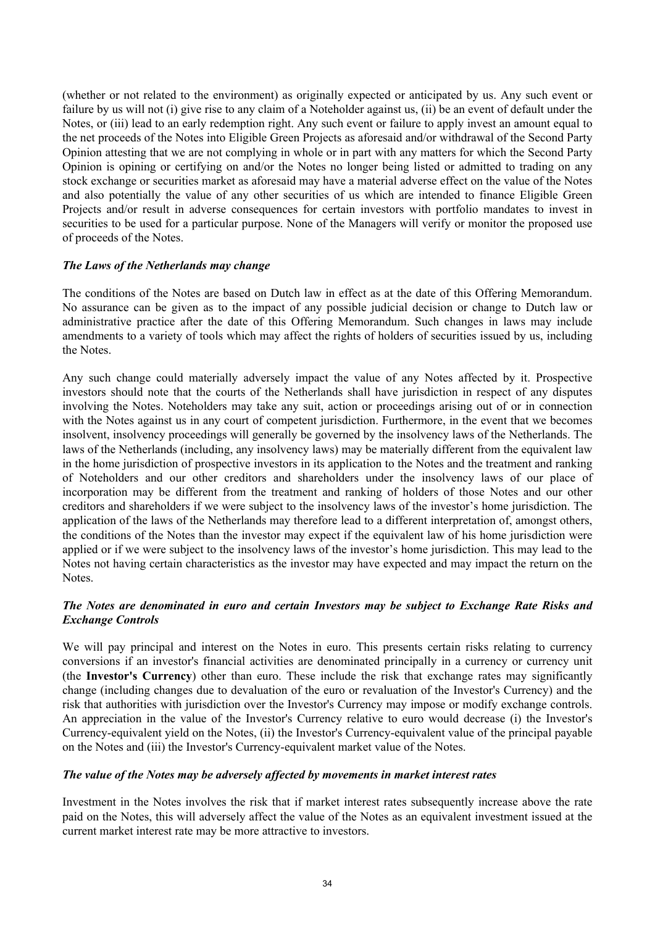(whether or not related to the environment) as originally expected or anticipated by us. Any such event or failure by us will not (i) give rise to any claim of a Noteholder against us, (ii) be an event of default under the Notes, or (iii) lead to an early redemption right. Any such event or failure to apply invest an amount equal to the net proceeds of the Notes into Eligible Green Projects as aforesaid and/or withdrawal of the Second Party Opinion attesting that we are not complying in whole or in part with any matters for which the Second Party Opinion is opining or certifying on and/or the Notes no longer being listed or admitted to trading on any stock exchange or securities market as aforesaid may have a material adverse effect on the value of the Notes and also potentially the value of any other securities of us which are intended to finance Eligible Green Projects and/or result in adverse consequences for certain investors with portfolio mandates to invest in securities to be used for a particular purpose. None of the Managers will verify or monitor the proposed use of proceeds of the Notes.

# *The Laws of the Netherlands may change*

The conditions of the Notes are based on Dutch law in effect as at the date of this Offering Memorandum. No assurance can be given as to the impact of any possible judicial decision or change to Dutch law or administrative practice after the date of this Offering Memorandum. Such changes in laws may include amendments to a variety of tools which may affect the rights of holders of securities issued by us, including the Notes.

Any such change could materially adversely impact the value of any Notes affected by it. Prospective investors should note that the courts of the Netherlands shall have jurisdiction in respect of any disputes involving the Notes. Noteholders may take any suit, action or proceedings arising out of or in connection with the Notes against us in any court of competent jurisdiction. Furthermore, in the event that we becomes insolvent, insolvency proceedings will generally be governed by the insolvency laws of the Netherlands. The laws of the Netherlands (including, any insolvency laws) may be materially different from the equivalent law in the home jurisdiction of prospective investors in its application to the Notes and the treatment and ranking of Noteholders and our other creditors and shareholders under the insolvency laws of our place of incorporation may be different from the treatment and ranking of holders of those Notes and our other creditors and shareholders if we were subject to the insolvency laws of the investor's home jurisdiction. The application of the laws of the Netherlands may therefore lead to a different interpretation of, amongst others, the conditions of the Notes than the investor may expect if the equivalent law of his home jurisdiction were applied or if we were subject to the insolvency laws of the investor's home jurisdiction. This may lead to the Notes not having certain characteristics as the investor may have expected and may impact the return on the Notes.

# *The Notes are denominated in euro and certain Investors may be subject to Exchange Rate Risks and Exchange Controls*

We will pay principal and interest on the Notes in euro. This presents certain risks relating to currency conversions if an investor's financial activities are denominated principally in a currency or currency unit (the **Investor's Currency**) other than euro. These include the risk that exchange rates may significantly change (including changes due to devaluation of the euro or revaluation of the Investor's Currency) and the risk that authorities with jurisdiction over the Investor's Currency may impose or modify exchange controls. An appreciation in the value of the Investor's Currency relative to euro would decrease (i) the Investor's Currency-equivalent yield on the Notes, (ii) the Investor's Currency-equivalent value of the principal payable on the Notes and (iii) the Investor's Currency-equivalent market value of the Notes.

# *The value of the Notes may be adversely affected by movements in market interest rates*

Investment in the Notes involves the risk that if market interest rates subsequently increase above the rate paid on the Notes, this will adversely affect the value of the Notes as an equivalent investment issued at the current market interest rate may be more attractive to investors.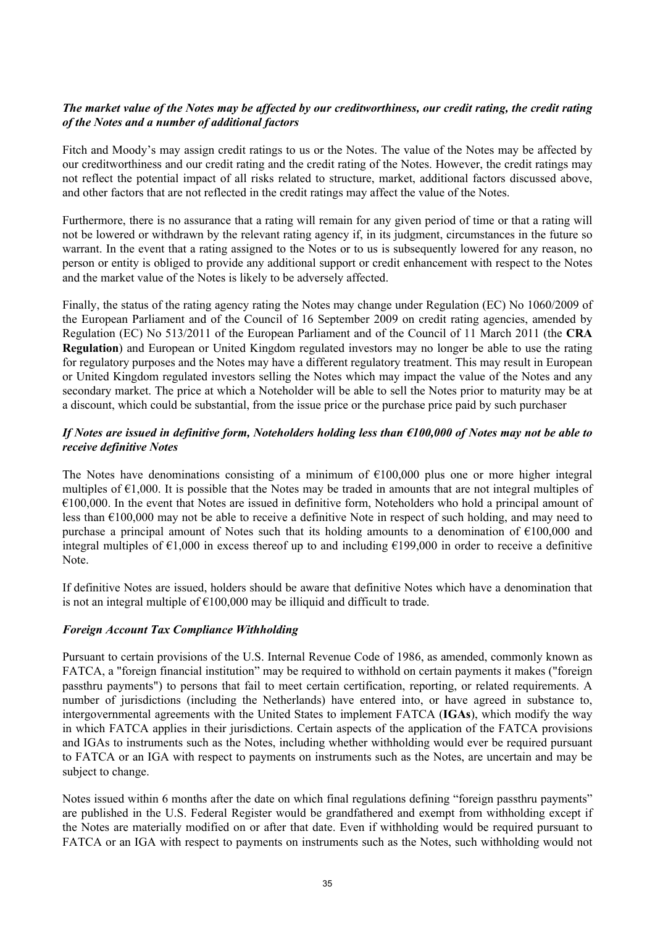# *The market value of the Notes may be affected by our creditworthiness, our credit rating, the credit rating of the Notes and a number of additional factors*

Fitch and Moody's may assign credit ratings to us or the Notes. The value of the Notes may be affected by our creditworthiness and our credit rating and the credit rating of the Notes. However, the credit ratings may not reflect the potential impact of all risks related to structure, market, additional factors discussed above, and other factors that are not reflected in the credit ratings may affect the value of the Notes.

Furthermore, there is no assurance that a rating will remain for any given period of time or that a rating will not be lowered or withdrawn by the relevant rating agency if, in its judgment, circumstances in the future so warrant. In the event that a rating assigned to the Notes or to us is subsequently lowered for any reason, no person or entity is obliged to provide any additional support or credit enhancement with respect to the Notes and the market value of the Notes is likely to be adversely affected.

Finally, the status of the rating agency rating the Notes may change under Regulation (EC) No 1060/2009 of the European Parliament and of the Council of 16 September 2009 on credit rating agencies, amended by Regulation (EC) No 513/2011 of the European Parliament and of the Council of 11 March 2011 (the **CRA Regulation**) and European or United Kingdom regulated investors may no longer be able to use the rating for regulatory purposes and the Notes may have a different regulatory treatment. This may result in European or United Kingdom regulated investors selling the Notes which may impact the value of the Notes and any secondary market. The price at which a Noteholder will be able to sell the Notes prior to maturity may be at a discount, which could be substantial, from the issue price or the purchase price paid by such purchaser

# *If Notes are issued in definitive form, Noteholders holding less than €100,000 of Notes may not be able to receive definitive Notes*

The Notes have denominations consisting of a minimum of  $\epsilon$ 100,000 plus one or more higher integral multiples of  $\epsilon$ 1,000. It is possible that the Notes may be traded in amounts that are not integral multiples of  $€100,000$ . In the event that Notes are issued in definitive form, Noteholders who hold a principal amount of less than €100,000 may not be able to receive a definitive Note in respect of such holding, and may need to purchase a principal amount of Notes such that its holding amounts to a denomination of €100,000 and integral multiples of  $\epsilon$ 1,000 in excess thereof up to and including  $\epsilon$ 199,000 in order to receive a definitive Note.

If definitive Notes are issued, holders should be aware that definitive Notes which have a denomination that is not an integral multiple of  $\epsilon$ 100,000 may be illiquid and difficult to trade.

# *Foreign Account Tax Compliance Withholding*

Pursuant to certain provisions of the U.S. Internal Revenue Code of 1986, as amended, commonly known as FATCA, a "foreign financial institution" may be required to withhold on certain payments it makes ("foreign passthru payments") to persons that fail to meet certain certification, reporting, or related requirements. A number of jurisdictions (including the Netherlands) have entered into, or have agreed in substance to, intergovernmental agreements with the United States to implement FATCA (**IGAs**), which modify the way in which FATCA applies in their jurisdictions. Certain aspects of the application of the FATCA provisions and IGAs to instruments such as the Notes, including whether withholding would ever be required pursuant to FATCA or an IGA with respect to payments on instruments such as the Notes, are uncertain and may be subject to change.

Notes issued within 6 months after the date on which final regulations defining "foreign passthru payments" are published in the U.S. Federal Register would be grandfathered and exempt from withholding except if the Notes are materially modified on or after that date. Even if withholding would be required pursuant to FATCA or an IGA with respect to payments on instruments such as the Notes, such withholding would not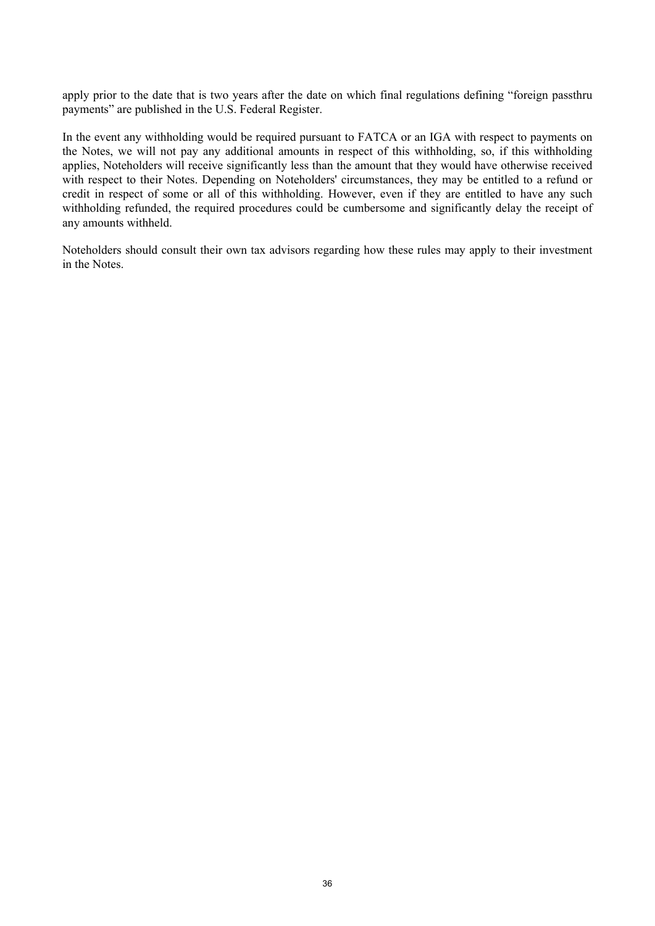apply prior to the date that is two years after the date on which final regulations defining "foreign passthru payments" are published in the U.S. Federal Register.

In the event any withholding would be required pursuant to FATCA or an IGA with respect to payments on the Notes, we will not pay any additional amounts in respect of this withholding, so, if this withholding applies, Noteholders will receive significantly less than the amount that they would have otherwise received with respect to their Notes. Depending on Noteholders' circumstances, they may be entitled to a refund or credit in respect of some or all of this withholding. However, even if they are entitled to have any such withholding refunded, the required procedures could be cumbersome and significantly delay the receipt of any amounts withheld.

Noteholders should consult their own tax advisors regarding how these rules may apply to their investment in the Notes.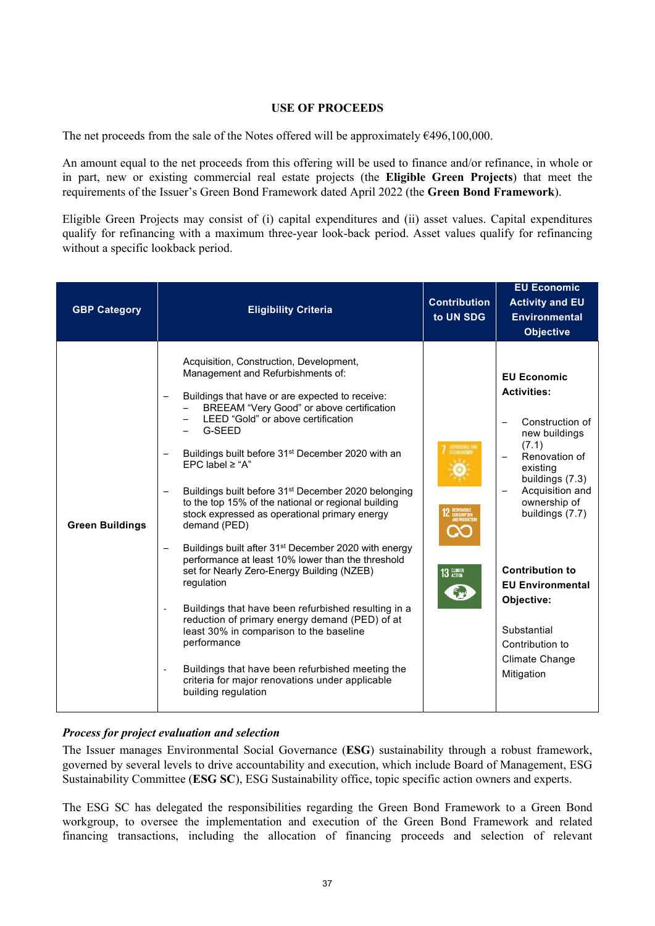# <span id="page-36-0"></span>**USE OF PROCEEDS**

The net proceeds from the sale of the Notes offered will be approximately  $\epsilon$ 496,100,000.

An amount equal to the net proceeds from this offering will be used to finance and/or refinance, in whole or in part, new or existing commercial real estate projects (the **Eligible Green Projects**) that meet the requirements of the Issuer's Green Bond Framework dated April 2022 (the **Green Bond Framework**).

Eligible Green Projects may consist of (i) capital expenditures and (ii) asset values. Capital expenditures qualify for refinancing with a maximum three-year look-back period. Asset values qualify for refinancing without a specific lookback period.

| <b>GBP Category</b>    | <b>Eligibility Criteria</b>                                                                                                                                                                                                                                                                                                                                                                                                                                                                                                                                                                                                                                                                                                                                                                                                                                                                                                                                                                                                                                   | <b>Contribution</b><br>to UN SDG | <b>EU Economic</b><br><b>Activity and EU</b><br><b>Environmental</b><br><b>Objective</b>                                                                                                                                                                                                                                                                            |
|------------------------|---------------------------------------------------------------------------------------------------------------------------------------------------------------------------------------------------------------------------------------------------------------------------------------------------------------------------------------------------------------------------------------------------------------------------------------------------------------------------------------------------------------------------------------------------------------------------------------------------------------------------------------------------------------------------------------------------------------------------------------------------------------------------------------------------------------------------------------------------------------------------------------------------------------------------------------------------------------------------------------------------------------------------------------------------------------|----------------------------------|---------------------------------------------------------------------------------------------------------------------------------------------------------------------------------------------------------------------------------------------------------------------------------------------------------------------------------------------------------------------|
| <b>Green Buildings</b> | Acquisition, Construction, Development,<br>Management and Refurbishments of:<br>Buildings that have or are expected to receive:<br>BREEAM "Very Good" or above certification<br>LEED "Gold" or above certification<br>G-SEED<br>Buildings built before 31 <sup>st</sup> December 2020 with an<br>EPC label $\ge$ "A"<br>Buildings built before 31 <sup>st</sup> December 2020 belonging<br>to the top 15% of the national or regional building<br>stock expressed as operational primary energy<br>demand (PED)<br>Buildings built after 31 <sup>st</sup> December 2020 with energy<br>$\overline{\phantom{m}}$<br>performance at least 10% lower than the threshold<br>set for Nearly Zero-Energy Building (NZEB)<br>regulation<br>Buildings that have been refurbished resulting in a<br>reduction of primary energy demand (PED) of at<br>least 30% in comparison to the baseline<br>performance<br>Buildings that have been refurbished meeting the<br>$\overline{\phantom{a}}$<br>criteria for major renovations under applicable<br>building regulation | 13 GLIMATE                       | <b>EU Economic</b><br><b>Activities:</b><br>Construction of<br>$\overline{\phantom{0}}$<br>new buildings<br>(7.1)<br>Renovation of<br>existing<br>buildings (7.3)<br>Acquisition and<br>ownership of<br>buildings (7.7)<br><b>Contribution to</b><br><b>EU Environmental</b><br>Objective:<br>Substantial<br>Contribution to<br><b>Climate Change</b><br>Mitigation |

# *Process for project evaluation and selection*

The Issuer manages Environmental Social Governance (**ESG**) sustainability through a robust framework, governed by several levels to drive accountability and execution, which include Board of Management, ESG Sustainability Committee (**ESG SC**), ESG Sustainability office, topic specific action owners and experts.

The ESG SC has delegated the responsibilities regarding the Green Bond Framework to a Green Bond workgroup, to oversee the implementation and execution of the Green Bond Framework and related financing transactions, including the allocation of financing proceeds and selection of relevant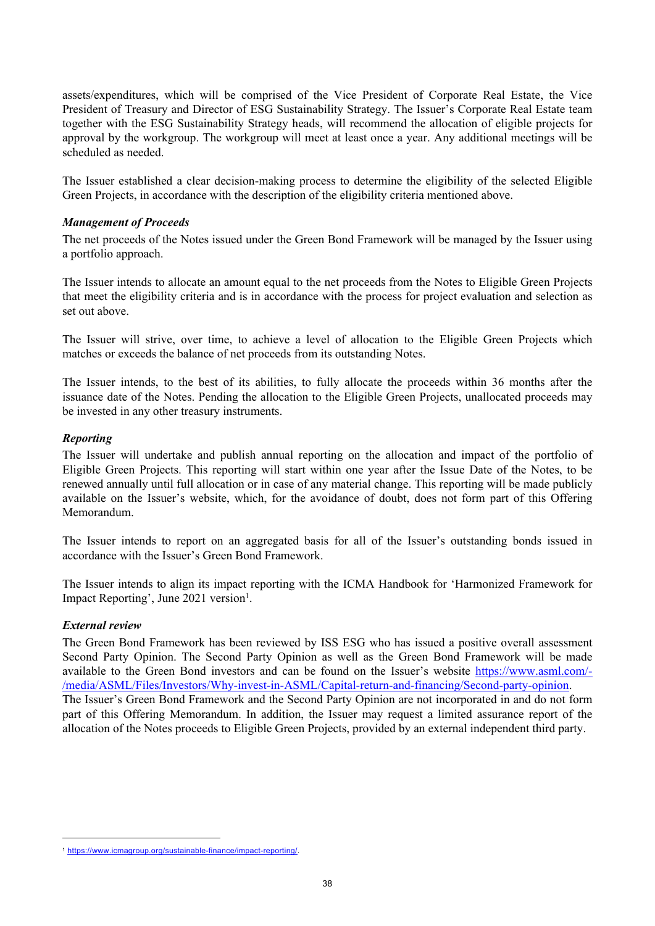assets/expenditures, which will be comprised of the Vice President of Corporate Real Estate, the Vice President of Treasury and Director of ESG Sustainability Strategy. The Issuer's Corporate Real Estate team together with the ESG Sustainability Strategy heads, will recommend the allocation of eligible projects for approval by the workgroup. The workgroup will meet at least once a year. Any additional meetings will be scheduled as needed.

The Issuer established a clear decision-making process to determine the eligibility of the selected Eligible Green Projects, in accordance with the description of the eligibility criteria mentioned above.

# *Management of Proceeds*

The net proceeds of the Notes issued under the Green Bond Framework will be managed by the Issuer using a portfolio approach.

The Issuer intends to allocate an amount equal to the net proceeds from the Notes to Eligible Green Projects that meet the eligibility criteria and is in accordance with the process for project evaluation and selection as set out above.

The Issuer will strive, over time, to achieve a level of allocation to the Eligible Green Projects which matches or exceeds the balance of net proceeds from its outstanding Notes.

The Issuer intends, to the best of its abilities, to fully allocate the proceeds within 36 months after the issuance date of the Notes. Pending the allocation to the Eligible Green Projects, unallocated proceeds may be invested in any other treasury instruments.

# *Reporting*

The Issuer will undertake and publish annual reporting on the allocation and impact of the portfolio of Eligible Green Projects. This reporting will start within one year after the Issue Date of the Notes, to be renewed annually until full allocation or in case of any material change. This reporting will be made publicly available on the Issuer's website, which, for the avoidance of doubt, does not form part of this Offering Memorandum.

The Issuer intends to report on an aggregated basis for all of the Issuer's outstanding bonds issued in accordance with the Issuer's Green Bond Framework.

The Issuer intends to align its impact reporting with the ICMA Handbook for 'Harmonized Framework for Impact Reporting', June 2021 version<sup>1</sup>.

# *External review*

The Green Bond Framework has been reviewed by ISS ESG who has issued a positive overall assessment Second Party Opinion. The Second Party Opinion as well as the Green Bond Framework will be made available to the Green Bond investors and can be found on the Issuer's website [https://www.asml.com/-](https://www.asml.com/-/media/ASML/Files/Investors/Why-invest-in-ASML/Capital-return-and-financing/Second-party-opinion) [/media/ASML/Files/Investors/Why-invest-in-ASML/Capital-return-and-financing/Second-party-opinion](https://www.asml.com/-/media/ASML/Files/Investors/Why-invest-in-ASML/Capital-return-and-financing/Second-party-opinion). The Issuer's Green Bond Framework and the Second Party Opinion are not incorporated in and do not form part of this Offering Memorandum. In addition, the Issuer may request a limited assurance report of the allocation of the Notes proceeds to Eligible Green Projects, provided by an external independent third party.

<sup>1</sup> <https://www.icmagroup.org/sustainable-finance/impact-reporting/>.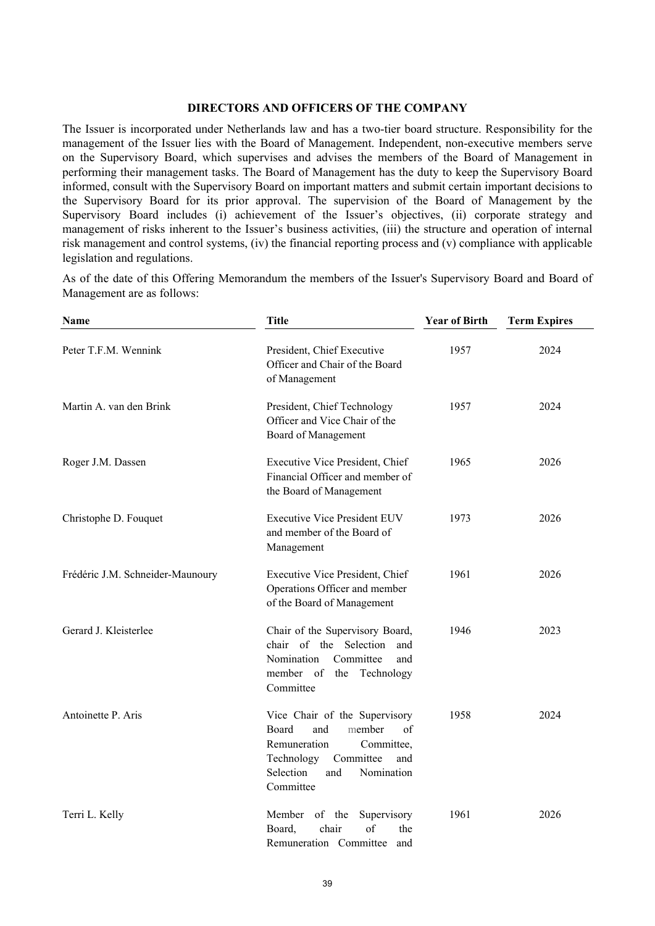#### <span id="page-38-0"></span>**DIRECTORS AND OFFICERS OF THE COMPANY**

The Issuer is incorporated under Netherlands law and has a two-tier board structure. Responsibility for the management of the Issuer lies with the Board of Management. Independent, non-executive members serve on the Supervisory Board, which supervises and advises the members of the Board of Management in performing their management tasks. The Board of Management has the duty to keep the Supervisory Board informed, consult with the Supervisory Board on important matters and submit certain important decisions to the Supervisory Board for its prior approval. The supervision of the Board of Management by the Supervisory Board includes (i) achievement of the Issuer's objectives, (ii) corporate strategy and management of risks inherent to the Issuer's business activities, (iii) the structure and operation of internal risk management and control systems, (iv) the financial reporting process and (v) compliance with applicable legislation and regulations.

As of the date of this Offering Memorandum the members of the Issuer's Supervisory Board and Board of Management are as follows:

| Name                             | <b>Title</b>                                                                                                                                                                 | <b>Year of Birth</b> | <b>Term Expires</b> |
|----------------------------------|------------------------------------------------------------------------------------------------------------------------------------------------------------------------------|----------------------|---------------------|
| Peter T.F.M. Wennink             | President, Chief Executive<br>Officer and Chair of the Board<br>of Management                                                                                                | 1957                 | 2024                |
| Martin A. van den Brink          | President, Chief Technology<br>Officer and Vice Chair of the<br>Board of Management                                                                                          | 1957                 | 2024                |
| Roger J.M. Dassen                | Executive Vice President, Chief<br>Financial Officer and member of<br>the Board of Management                                                                                | 1965                 | 2026                |
| Christophe D. Fouquet            | <b>Executive Vice President EUV</b><br>and member of the Board of<br>Management                                                                                              | 1973                 | 2026                |
| Frédéric J.M. Schneider-Maunoury | Executive Vice President, Chief<br>Operations Officer and member<br>of the Board of Management                                                                               | 1961                 | 2026                |
| Gerard J. Kleisterlee            | Chair of the Supervisory Board,<br>chair of the Selection<br>and<br>Nomination<br>Committee<br>and<br>member of<br>the<br>Technology<br>Committee                            | 1946                 | 2023                |
| Antoinette P. Aris               | Vice Chair of the Supervisory<br>Board<br>and<br>member<br>of<br>Remuneration<br>Committee,<br>Technology<br>Committee<br>and<br>Selection<br>Nomination<br>and<br>Committee | 1958                 | 2024                |
| Terri L. Kelly                   | Member of the<br>Supervisory<br>of<br>Board,<br>chair<br>the<br>Remuneration Committee<br>and                                                                                | 1961                 | 2026                |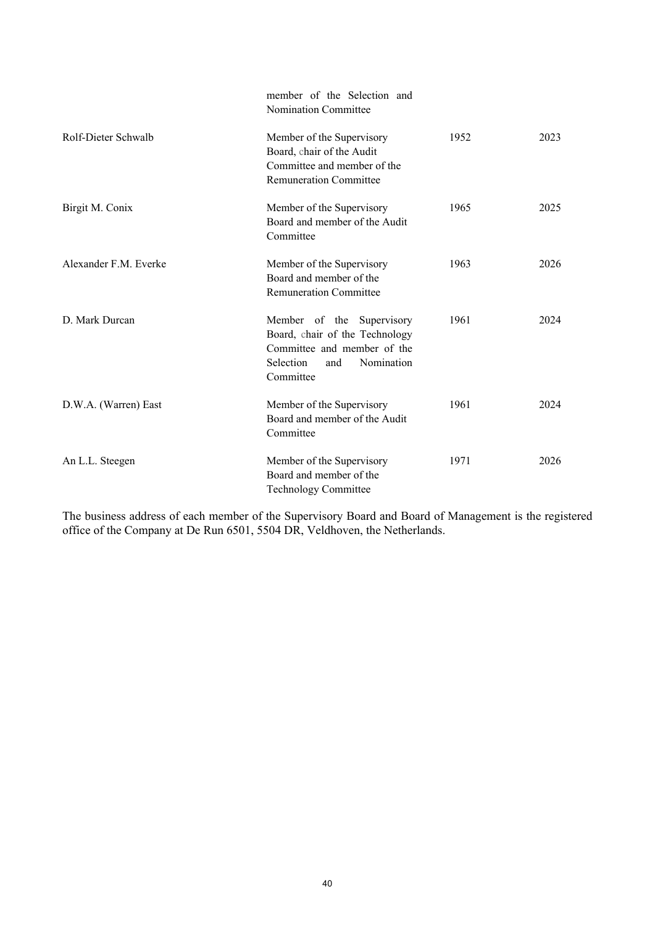|                       | member of the Selection and<br>Nomination Committee                                                                                       |      |      |
|-----------------------|-------------------------------------------------------------------------------------------------------------------------------------------|------|------|
| Rolf-Dieter Schwalb   | Member of the Supervisory<br>Board, chair of the Audit<br>Committee and member of the<br><b>Remuneration Committee</b>                    | 1952 | 2023 |
| Birgit M. Conix       | Member of the Supervisory<br>Board and member of the Audit<br>Committee                                                                   | 1965 | 2025 |
| Alexander F.M. Everke | Member of the Supervisory<br>Board and member of the<br><b>Remuneration Committee</b>                                                     | 1963 | 2026 |
| D. Mark Durcan        | Member of the Supervisory<br>Board, chair of the Technology<br>Committee and member of the<br>Selection<br>Nomination<br>and<br>Committee | 1961 | 2024 |
| D.W.A. (Warren) East  | Member of the Supervisory<br>Board and member of the Audit<br>Committee                                                                   | 1961 | 2024 |
| An L.L. Steegen       | Member of the Supervisory<br>Board and member of the<br><b>Technology Committee</b>                                                       | 1971 | 2026 |

The business address of each member of the Supervisory Board and Board of Management is the registered office of the Company at De Run 6501, 5504 DR, Veldhoven, the Netherlands.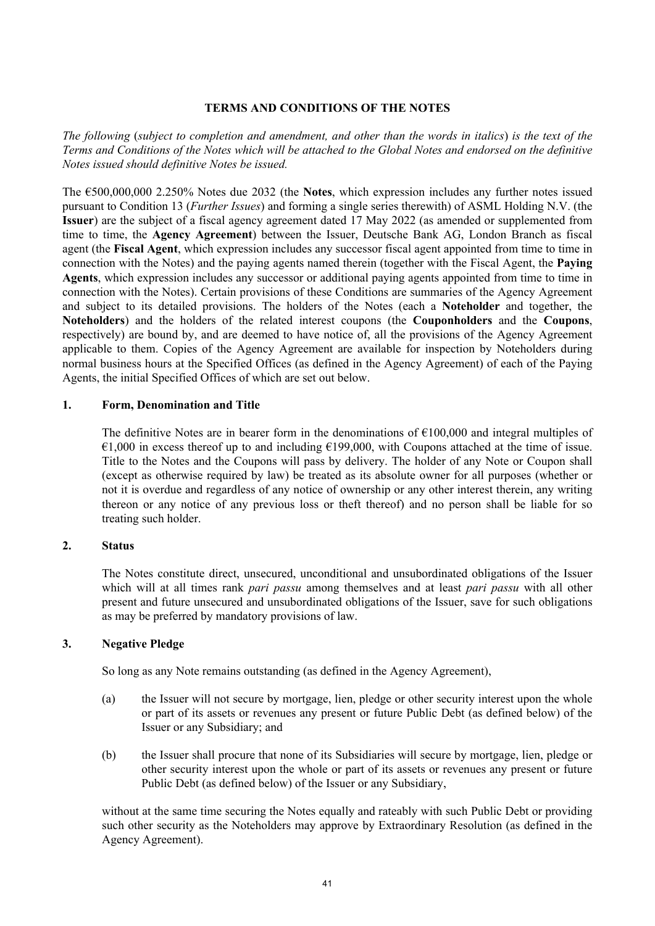# <span id="page-40-0"></span>**TERMS AND CONDITIONS OF THE NOTES**

*The following* (*subject to completion and amendment, and other than the words in italics*) *is the text of the Terms and Conditions of the Notes which will be attached to the Global Notes and endorsed on the definitive Notes issued should definitive Notes be issued.*

The €500,000,000 2.250% Notes due 2032 (the **Notes**, which expression includes any further notes issued pursuant to Condition [13](#page-52-0) (*[Further Issues](#page-52-0)*) and forming a single series therewith) of ASML Holding N.V. (the **Issuer**) are the subject of a fiscal agency agreement dated 17 May 2022 (as amended or supplemented from time to time, the **Agency Agreement**) between the Issuer, Deutsche Bank AG, London Branch as fiscal agent (the **Fiscal Agent**, which expression includes any successor fiscal agent appointed from time to time in connection with the Notes) and the paying agents named therein (together with the Fiscal Agent, the **Paying Agents**, which expression includes any successor or additional paying agents appointed from time to time in connection with the Notes). Certain provisions of these Conditions are summaries of the Agency Agreement and subject to its detailed provisions. The holders of the Notes (each a **Noteholder** and together, the **Noteholders**) and the holders of the related interest coupons (the **Couponholders** and the **Coupons**, respectively) are bound by, and are deemed to have notice of, all the provisions of the Agency Agreement applicable to them. Copies of the Agency Agreement are available for inspection by Noteholders during normal business hours at the Specified Offices (as defined in the Agency Agreement) of each of the Paying Agents, the initial Specified Offices of which are set out below.

# **1. Form, Denomination and Title**

The definitive Notes are in bearer form in the denominations of  $\epsilon$ 100,000 and integral multiples of  $\epsilon$ 1,000 in excess thereof up to and including  $\epsilon$ 199,000, with Coupons attached at the time of issue. Title to the Notes and the Coupons will pass by delivery. The holder of any Note or Coupon shall (except as otherwise required by law) be treated as its absolute owner for all purposes (whether or not it is overdue and regardless of any notice of ownership or any other interest therein, any writing thereon or any notice of any previous loss or theft thereof) and no person shall be liable for so treating such holder.

# **2. Status**

The Notes constitute direct, unsecured, unconditional and unsubordinated obligations of the Issuer which will at all times rank *pari passu* among themselves and at least *pari passu* with all other present and future unsecured and unsubordinated obligations of the Issuer, save for such obligations as may be preferred by mandatory provisions of law.

# <span id="page-40-1"></span>**3. Negative Pledge**

So long as any Note remains outstanding (as defined in the Agency Agreement),

- (a) the Issuer will not secure by mortgage, lien, pledge or other security interest upon the whole or part of its assets or revenues any present or future Public Debt (as defined below) of the Issuer or any Subsidiary; and
- (b) the Issuer shall procure that none of its Subsidiaries will secure by mortgage, lien, pledge or other security interest upon the whole or part of its assets or revenues any present or future Public Debt (as defined below) of the Issuer or any Subsidiary,

without at the same time securing the Notes equally and rateably with such Public Debt or providing such other security as the Noteholders may approve by Extraordinary Resolution (as defined in the Agency Agreement).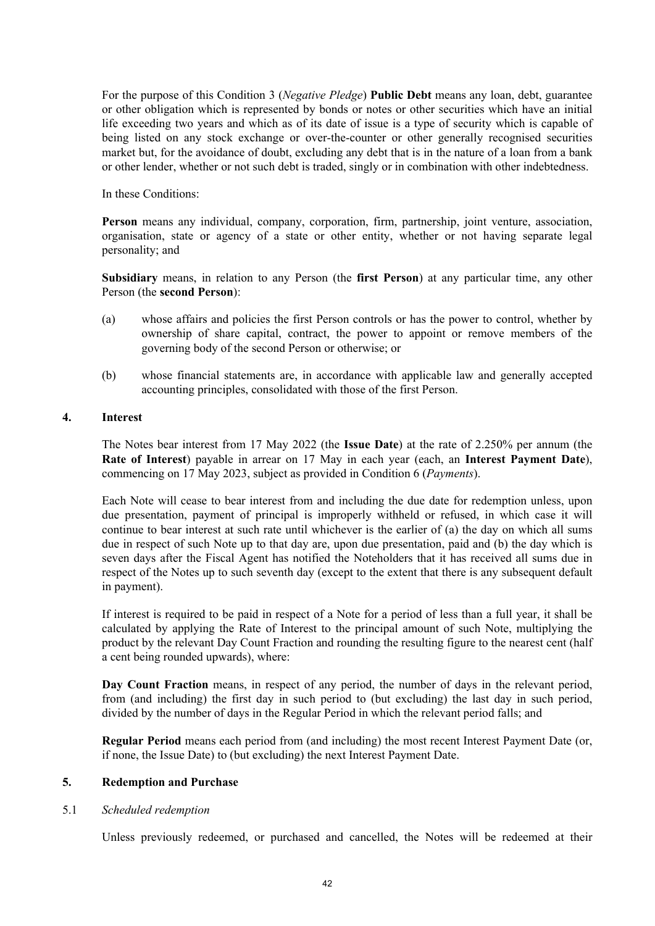For the purpose of this Condition [3](#page-40-1) (*Negative Pledge*) **Public Debt** means any loan, debt, guarantee or other obligation which is represented by bonds or notes or other securities which have an initial life exceeding two years and which as of its date of issue is a type of security which is capable of being listed on any stock exchange or over-the-counter or other generally recognised securities market but, for the avoidance of doubt, excluding any debt that is in the nature of a loan from a bank or other lender, whether or not such debt is traded, singly or in combination with other indebtedness.

In these Conditions:

**Person** means any individual, company, corporation, firm, partnership, joint venture, association, organisation, state or agency of a state or other entity, whether or not having separate legal personality; and

**Subsidiary** means, in relation to any Person (the **first Person**) at any particular time, any other Person (the **second Person**):

- (a) whose affairs and policies the first Person controls or has the power to control, whether by ownership of share capital, contract, the power to appoint or remove members of the governing body of the second Person or otherwise; or
- (b) whose financial statements are, in accordance with applicable law and generally accepted accounting principles, consolidated with those of the first Person.

# **4. Interest**

The Notes bear interest from 17 May 2022 (the **Issue Date**) at the rate of 2.250% per annum (the **Rate of Interest**) payable in arrear on 17 May in each year (each, an **Interest Payment Date**), commencing on 17 May 2023, subject as provided in Condition [6](#page-47-0) (*[Payments](#page-47-0)*).

Each Note will cease to bear interest from and including the due date for redemption unless, upon due presentation, payment of principal is improperly withheld or refused, in which case it will continue to bear interest at such rate until whichever is the earlier of (a) the day on which all sums due in respect of such Note up to that day are, upon due presentation, paid and (b) the day which is seven days after the Fiscal Agent has notified the Noteholders that it has received all sums due in respect of the Notes up to such seventh day (except to the extent that there is any subsequent default in payment).

If interest is required to be paid in respect of a Note for a period of less than a full year, it shall be calculated by applying the Rate of Interest to the principal amount of such Note, multiplying the product by the relevant Day Count Fraction and rounding the resulting figure to the nearest cent (half a cent being rounded upwards), where:

**Day Count Fraction** means, in respect of any period, the number of days in the relevant period, from (and including) the first day in such period to (but excluding) the last day in such period, divided by the number of days in the Regular Period in which the relevant period falls; and

**Regular Period** means each period from (and including) the most recent Interest Payment Date (or, if none, the Issue Date) to (but excluding) the next Interest Payment Date.

# **5. Redemption and Purchase**

# 5.1 *Scheduled redemption*

Unless previously redeemed, or purchased and cancelled, the Notes will be redeemed at their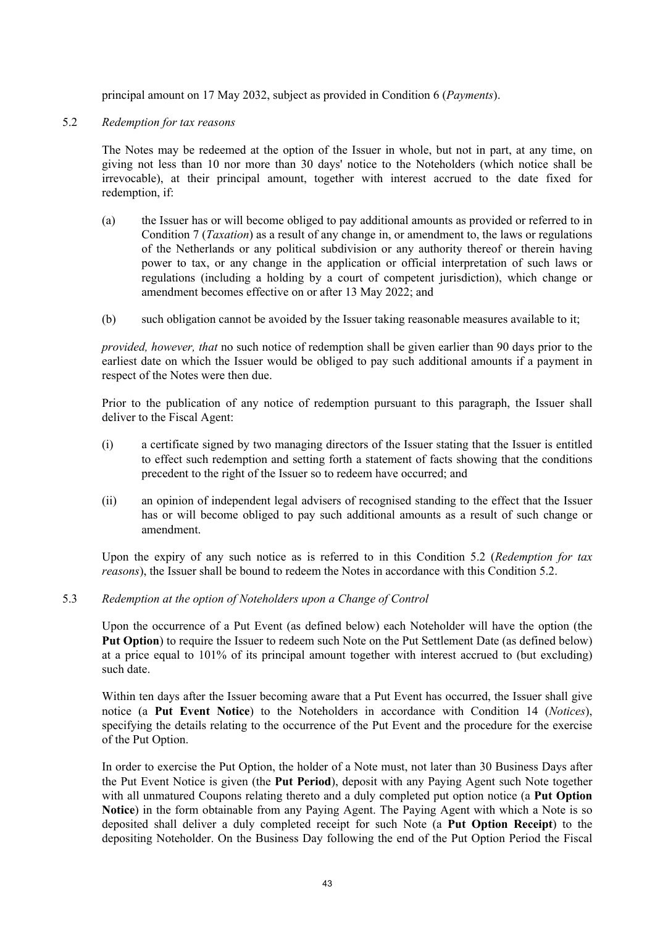principal amount on 17 May 2032, subject as provided in Condition [6](#page-47-0) (*Payments*).

# <span id="page-42-0"></span>5.2 *Redemption for tax reasons*

The Notes may be redeemed at the option of the Issuer in whole, but not in part, at any time, on giving not less than 10 nor more than 30 days' notice to the Noteholders (which notice shall be irrevocable), at their principal amount, together with interest accrued to the date fixed for redemption, if:

- (a) the Issuer has or will become obliged to pay additional amounts as provided or referred to in Condition [7](#page-48-0) (*Taxation*) as a result of any change in, or amendment to, the laws or regulations of the Netherlands or any political subdivision or any authority thereof or therein having power to tax, or any change in the application or official interpretation of such laws or regulations (including a holding by a court of competent jurisdiction), which change or amendment becomes effective on or after 13 May 2022; and
- (b) such obligation cannot be avoided by the Issuer taking reasonable measures available to it;

*provided, however, that* no such notice of redemption shall be given earlier than 90 days prior to the earliest date on which the Issuer would be obliged to pay such additional amounts if a payment in respect of the Notes were then due.

Prior to the publication of any notice of redemption pursuant to this paragraph, the Issuer shall deliver to the Fiscal Agent:

- (i) a certificate signed by two managing directors of the Issuer stating that the Issuer is entitled to effect such redemption and setting forth a statement of facts showing that the conditions precedent to the right of the Issuer so to redeem have occurred; and
- (ii) an opinion of independent legal advisers of recognised standing to the effect that the Issuer has or will become obliged to pay such additional amounts as a result of such change or amendment.

Upon the expiry of any such notice as is referred to in this Condition 5.2 (*Redemption for tax reasons*), the Issuer shall be bound to redeem the Notes in accordance with this Condition [5.2](#page-42-0).

# 5.3 *Redemption at the option of Noteholders upon a Change of Control*

Upon the occurrence of a Put Event (as defined below) each Noteholder will have the option (the **Put Option**) to require the Issuer to redeem such Note on the Put Settlement Date (as defined below) at a price equal to 101% of its principal amount together with interest accrued to (but excluding) such date.

Within ten days after the Issuer becoming aware that a Put Event has occurred, the Issuer shall give notice (a **Put Event Notice**) to the Noteholders in accordance with Condition [14](#page-52-1) (*[Notices](#page-52-1)*), specifying the details relating to the occurrence of the Put Event and the procedure for the exercise of the Put Option.

In order to exercise the Put Option, the holder of a Note must, not later than 30 Business Days after the Put Event Notice is given (the **Put Period**), deposit with any Paying Agent such Note together with all unmatured Coupons relating thereto and a duly completed put option notice (a **Put Option Notice**) in the form obtainable from any Paying Agent. The Paying Agent with which a Note is so deposited shall deliver a duly completed receipt for such Note (a **Put Option Receipt**) to the depositing Noteholder. On the Business Day following the end of the Put Option Period the Fiscal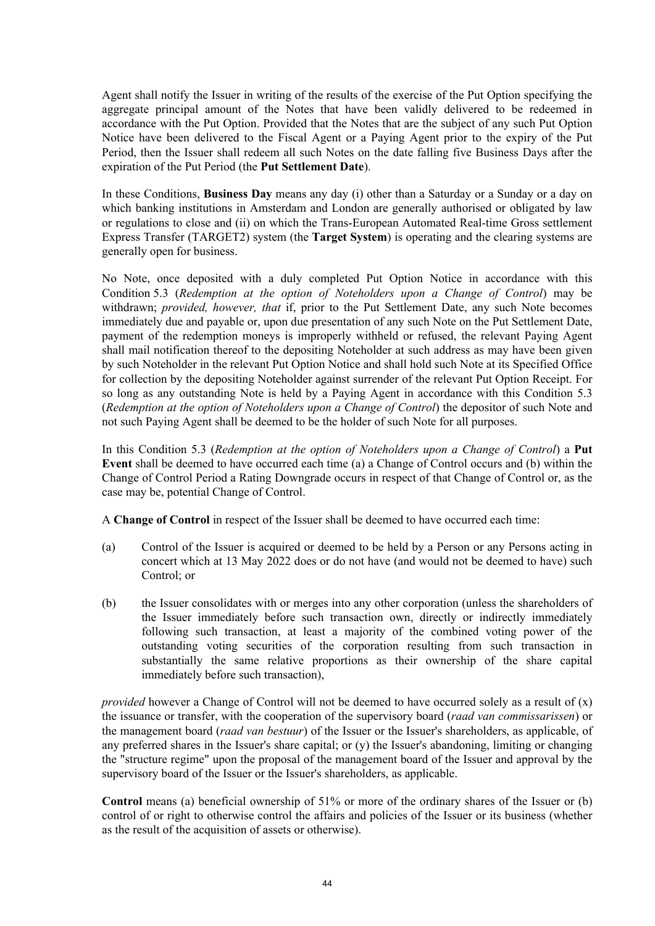Agent shall notify the Issuer in writing of the results of the exercise of the Put Option specifying the aggregate principal amount of the Notes that have been validly delivered to be redeemed in accordance with the Put Option. Provided that the Notes that are the subject of any such Put Option Notice have been delivered to the Fiscal Agent or a Paying Agent prior to the expiry of the Put Period, then the Issuer shall redeem all such Notes on the date falling five Business Days after the expiration of the Put Period (the **Put Settlement Date**).

In these Conditions, **Business Day** means any day (i) other than a Saturday or a Sunday or a day on which banking institutions in Amsterdam and London are generally authorised or obligated by law or regulations to close and (ii) on which the Trans-European Automated Real-time Gross settlement Express Transfer (TARGET2) system (the **Target System**) is operating and the clearing systems are generally open for business.

No Note, once deposited with a duly completed Put Option Notice in accordance with this Condition 5.3 (*Redemption at the option of Noteholders upon a Change of Control*) may be withdrawn; *provided, however, that* if, prior to the Put Settlement Date, any such Note becomes immediately due and payable or, upon due presentation of any such Note on the Put Settlement Date, payment of the redemption moneys is improperly withheld or refused, the relevant Paying Agent shall mail notification thereof to the depositing Noteholder at such address as may have been given by such Noteholder in the relevant Put Option Notice and shall hold such Note at its Specified Office for collection by the depositing Noteholder against surrender of the relevant Put Option Receipt. For so long as any outstanding Note is held by a Paying Agent in accordance with this Condition 5.3 (*Redemption at the option of Noteholders upon a Change of Control*) the depositor of such Note and not such Paying Agent shall be deemed to be the holder of such Note for all purposes.

In this Condition 5.3 (*Redemption at the option of Noteholders upon a Change of Control*) a **Put Event** shall be deemed to have occurred each time (a) a Change of Control occurs and (b) within the Change of Control Period a Rating Downgrade occurs in respect of that Change of Control or, as the case may be, potential Change of Control.

A **Change of Control** in respect of the Issuer shall be deemed to have occurred each time:

- (a) Control of the Issuer is acquired or deemed to be held by a Person or any Persons acting in concert which at 13 May 2022 does or do not have (and would not be deemed to have) such Control; or
- (b) the Issuer consolidates with or merges into any other corporation (unless the shareholders of the Issuer immediately before such transaction own, directly or indirectly immediately following such transaction, at least a majority of the combined voting power of the outstanding voting securities of the corporation resulting from such transaction in substantially the same relative proportions as their ownership of the share capital immediately before such transaction),

*provided* however a Change of Control will not be deemed to have occurred solely as a result of (x) the issuance or transfer, with the cooperation of the supervisory board (*raad van commissarissen*) or the management board (*raad van bestuur*) of the Issuer or the Issuer's shareholders, as applicable, of any preferred shares in the Issuer's share capital; or (y) the Issuer's abandoning, limiting or changing the "structure regime" upon the proposal of the management board of the Issuer and approval by the supervisory board of the Issuer or the Issuer's shareholders, as applicable.

**Control** means (a) beneficial ownership of 51% or more of the ordinary shares of the Issuer or (b) control of or right to otherwise control the affairs and policies of the Issuer or its business (whether as the result of the acquisition of assets or otherwise).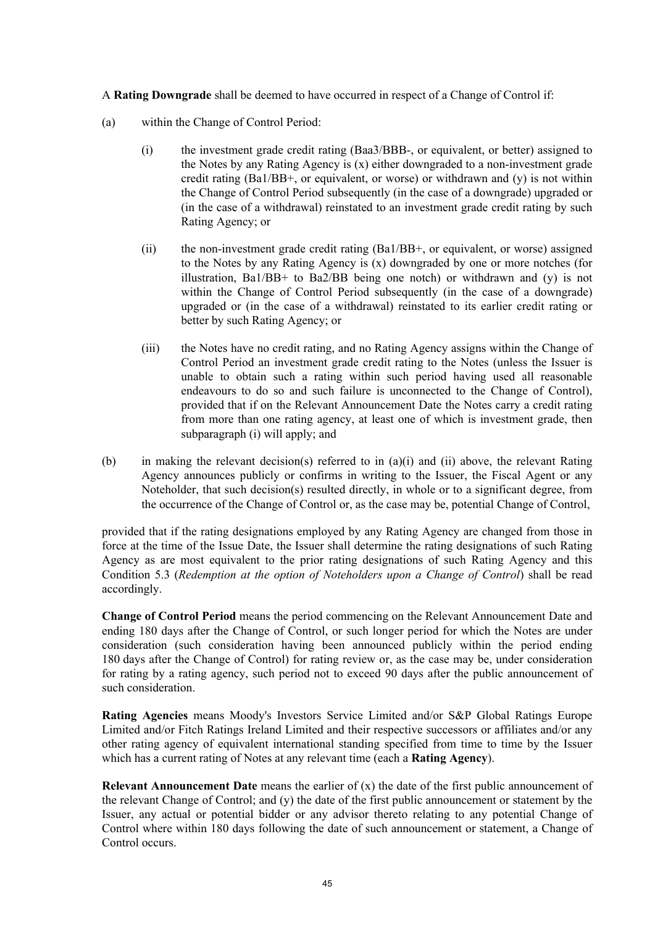A **Rating Downgrade** shall be deemed to have occurred in respect of a Change of Control if:

- <span id="page-44-0"></span>(a) within the Change of Control Period:
	- (i) the investment grade credit rating (Baa3/BBB-, or equivalent, or better) assigned to the Notes by any Rating Agency is (x) either downgraded to a non-investment grade credit rating  $(Ba1/BB<sup>+</sup>)$ , or equivalent, or worse) or withdrawn and (y) is not within the Change of Control Period subsequently (in the case of a downgrade) upgraded or (in the case of a withdrawal) reinstated to an investment grade credit rating by such Rating Agency; or
	- (ii) the non-investment grade credit rating (Ba1/BB+, or equivalent, or worse) assigned to the Notes by any Rating Agency is (x) downgraded by one or more notches (for illustration, Ba1/BB+ to Ba2/BB being one notch) or withdrawn and (y) is not within the Change of Control Period subsequently (in the case of a downgrade) upgraded or (in the case of a withdrawal) reinstated to its earlier credit rating or better by such Rating Agency; or
	- (iii) the Notes have no credit rating, and no Rating Agency assigns within the Change of Control Period an investment grade credit rating to the Notes (unless the Issuer is unable to obtain such a rating within such period having used all reasonable endeavours to do so and such failure is unconnected to the Change of Control), provided that if on the Relevant Announcement Date the Notes carry a credit rating from more than one rating agency, at least one of which is investment grade, then subparagraph [\(i\)](#page-44-0) will apply; and
- (b) in making the relevant decision(s) referred to in (a)(i) and (ii) above, the relevant Rating Agency announces publicly or confirms in writing to the Issuer, the Fiscal Agent or any Noteholder, that such decision(s) resulted directly, in whole or to a significant degree, from the occurrence of the Change of Control or, as the case may be, potential Change of Control,

provided that if the rating designations employed by any Rating Agency are changed from those in force at the time of the Issue Date, the Issuer shall determine the rating designations of such Rating Agency as are most equivalent to the prior rating designations of such Rating Agency and this Condition 5.3 (*Redemption at the option of Noteholders upon a Change of Control*) shall be read accordingly.

**Change of Control Period** means the period commencing on the Relevant Announcement Date and ending 180 days after the Change of Control, or such longer period for which the Notes are under consideration (such consideration having been announced publicly within the period ending 180 days after the Change of Control) for rating review or, as the case may be, under consideration for rating by a rating agency, such period not to exceed 90 days after the public announcement of such consideration.

**Rating Agencies** means Moody's Investors Service Limited and/or S&P Global Ratings Europe Limited and/or Fitch Ratings Ireland Limited and their respective successors or affiliates and/or any other rating agency of equivalent international standing specified from time to time by the Issuer which has a current rating of Notes at any relevant time (each a **Rating Agency**).

**Relevant Announcement Date** means the earlier of (x) the date of the first public announcement of the relevant Change of Control; and (y) the date of the first public announcement or statement by the Issuer, any actual or potential bidder or any advisor thereto relating to any potential Change of Control where within 180 days following the date of such announcement or statement, a Change of Control occurs.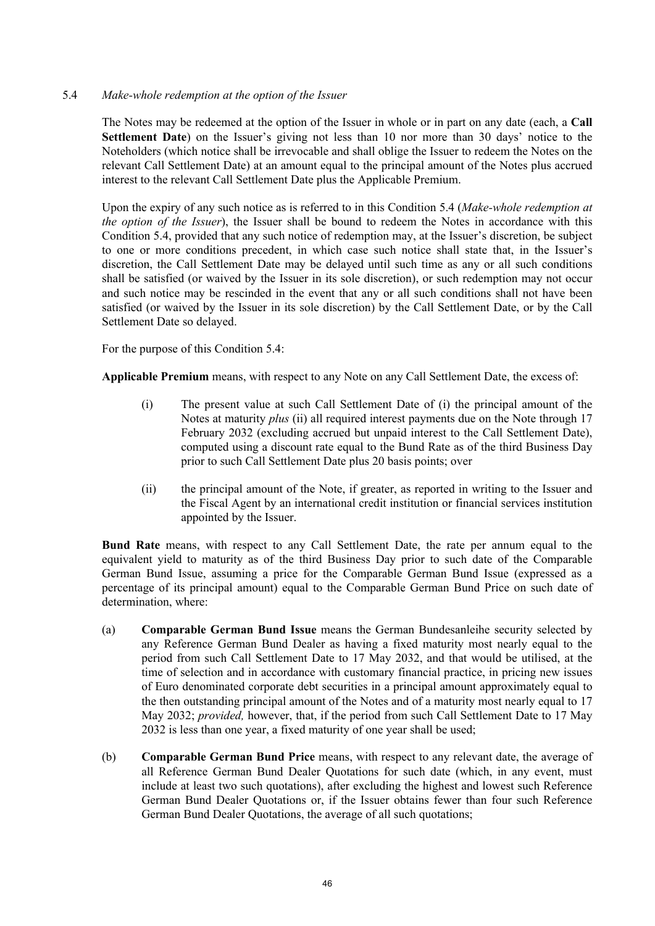# 5.4 *Make-whole redemption at the option of the Issuer*

The Notes may be redeemed at the option of the Issuer in whole or in part on any date (each, a **Call Settlement Date**) on the Issuer's giving not less than 10 nor more than 30 days' notice to the Noteholders (which notice shall be irrevocable and shall oblige the Issuer to redeem the Notes on the relevant Call Settlement Date) at an amount equal to the principal amount of the Notes plus accrued interest to the relevant Call Settlement Date plus the Applicable Premium.

Upon the expiry of any such notice as is referred to in this Condition 5.4 (*Make-whole redemption at the option of the Issuer*), the Issuer shall be bound to redeem the Notes in accordance with this Condition 5.4, provided that any such notice of redemption may, at the Issuer's discretion, be subject to one or more conditions precedent, in which case such notice shall state that, in the Issuer's discretion, the Call Settlement Date may be delayed until such time as any or all such conditions shall be satisfied (or waived by the Issuer in its sole discretion), or such redemption may not occur and such notice may be rescinded in the event that any or all such conditions shall not have been satisfied (or waived by the Issuer in its sole discretion) by the Call Settlement Date, or by the Call Settlement Date so delayed.

For the purpose of this Condition 5.4:

**Applicable Premium** means, with respect to any Note on any Call Settlement Date, the excess of:

- (i) The present value at such Call Settlement Date of (i) the principal amount of the Notes at maturity *plus* (ii) all required interest payments due on the Note through 17 February 2032 (excluding accrued but unpaid interest to the Call Settlement Date), computed using a discount rate equal to the Bund Rate as of the third Business Day prior to such Call Settlement Date plus 20 basis points; over
- (ii) the principal amount of the Note, if greater, as reported in writing to the Issuer and the Fiscal Agent by an international credit institution or financial services institution appointed by the Issuer.

**Bund Rate** means, with respect to any Call Settlement Date, the rate per annum equal to the equivalent yield to maturity as of the third Business Day prior to such date of the Comparable German Bund Issue, assuming a price for the Comparable German Bund Issue (expressed as a percentage of its principal amount) equal to the Comparable German Bund Price on such date of determination, where:

- (a) **Comparable German Bund Issue** means the German Bundesanleihe security selected by any Reference German Bund Dealer as having a fixed maturity most nearly equal to the period from such Call Settlement Date to 17 May 2032, and that would be utilised, at the time of selection and in accordance with customary financial practice, in pricing new issues of Euro denominated corporate debt securities in a principal amount approximately equal to the then outstanding principal amount of the Notes and of a maturity most nearly equal to 17 May 2032; *provided,* however, that, if the period from such Call Settlement Date to 17 May 2032 is less than one year, a fixed maturity of one year shall be used;
- (b) **Comparable German Bund Price** means, with respect to any relevant date, the average of all Reference German Bund Dealer Quotations for such date (which, in any event, must include at least two such quotations), after excluding the highest and lowest such Reference German Bund Dealer Quotations or, if the Issuer obtains fewer than four such Reference German Bund Dealer Quotations, the average of all such quotations;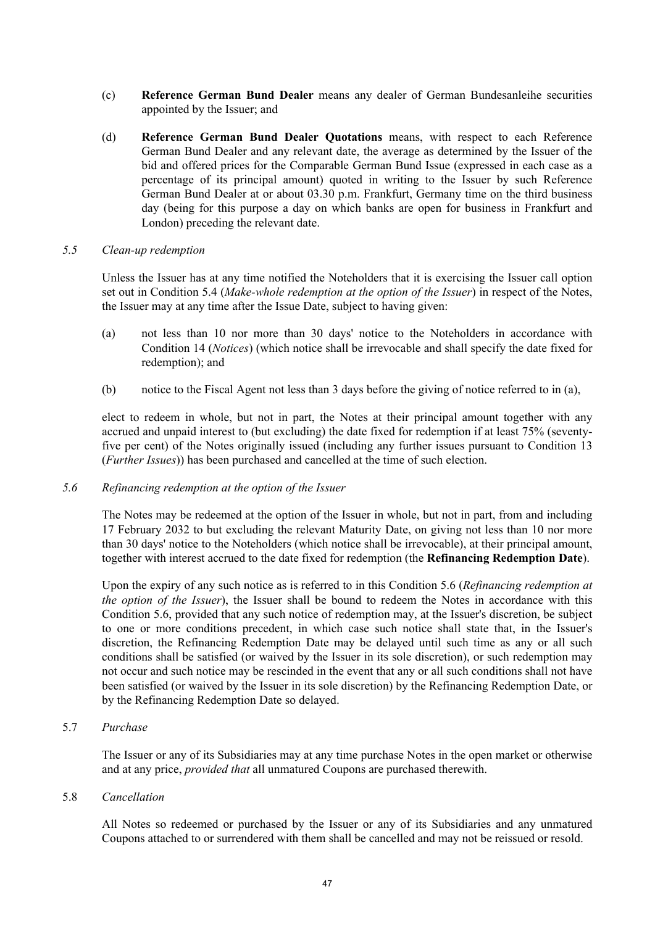- (c) **Reference German Bund Dealer** means any dealer of German Bundesanleihe securities appointed by the Issuer; and
- (d) **Reference German Bund Dealer Quotations** means, with respect to each Reference German Bund Dealer and any relevant date, the average as determined by the Issuer of the bid and offered prices for the Comparable German Bund Issue (expressed in each case as a percentage of its principal amount) quoted in writing to the Issuer by such Reference German Bund Dealer at or about 03.30 p.m. Frankfurt, Germany time on the third business day (being for this purpose a day on which banks are open for business in Frankfurt and London) preceding the relevant date.

#### *5.5 Clean-up redemption*

Unless the Issuer has at any time notified the Noteholders that it is exercising the Issuer call option set out in Condition 5.4 (*Make-whole redemption at the option of the Issuer*) in respect of the Notes, the Issuer may at any time after the Issue Date, subject to having given:

- (a) not less than 10 nor more than 30 days' notice to the Noteholders in accordance with Condition 14 (*Notices*) (which notice shall be irrevocable and shall specify the date fixed for redemption); and
- (b) notice to the Fiscal Agent not less than 3 days before the giving of notice referred to in (a),

elect to redeem in whole, but not in part, the Notes at their principal amount together with any accrued and unpaid interest to (but excluding) the date fixed for redemption if at least 75% (seventyfive per cent) of the Notes originally issued (including any further issues pursuant to Condition 13 (*Further Issues*)) has been purchased and cancelled at the time of such election.

# *5.6 Refinancing redemption at the option of the Issuer*

The Notes may be redeemed at the option of the Issuer in whole, but not in part, from and including 17 February 2032 to but excluding the relevant Maturity Date, on giving not less than 10 nor more than 30 days' notice to the Noteholders (which notice shall be irrevocable), at their principal amount, together with interest accrued to the date fixed for redemption (the **Refinancing Redemption Date**).

Upon the expiry of any such notice as is referred to in this Condition 5.6 (*Refinancing redemption at the option of the Issuer*), the Issuer shall be bound to redeem the Notes in accordance with this Condition 5.6, provided that any such notice of redemption may, at the Issuer's discretion, be subject to one or more conditions precedent, in which case such notice shall state that, in the Issuer's discretion, the Refinancing Redemption Date may be delayed until such time as any or all such conditions shall be satisfied (or waived by the Issuer in its sole discretion), or such redemption may not occur and such notice may be rescinded in the event that any or all such conditions shall not have been satisfied (or waived by the Issuer in its sole discretion) by the Refinancing Redemption Date, or by the Refinancing Redemption Date so delayed.

#### 5.7 *Purchase*

The Issuer or any of its Subsidiaries may at any time purchase Notes in the open market or otherwise and at any price, *provided that* all unmatured Coupons are purchased therewith.

#### 5.8 *Cancellation*

All Notes so redeemed or purchased by the Issuer or any of its Subsidiaries and any unmatured Coupons attached to or surrendered with them shall be cancelled and may not be reissued or resold.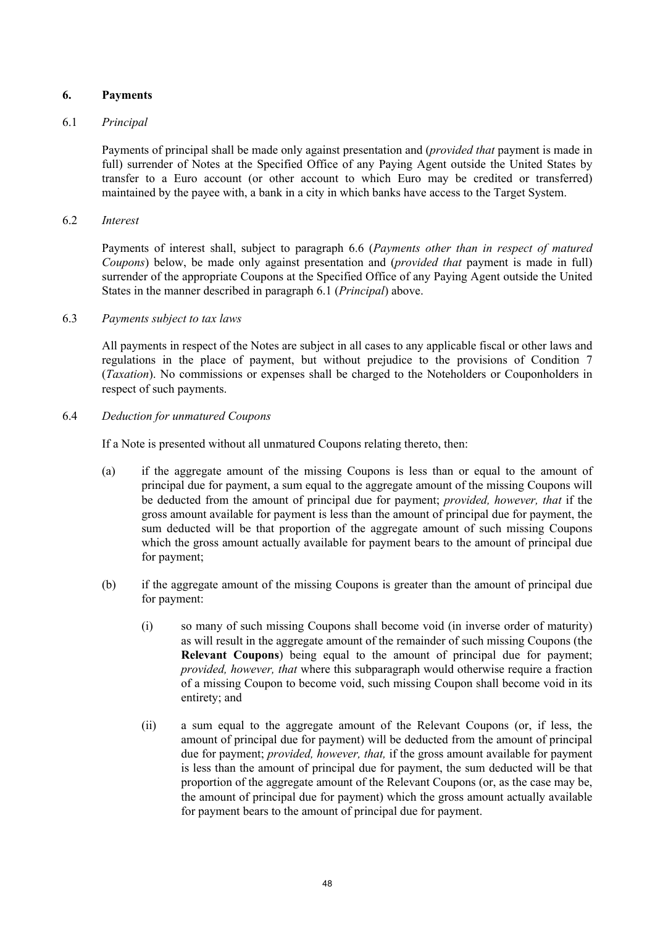# <span id="page-47-0"></span>**6. Payments**

# <span id="page-47-1"></span>6.1 *Principal*

Payments of principal shall be made only against presentation and (*provided that* payment is made in full) surrender of Notes at the Specified Office of any Paying Agent outside the United States by transfer to a Euro account (or other account to which Euro may be credited or transferred) maintained by the payee with, a bank in a city in which banks have access to the Target System.

# 6.2 *Interest*

Payments of interest shall, subject to paragraph [6.6](#page-48-1) (*[Payments other than in respect of matured](#page-48-1)  [Coupons](#page-48-1)*) below, be made only against presentation and (*provided that* payment is made in full) surrender of the appropriate Coupons at the Specified Office of any Paying Agent outside the United States in the manner described in paragraph [6.1](#page-47-1) (*[Principal](#page-47-1)*) above.

#### 6.3 *Payments subject to tax laws*

All payments in respect of the Notes are subject in all cases to any applicable fiscal or other laws and regulations in the place of payment, but without prejudice to the provisions of Condition [7](#page-48-0)  (*[Taxation](#page-48-0)*). No commissions or expenses shall be charged to the Noteholders or Couponholders in respect of such payments.

# 6.4 *Deduction for unmatured Coupons*

If a Note is presented without all unmatured Coupons relating thereto, then:

- (a) if the aggregate amount of the missing Coupons is less than or equal to the amount of principal due for payment, a sum equal to the aggregate amount of the missing Coupons will be deducted from the amount of principal due for payment; *provided, however, that* if the gross amount available for payment is less than the amount of principal due for payment, the sum deducted will be that proportion of the aggregate amount of such missing Coupons which the gross amount actually available for payment bears to the amount of principal due for payment;
- (b) if the aggregate amount of the missing Coupons is greater than the amount of principal due for payment:
	- (i) so many of such missing Coupons shall become void (in inverse order of maturity) as will result in the aggregate amount of the remainder of such missing Coupons (the **Relevant Coupons**) being equal to the amount of principal due for payment; *provided, however, that* where this subparagraph would otherwise require a fraction of a missing Coupon to become void, such missing Coupon shall become void in its entirety; and
	- (ii) a sum equal to the aggregate amount of the Relevant Coupons (or, if less, the amount of principal due for payment) will be deducted from the amount of principal due for payment; *provided, however, that,* if the gross amount available for payment is less than the amount of principal due for payment, the sum deducted will be that proportion of the aggregate amount of the Relevant Coupons (or, as the case may be, the amount of principal due for payment) which the gross amount actually available for payment bears to the amount of principal due for payment.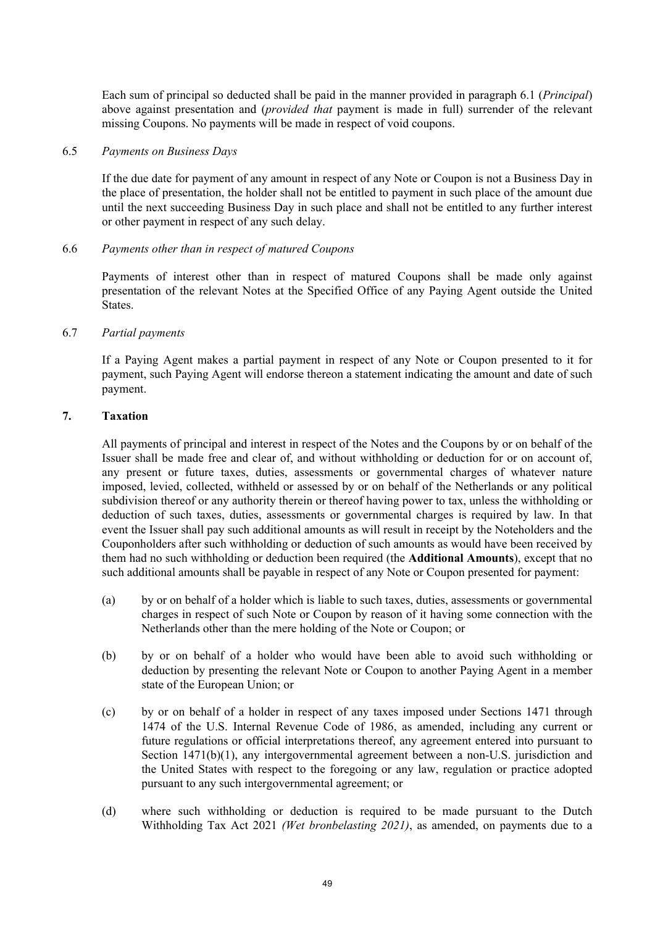Each sum of principal so deducted shall be paid in the manner provided in paragraph [6.1](#page-47-1) (*[Principal](#page-47-1)*) above against presentation and (*provided that* payment is made in full) surrender of the relevant missing Coupons. No payments will be made in respect of void coupons.

#### 6.5 *Payments on Business Days*

If the due date for payment of any amount in respect of any Note or Coupon is not a Business Day in the place of presentation, the holder shall not be entitled to payment in such place of the amount due until the next succeeding Business Day in such place and shall not be entitled to any further interest or other payment in respect of any such delay.

# <span id="page-48-1"></span>6.6 *Payments other than in respect of matured Coupons*

Payments of interest other than in respect of matured Coupons shall be made only against presentation of the relevant Notes at the Specified Office of any Paying Agent outside the United States.

#### 6.7 *Partial payments*

If a Paying Agent makes a partial payment in respect of any Note or Coupon presented to it for payment, such Paying Agent will endorse thereon a statement indicating the amount and date of such payment.

# <span id="page-48-0"></span>**7. Taxation**

All payments of principal and interest in respect of the Notes and the Coupons by or on behalf of the Issuer shall be made free and clear of, and without withholding or deduction for or on account of, any present or future taxes, duties, assessments or governmental charges of whatever nature imposed, levied, collected, withheld or assessed by or on behalf of the Netherlands or any political subdivision thereof or any authority therein or thereof having power to tax, unless the withholding or deduction of such taxes, duties, assessments or governmental charges is required by law. In that event the Issuer shall pay such additional amounts as will result in receipt by the Noteholders and the Couponholders after such withholding or deduction of such amounts as would have been received by them had no such withholding or deduction been required (the **Additional Amounts**), except that no such additional amounts shall be payable in respect of any Note or Coupon presented for payment:

- (a) by or on behalf of a holder which is liable to such taxes, duties, assessments or governmental charges in respect of such Note or Coupon by reason of it having some connection with the Netherlands other than the mere holding of the Note or Coupon; or
- (b) by or on behalf of a holder who would have been able to avoid such withholding or deduction by presenting the relevant Note or Coupon to another Paying Agent in a member state of the European Union; or
- (c) by or on behalf of a holder in respect of any taxes imposed under Sections 1471 through 1474 of the U.S. Internal Revenue Code of 1986, as amended, including any current or future regulations or official interpretations thereof, any agreement entered into pursuant to Section 1471(b)(1), any intergovernmental agreement between a non-U.S. jurisdiction and the United States with respect to the foregoing or any law, regulation or practice adopted pursuant to any such intergovernmental agreement; or
- (d) where such withholding or deduction is required to be made pursuant to the Dutch Withholding Tax Act 2021 *(Wet bronbelasting 2021)*, as amended, on payments due to a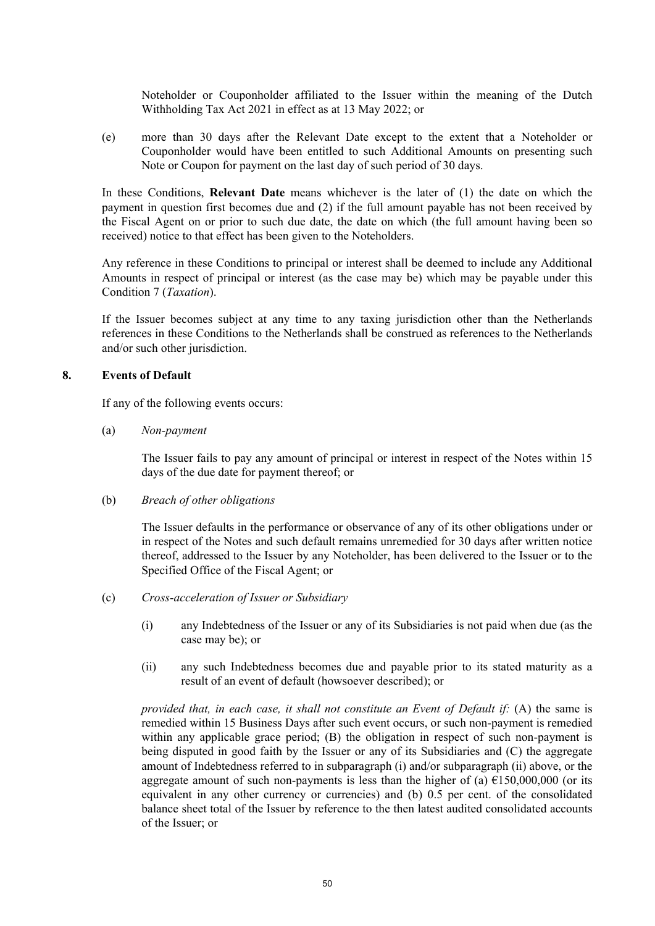Noteholder or Couponholder affiliated to the Issuer within the meaning of the Dutch Withholding Tax Act 2021 in effect as at 13 May 2022; or

(e) more than 30 days after the Relevant Date except to the extent that a Noteholder or Couponholder would have been entitled to such Additional Amounts on presenting such Note or Coupon for payment on the last day of such period of 30 days.

In these Conditions, **Relevant Date** means whichever is the later of (1) the date on which the payment in question first becomes due and (2) if the full amount payable has not been received by the Fiscal Agent on or prior to such due date, the date on which (the full amount having been so received) notice to that effect has been given to the Noteholders.

Any reference in these Conditions to principal or interest shall be deemed to include any Additional Amounts in respect of principal or interest (as the case may be) which may be payable under this Condition [7](#page-48-0) (*[Taxation](#page-48-0)*).

If the Issuer becomes subject at any time to any taxing jurisdiction other than the Netherlands references in these Conditions to the Netherlands shall be construed as references to the Netherlands and/or such other jurisdiction.

#### <span id="page-49-2"></span>**8. Events of Default**

If any of the following events occurs:

(a) *Non-payment*

The Issuer fails to pay any amount of principal or interest in respect of the Notes within 15 days of the due date for payment thereof; or

(b) *Breach of other obligations*

The Issuer defaults in the performance or observance of any of its other obligations under or in respect of the Notes and such default remains unremedied for 30 days after written notice thereof, addressed to the Issuer by any Noteholder, has been delivered to the Issuer or to the Specified Office of the Fiscal Agent; or

- <span id="page-49-0"></span>(c) *Cross-acceleration of Issuer or Subsidiary*
	- (i) any Indebtedness of the Issuer or any of its Subsidiaries is not paid when due (as the case may be); or
	- (ii) any such Indebtedness becomes due and payable prior to its stated maturity as a result of an event of default (howsoever described); or

<span id="page-49-1"></span>*provided that, in each case, it shall not constitute an Event of Default if:* (A) the same is remedied within 15 Business Days after such event occurs, or such non-payment is remedied within any applicable grace period; (B) the obligation in respect of such non-payment is being disputed in good faith by the Issuer or any of its Subsidiaries and (C) the aggregate amount of Indebtedness referred to in subparagraph [\(i\)](#page-49-0) and/or subparagraph [\(ii\) above,](#page-49-1) or the aggregate amount of such non-payments is less than the higher of (a)  $\epsilon$ 150,000,000 (or its equivalent in any other currency or currencies) and (b) 0.5 per cent. of the consolidated balance sheet total of the Issuer by reference to the then latest audited consolidated accounts of the Issuer; or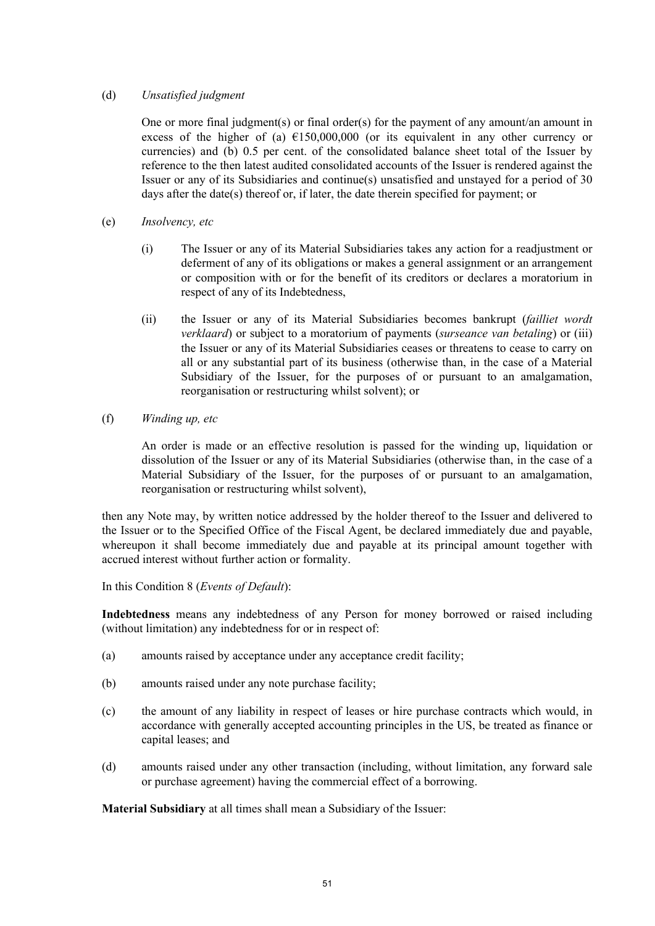# (d) *Unsatisfied judgment*

One or more final judgment(s) or final order(s) for the payment of any amount/an amount in excess of the higher of (a)  $£150,000,000$  (or its equivalent in any other currency or currencies) and (b) 0.5 per cent. of the consolidated balance sheet total of the Issuer by reference to the then latest audited consolidated accounts of the Issuer is rendered against the Issuer or any of its Subsidiaries and continue(s) unsatisfied and unstayed for a period of 30 days after the date(s) thereof or, if later, the date therein specified for payment; or

- (e) *Insolvency, etc*
	- (i) The Issuer or any of its Material Subsidiaries takes any action for a readjustment or deferment of any of its obligations or makes a general assignment or an arrangement or composition with or for the benefit of its creditors or declares a moratorium in respect of any of its Indebtedness,
	- (ii) the Issuer or any of its Material Subsidiaries becomes bankrupt (*failliet wordt verklaard*) or subject to a moratorium of payments (*surseance van betaling*) or (iii) the Issuer or any of its Material Subsidiaries ceases or threatens to cease to carry on all or any substantial part of its business (otherwise than, in the case of a Material Subsidiary of the Issuer, for the purposes of or pursuant to an amalgamation, reorganisation or restructuring whilst solvent); or
- (f) *Winding up, etc*

An order is made or an effective resolution is passed for the winding up, liquidation or dissolution of the Issuer or any of its Material Subsidiaries (otherwise than, in the case of a Material Subsidiary of the Issuer, for the purposes of or pursuant to an amalgamation, reorganisation or restructuring whilst solvent),

then any Note may, by written notice addressed by the holder thereof to the Issuer and delivered to the Issuer or to the Specified Office of the Fiscal Agent, be declared immediately due and payable, whereupon it shall become immediately due and payable at its principal amount together with accrued interest without further action or formality.

In this Condition [8](#page-49-2) (*[Events of Default](#page-49-2)*):

**Indebtedness** means any indebtedness of any Person for money borrowed or raised including (without limitation) any indebtedness for or in respect of:

- (a) amounts raised by acceptance under any acceptance credit facility;
- (b) amounts raised under any note purchase facility;
- (c) the amount of any liability in respect of leases or hire purchase contracts which would, in accordance with generally accepted accounting principles in the US, be treated as finance or capital leases; and
- (d) amounts raised under any other transaction (including, without limitation, any forward sale or purchase agreement) having the commercial effect of a borrowing.

**Material Subsidiary** at all times shall mean a Subsidiary of the Issuer: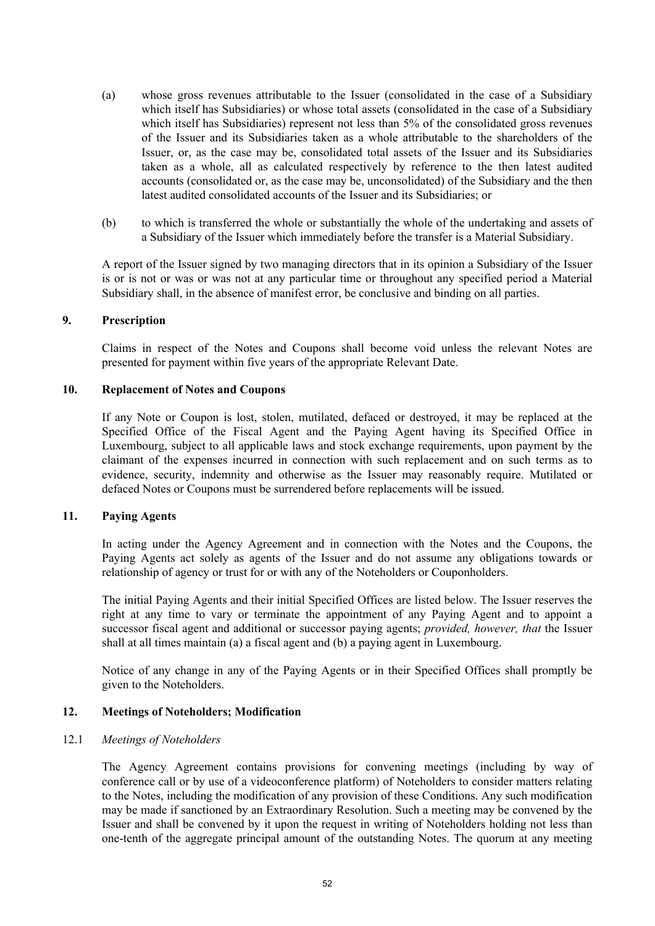- (a) whose gross revenues attributable to the Issuer (consolidated in the case of a Subsidiary which itself has Subsidiaries) or whose total assets (consolidated in the case of a Subsidiary which itself has Subsidiaries) represent not less than 5% of the consolidated gross revenues of the Issuer and its Subsidiaries taken as a whole attributable to the shareholders of the Issuer, or, as the case may be, consolidated total assets of the Issuer and its Subsidiaries taken as a whole, all as calculated respectively by reference to the then latest audited accounts (consolidated or, as the case may be, unconsolidated) of the Subsidiary and the then latest audited consolidated accounts of the Issuer and its Subsidiaries; or
- (b) to which is transferred the whole or substantially the whole of the undertaking and assets of a Subsidiary of the Issuer which immediately before the transfer is a Material Subsidiary.

A report of the Issuer signed by two managing directors that in its opinion a Subsidiary of the Issuer is or is not or was or was not at any particular time or throughout any specified period a Material Subsidiary shall, in the absence of manifest error, be conclusive and binding on all parties.

#### **9. Prescription**

Claims in respect of the Notes and Coupons shall become void unless the relevant Notes are presented for payment within five years of the appropriate Relevant Date.

#### **10. Replacement of Notes and Coupons**

If any Note or Coupon is lost, stolen, mutilated, defaced or destroyed, it may be replaced at the Specified Office of the Fiscal Agent and the Paying Agent having its Specified Office in Luxembourg, subject to all applicable laws and stock exchange requirements, upon payment by the claimant of the expenses incurred in connection with such replacement and on such terms as to evidence, security, indemnity and otherwise as the Issuer may reasonably require. Mutilated or defaced Notes or Coupons must be surrendered before replacements will be issued.

# **11. Paying Agents**

In acting under the Agency Agreement and in connection with the Notes and the Coupons, the Paying Agents act solely as agents of the Issuer and do not assume any obligations towards or relationship of agency or trust for or with any of the Noteholders or Couponholders.

The initial Paying Agents and their initial Specified Offices are listed below. The Issuer reserves the right at any time to vary or terminate the appointment of any Paying Agent and to appoint a successor fiscal agent and additional or successor paying agents; *provided, however, that* the Issuer shall at all times maintain (a) a fiscal agent and (b) a paying agent in Luxembourg.

Notice of any change in any of the Paying Agents or in their Specified Offices shall promptly be given to the Noteholders.

# **12. Meetings of Noteholders; Modification**

# 12.1 *Meetings of Noteholders*

The Agency Agreement contains provisions for convening meetings (including by way of conference call or by use of a videoconference platform) of Noteholders to consider matters relating to the Notes, including the modification of any provision of these Conditions. Any such modification may be made if sanctioned by an Extraordinary Resolution. Such a meeting may be convened by the Issuer and shall be convened by it upon the request in writing of Noteholders holding not less than one-tenth of the aggregate principal amount of the outstanding Notes. The quorum at any meeting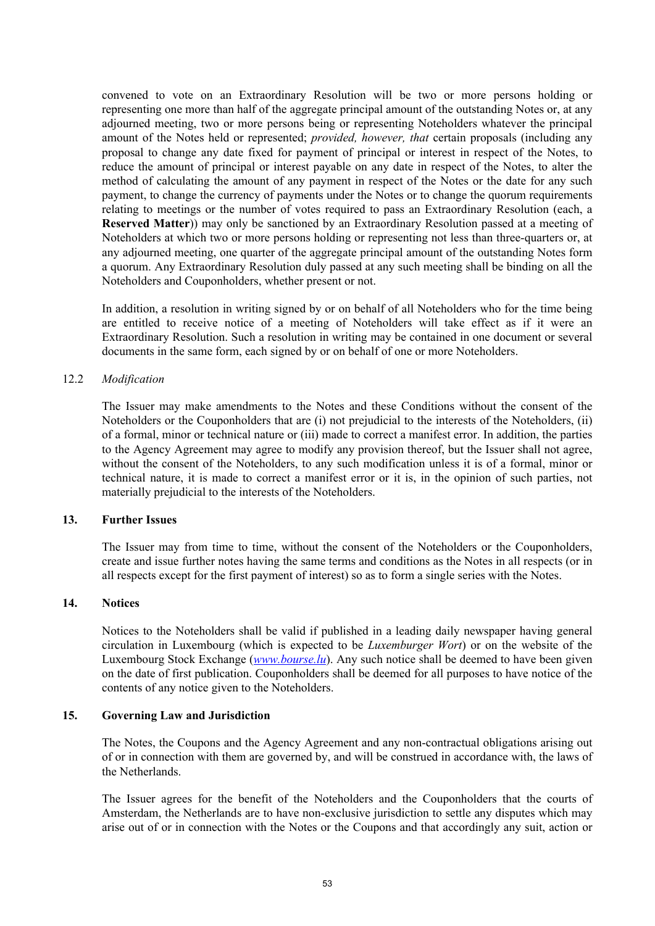convened to vote on an Extraordinary Resolution will be two or more persons holding or representing one more than half of the aggregate principal amount of the outstanding Notes or, at any adjourned meeting, two or more persons being or representing Noteholders whatever the principal amount of the Notes held or represented; *provided, however, that* certain proposals (including any proposal to change any date fixed for payment of principal or interest in respect of the Notes, to reduce the amount of principal or interest payable on any date in respect of the Notes, to alter the method of calculating the amount of any payment in respect of the Notes or the date for any such payment, to change the currency of payments under the Notes or to change the quorum requirements relating to meetings or the number of votes required to pass an Extraordinary Resolution (each, a **Reserved Matter**)) may only be sanctioned by an Extraordinary Resolution passed at a meeting of Noteholders at which two or more persons holding or representing not less than three-quarters or, at any adjourned meeting, one quarter of the aggregate principal amount of the outstanding Notes form a quorum. Any Extraordinary Resolution duly passed at any such meeting shall be binding on all the Noteholders and Couponholders, whether present or not.

In addition, a resolution in writing signed by or on behalf of all Noteholders who for the time being are entitled to receive notice of a meeting of Noteholders will take effect as if it were an Extraordinary Resolution. Such a resolution in writing may be contained in one document or several documents in the same form, each signed by or on behalf of one or more Noteholders.

#### 12.2 *Modification*

The Issuer may make amendments to the Notes and these Conditions without the consent of the Noteholders or the Couponholders that are (i) not prejudicial to the interests of the Noteholders, (ii) of a formal, minor or technical nature or (iii) made to correct a manifest error. In addition, the parties to the Agency Agreement may agree to modify any provision thereof, but the Issuer shall not agree, without the consent of the Noteholders, to any such modification unless it is of a formal, minor or technical nature, it is made to correct a manifest error or it is, in the opinion of such parties, not materially prejudicial to the interests of the Noteholders.

#### <span id="page-52-0"></span>**13. Further Issues**

The Issuer may from time to time, without the consent of the Noteholders or the Couponholders, create and issue further notes having the same terms and conditions as the Notes in all respects (or in all respects except for the first payment of interest) so as to form a single series with the Notes.

#### <span id="page-52-1"></span>**14. Notices**

Notices to the Noteholders shall be valid if published in a leading daily newspaper having general circulation in Luxembourg (which is expected to be *Luxemburger Wort*) or on the website of the Luxembourg Stock Exchange (*[www.bourse.lu](http://www.bourse.lu/)*). Any such notice shall be deemed to have been given on the date of first publication. Couponholders shall be deemed for all purposes to have notice of the contents of any notice given to the Noteholders.

#### **15. Governing Law and Jurisdiction**

The Notes, the Coupons and the Agency Agreement and any non-contractual obligations arising out of or in connection with them are governed by, and will be construed in accordance with, the laws of the Netherlands.

The Issuer agrees for the benefit of the Noteholders and the Couponholders that the courts of Amsterdam, the Netherlands are to have non-exclusive jurisdiction to settle any disputes which may arise out of or in connection with the Notes or the Coupons and that accordingly any suit, action or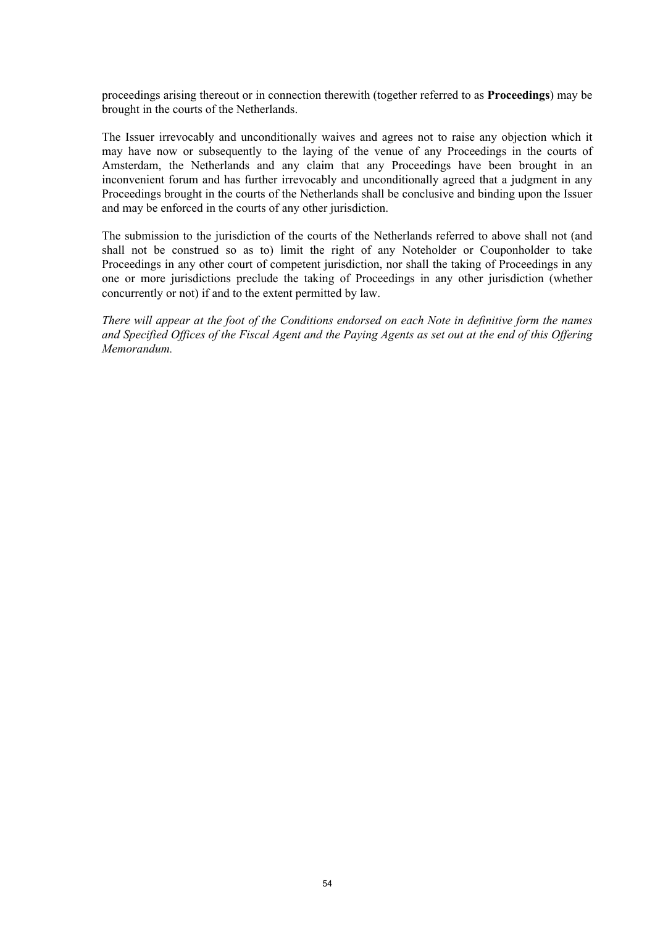proceedings arising thereout or in connection therewith (together referred to as **Proceedings**) may be brought in the courts of the Netherlands.

The Issuer irrevocably and unconditionally waives and agrees not to raise any objection which it may have now or subsequently to the laying of the venue of any Proceedings in the courts of Amsterdam, the Netherlands and any claim that any Proceedings have been brought in an inconvenient forum and has further irrevocably and unconditionally agreed that a judgment in any Proceedings brought in the courts of the Netherlands shall be conclusive and binding upon the Issuer and may be enforced in the courts of any other jurisdiction.

The submission to the jurisdiction of the courts of the Netherlands referred to above shall not (and shall not be construed so as to) limit the right of any Noteholder or Couponholder to take Proceedings in any other court of competent jurisdiction, nor shall the taking of Proceedings in any one or more jurisdictions preclude the taking of Proceedings in any other jurisdiction (whether concurrently or not) if and to the extent permitted by law.

*There will appear at the foot of the Conditions endorsed on each Note in definitive form the names and Specified Offices of the Fiscal Agent and the Paying Agents as set out at the end of this Offering Memorandum.*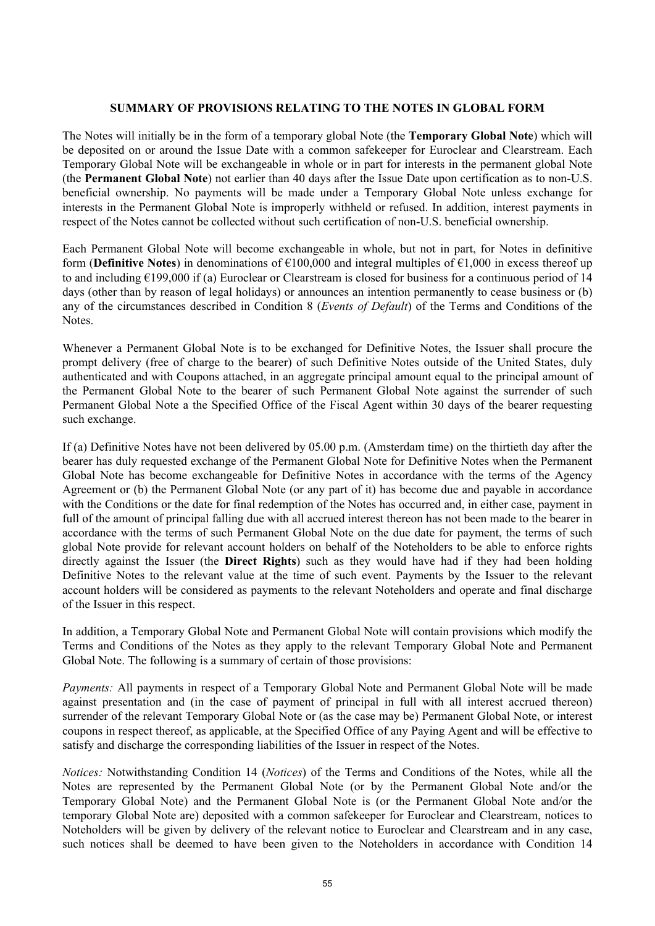# <span id="page-54-0"></span>**SUMMARY OF PROVISIONS RELATING TO THE NOTES IN GLOBAL FORM**

The Notes will initially be in the form of a temporary global Note (the **Temporary Global Note**) which will be deposited on or around the Issue Date with a common safekeeper for Euroclear and Clearstream. Each Temporary Global Note will be exchangeable in whole or in part for interests in the permanent global Note (the **Permanent Global Note**) not earlier than 40 days after the Issue Date upon certification as to non-U.S. beneficial ownership. No payments will be made under a Temporary Global Note unless exchange for interests in the Permanent Global Note is improperly withheld or refused. In addition, interest payments in respect of the Notes cannot be collected without such certification of non-U.S. beneficial ownership.

Each Permanent Global Note will become exchangeable in whole, but not in part, for Notes in definitive form (**Definitive Notes**) in denominations of €100,000 and integral multiples of €1,000 in excess thereof up to and including  $\epsilon$ 199,000 if (a) Euroclear or Clearstream is closed for business for a continuous period of 14 days (other than by reason of legal holidays) or announces an intention permanently to cease business or (b) any of the circumstances described in Condition [8](#page-49-2) (*[Events of Default](#page-49-2)*) of the Terms and Conditions of the Notes.

Whenever a Permanent Global Note is to be exchanged for Definitive Notes, the Issuer shall procure the prompt delivery (free of charge to the bearer) of such Definitive Notes outside of the United States, duly authenticated and with Coupons attached, in an aggregate principal amount equal to the principal amount of the Permanent Global Note to the bearer of such Permanent Global Note against the surrender of such Permanent Global Note a the Specified Office of the Fiscal Agent within 30 days of the bearer requesting such exchange.

If (a) Definitive Notes have not been delivered by 05.00 p.m. (Amsterdam time) on the thirtieth day after the bearer has duly requested exchange of the Permanent Global Note for Definitive Notes when the Permanent Global Note has become exchangeable for Definitive Notes in accordance with the terms of the Agency Agreement or (b) the Permanent Global Note (or any part of it) has become due and payable in accordance with the Conditions or the date for final redemption of the Notes has occurred and, in either case, payment in full of the amount of principal falling due with all accrued interest thereon has not been made to the bearer in accordance with the terms of such Permanent Global Note on the due date for payment, the terms of such global Note provide for relevant account holders on behalf of the Noteholders to be able to enforce rights directly against the Issuer (the **Direct Rights**) such as they would have had if they had been holding Definitive Notes to the relevant value at the time of such event. Payments by the Issuer to the relevant account holders will be considered as payments to the relevant Noteholders and operate and final discharge of the Issuer in this respect.

In addition, a Temporary Global Note and Permanent Global Note will contain provisions which modify the Terms and Conditions of the Notes as they apply to the relevant Temporary Global Note and Permanent Global Note. The following is a summary of certain of those provisions:

*Payments:* All payments in respect of a Temporary Global Note and Permanent Global Note will be made against presentation and (in the case of payment of principal in full with all interest accrued thereon) surrender of the relevant Temporary Global Note or (as the case may be) Permanent Global Note, or interest coupons in respect thereof, as applicable, at the Specified Office of any Paying Agent and will be effective to satisfy and discharge the corresponding liabilities of the Issuer in respect of the Notes.

*Notices:* Notwithstanding Condition [14](#page-52-1) (*[Notices](#page-52-1)*) of the Terms and Conditions of the Notes, while all the Notes are represented by the Permanent Global Note (or by the Permanent Global Note and/or the Temporary Global Note) and the Permanent Global Note is (or the Permanent Global Note and/or the temporary Global Note are) deposited with a common safekeeper for Euroclear and Clearstream, notices to Noteholders will be given by delivery of the relevant notice to Euroclear and Clearstream and in any case, such notices shall be deemed to have been given to the Noteholders in accordance with Condition [14](#page-52-1)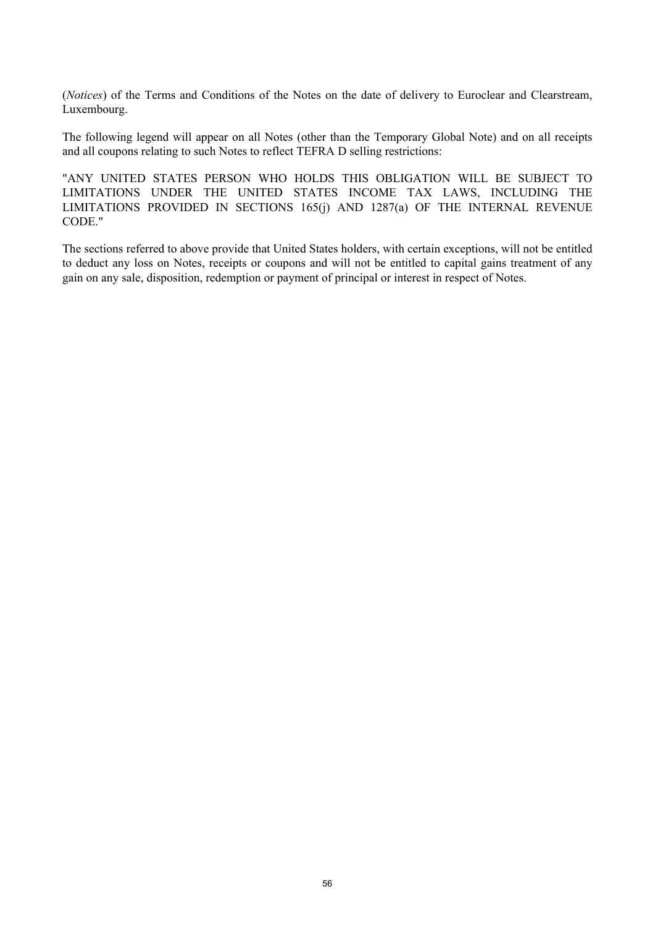(*[Notices](#page-52-1)*) of the Terms and Conditions of the Notes on the date of delivery to Euroclear and Clearstream, Luxembourg.

The following legend will appear on all Notes (other than the Temporary Global Note) and on all receipts and all coupons relating to such Notes to reflect TEFRA D selling restrictions:

"ANY UNITED STATES PERSON WHO HOLDS THIS OBLIGATION WILL BE SUBJECT TO LIMITATIONS UNDER THE UNITED STATES INCOME TAX LAWS, INCLUDING THE LIMITATIONS PROVIDED IN SECTIONS 165(j) AND 1287(a) OF THE INTERNAL REVENUE CODE."

The sections referred to above provide that United States holders, with certain exceptions, will not be entitled to deduct any loss on Notes, receipts or coupons and will not be entitled to capital gains treatment of any gain on any sale, disposition, redemption or payment of principal or interest in respect of Notes.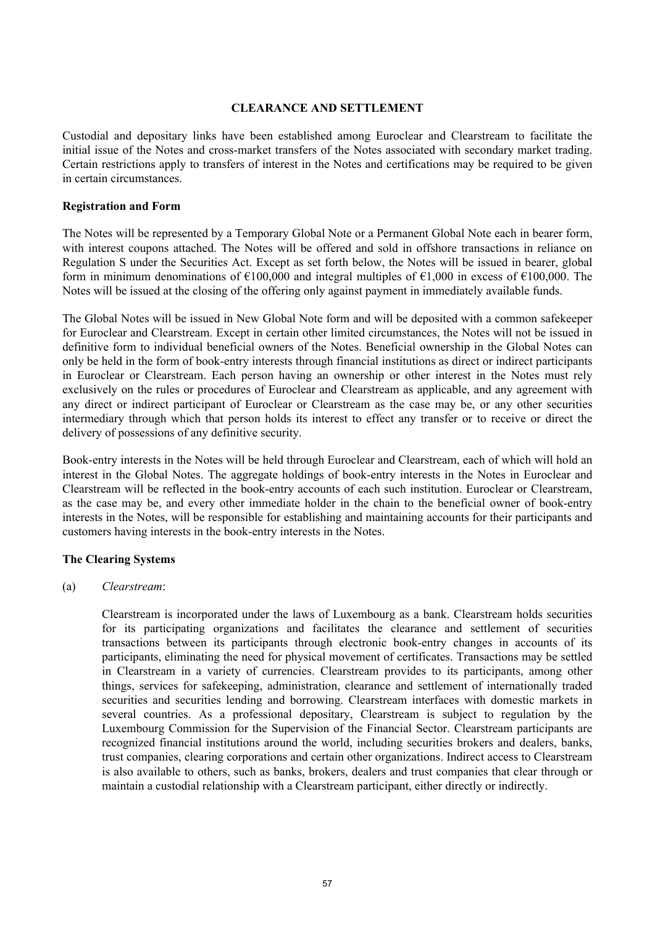# <span id="page-56-0"></span>**CLEARANCE AND SETTLEMENT**

Custodial and depositary links have been established among Euroclear and Clearstream to facilitate the initial issue of the Notes and cross-market transfers of the Notes associated with secondary market trading. Certain restrictions apply to transfers of interest in the Notes and certifications may be required to be given in certain circumstances.

# **Registration and Form**

The Notes will be represented by a Temporary Global Note or a Permanent Global Note each in bearer form, with interest coupons attached. The Notes will be offered and sold in offshore transactions in reliance on Regulation S under the Securities Act. Except as set forth below, the Notes will be issued in bearer, global form in minimum denominations of  $\epsilon$ 100,000 and integral multiples of  $\epsilon$ 1,000 in excess of  $\epsilon$ 100,000. The Notes will be issued at the closing of the offering only against payment in immediately available funds.

The Global Notes will be issued in New Global Note form and will be deposited with a common safekeeper for Euroclear and Clearstream. Except in certain other limited circumstances, the Notes will not be issued in definitive form to individual beneficial owners of the Notes. Beneficial ownership in the Global Notes can only be held in the form of book-entry interests through financial institutions as direct or indirect participants in Euroclear or Clearstream. Each person having an ownership or other interest in the Notes must rely exclusively on the rules or procedures of Euroclear and Clearstream as applicable, and any agreement with any direct or indirect participant of Euroclear or Clearstream as the case may be, or any other securities intermediary through which that person holds its interest to effect any transfer or to receive or direct the delivery of possessions of any definitive security.

Book-entry interests in the Notes will be held through Euroclear and Clearstream, each of which will hold an interest in the Global Notes. The aggregate holdings of book-entry interests in the Notes in Euroclear and Clearstream will be reflected in the book-entry accounts of each such institution. Euroclear or Clearstream, as the case may be, and every other immediate holder in the chain to the beneficial owner of book-entry interests in the Notes, will be responsible for establishing and maintaining accounts for their participants and customers having interests in the book-entry interests in the Notes.

# **The Clearing Systems**

# (a) *Clearstream*:

Clearstream is incorporated under the laws of Luxembourg as a bank. Clearstream holds securities for its participating organizations and facilitates the clearance and settlement of securities transactions between its participants through electronic book-entry changes in accounts of its participants, eliminating the need for physical movement of certificates. Transactions may be settled in Clearstream in a variety of currencies. Clearstream provides to its participants, among other things, services for safekeeping, administration, clearance and settlement of internationally traded securities and securities lending and borrowing. Clearstream interfaces with domestic markets in several countries. As a professional depositary, Clearstream is subject to regulation by the Luxembourg Commission for the Supervision of the Financial Sector. Clearstream participants are recognized financial institutions around the world, including securities brokers and dealers, banks, trust companies, clearing corporations and certain other organizations. Indirect access to Clearstream is also available to others, such as banks, brokers, dealers and trust companies that clear through or maintain a custodial relationship with a Clearstream participant, either directly or indirectly.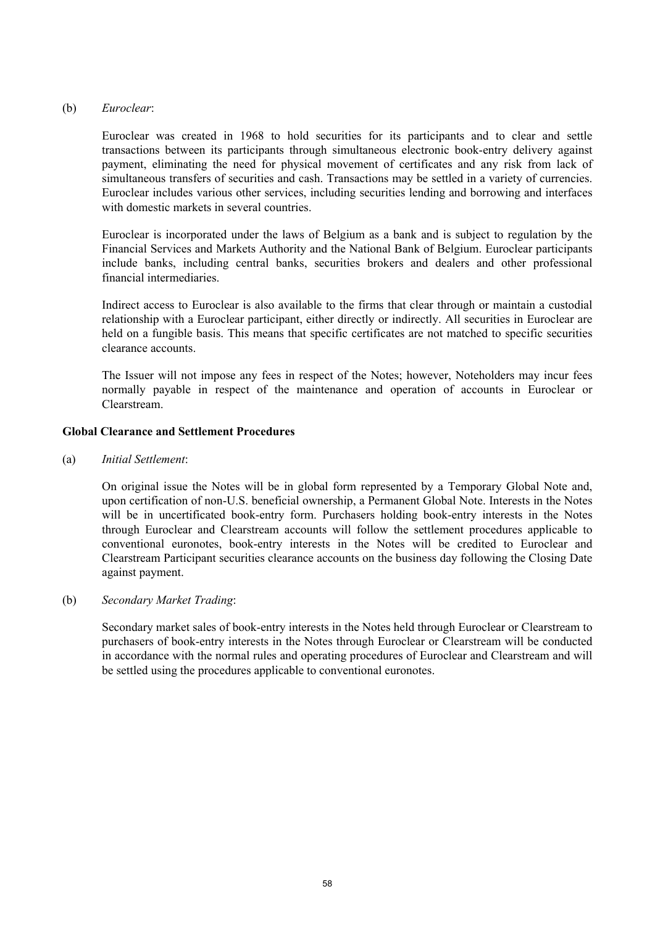# (b) *Euroclear*:

Euroclear was created in 1968 to hold securities for its participants and to clear and settle transactions between its participants through simultaneous electronic book-entry delivery against payment, eliminating the need for physical movement of certificates and any risk from lack of simultaneous transfers of securities and cash. Transactions may be settled in a variety of currencies. Euroclear includes various other services, including securities lending and borrowing and interfaces with domestic markets in several countries.

Euroclear is incorporated under the laws of Belgium as a bank and is subject to regulation by the Financial Services and Markets Authority and the National Bank of Belgium. Euroclear participants include banks, including central banks, securities brokers and dealers and other professional financial intermediaries.

Indirect access to Euroclear is also available to the firms that clear through or maintain a custodial relationship with a Euroclear participant, either directly or indirectly. All securities in Euroclear are held on a fungible basis. This means that specific certificates are not matched to specific securities clearance accounts.

The Issuer will not impose any fees in respect of the Notes; however, Noteholders may incur fees normally payable in respect of the maintenance and operation of accounts in Euroclear or Clearstream.

# **Global Clearance and Settlement Procedures**

(a) *Initial Settlement*:

On original issue the Notes will be in global form represented by a Temporary Global Note and, upon certification of non-U.S. beneficial ownership, a Permanent Global Note. Interests in the Notes will be in uncertificated book-entry form. Purchasers holding book-entry interests in the Notes through Euroclear and Clearstream accounts will follow the settlement procedures applicable to conventional euronotes, book-entry interests in the Notes will be credited to Euroclear and Clearstream Participant securities clearance accounts on the business day following the Closing Date against payment.

# (b) *Secondary Market Trading*:

Secondary market sales of book-entry interests in the Notes held through Euroclear or Clearstream to purchasers of book-entry interests in the Notes through Euroclear or Clearstream will be conducted in accordance with the normal rules and operating procedures of Euroclear and Clearstream and will be settled using the procedures applicable to conventional euronotes.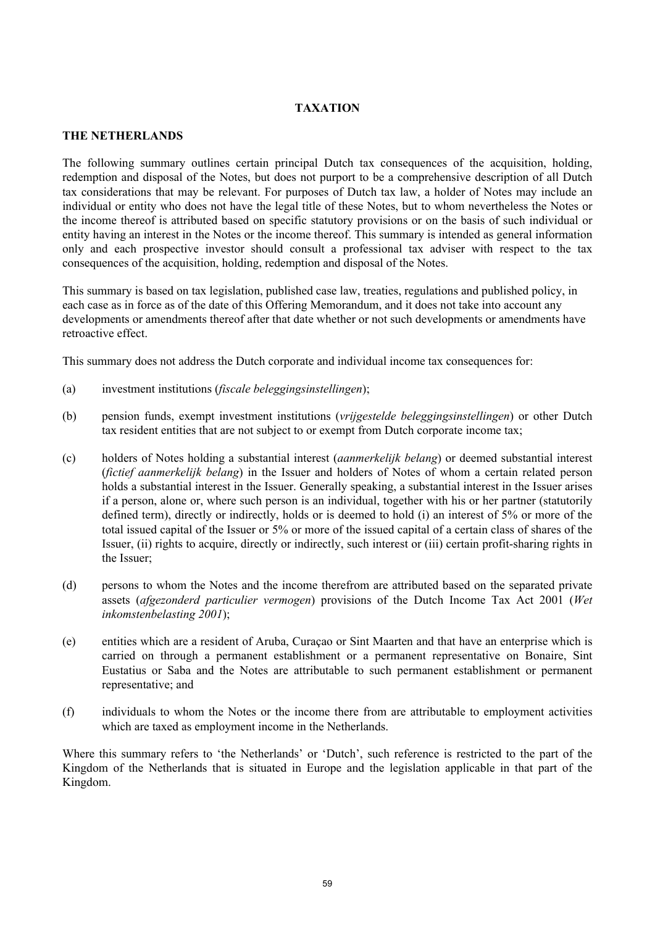# <span id="page-58-0"></span>**TAXATION**

# **THE NETHERLANDS**

The following summary outlines certain principal Dutch tax consequences of the acquisition, holding, redemption and disposal of the Notes, but does not purport to be a comprehensive description of all Dutch tax considerations that may be relevant. For purposes of Dutch tax law, a holder of Notes may include an individual or entity who does not have the legal title of these Notes, but to whom nevertheless the Notes or the income thereof is attributed based on specific statutory provisions or on the basis of such individual or entity having an interest in the Notes or the income thereof. This summary is intended as general information only and each prospective investor should consult a professional tax adviser with respect to the tax consequences of the acquisition, holding, redemption and disposal of the Notes.

This summary is based on tax legislation, published case law, treaties, regulations and published policy, in each case as in force as of the date of this Offering Memorandum, and it does not take into account any developments or amendments thereof after that date whether or not such developments or amendments have retroactive effect.

This summary does not address the Dutch corporate and individual income tax consequences for:

- (a) investment institutions (*fiscale beleggingsinstellingen*);
- (b) pension funds, exempt investment institutions (*vrijgestelde beleggingsinstellingen*) or other Dutch tax resident entities that are not subject to or exempt from Dutch corporate income tax;
- (c) holders of Notes holding a substantial interest (*aanmerkelijk belang*) or deemed substantial interest (*fictief aanmerkelijk belang*) in the Issuer and holders of Notes of whom a certain related person holds a substantial interest in the Issuer. Generally speaking, a substantial interest in the Issuer arises if a person, alone or, where such person is an individual, together with his or her partner (statutorily defined term), directly or indirectly, holds or is deemed to hold (i) an interest of 5% or more of the total issued capital of the Issuer or 5% or more of the issued capital of a certain class of shares of the Issuer, (ii) rights to acquire, directly or indirectly, such interest or (iii) certain profit-sharing rights in the Issuer;
- (d) persons to whom the Notes and the income therefrom are attributed based on the separated private assets (*afgezonderd particulier vermogen*) provisions of the Dutch Income Tax Act 2001 (*Wet inkomstenbelasting 2001*);
- (e) entities which are a resident of Aruba, Curaçao or Sint Maarten and that have an enterprise which is carried on through a permanent establishment or a permanent representative on Bonaire, Sint Eustatius or Saba and the Notes are attributable to such permanent establishment or permanent representative; and
- (f) individuals to whom the Notes or the income there from are attributable to employment activities which are taxed as employment income in the Netherlands.

Where this summary refers to 'the Netherlands' or 'Dutch', such reference is restricted to the part of the Kingdom of the Netherlands that is situated in Europe and the legislation applicable in that part of the Kingdom.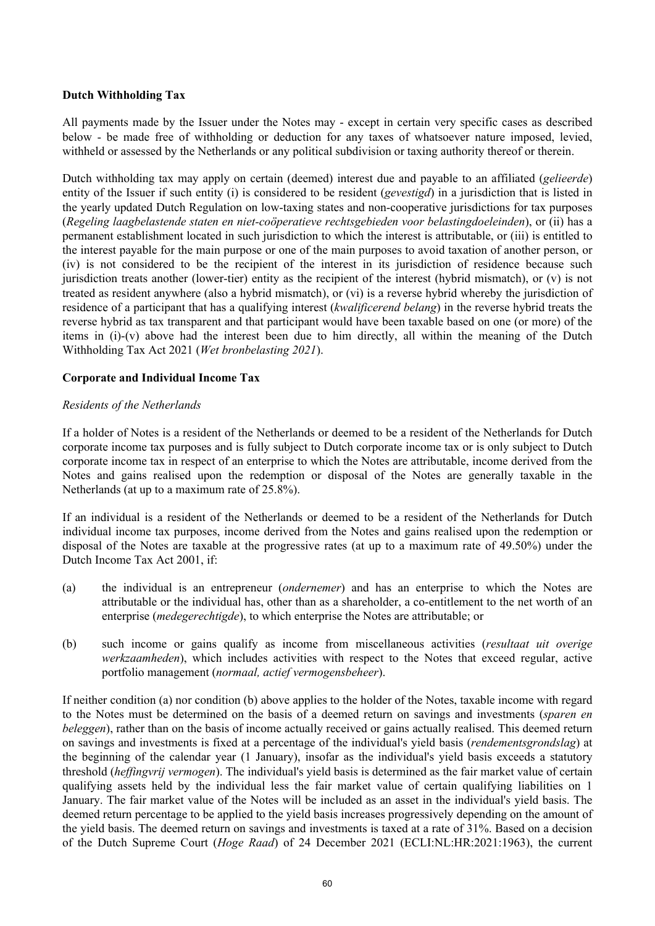# **Dutch Withholding Tax**

All payments made by the Issuer under the Notes may - except in certain very specific cases as described below - be made free of withholding or deduction for any taxes of whatsoever nature imposed, levied, withheld or assessed by the Netherlands or any political subdivision or taxing authority thereof or therein.

Dutch withholding tax may apply on certain (deemed) interest due and payable to an affiliated (*gelieerde*) entity of the Issuer if such entity (i) is considered to be resident (*gevestigd*) in a jurisdiction that is listed in the yearly updated Dutch Regulation on low-taxing states and non-cooperative jurisdictions for tax purposes (*Regeling laagbelastende staten en niet-coöperatieve rechtsgebieden voor belastingdoeleinden*), or (ii) has a permanent establishment located in such jurisdiction to which the interest is attributable, or (iii) is entitled to the interest payable for the main purpose or one of the main purposes to avoid taxation of another person, or (iv) is not considered to be the recipient of the interest in its jurisdiction of residence because such jurisdiction treats another (lower-tier) entity as the recipient of the interest (hybrid mismatch), or (v) is not treated as resident anywhere (also a hybrid mismatch), or (vi) is a reverse hybrid whereby the jurisdiction of residence of a participant that has a qualifying interest (*kwalificerend belang*) in the reverse hybrid treats the reverse hybrid as tax transparent and that participant would have been taxable based on one (or more) of the items in (i)-(v) above had the interest been due to him directly, all within the meaning of the Dutch Withholding Tax Act 2021 (*Wet bronbelasting 2021*).

# **Corporate and Individual Income Tax**

# *Residents of the Netherlands*

If a holder of Notes is a resident of the Netherlands or deemed to be a resident of the Netherlands for Dutch corporate income tax purposes and is fully subject to Dutch corporate income tax or is only subject to Dutch corporate income tax in respect of an enterprise to which the Notes are attributable, income derived from the Notes and gains realised upon the redemption or disposal of the Notes are generally taxable in the Netherlands (at up to a maximum rate of 25.8%).

If an individual is a resident of the Netherlands or deemed to be a resident of the Netherlands for Dutch individual income tax purposes, income derived from the Notes and gains realised upon the redemption or disposal of the Notes are taxable at the progressive rates (at up to a maximum rate of 49.50%) under the Dutch Income Tax Act 2001, if:

- (a) the individual is an entrepreneur (*ondernemer*) and has an enterprise to which the Notes are attributable or the individual has, other than as a shareholder, a co-entitlement to the net worth of an enterprise (*medegerechtigde*), to which enterprise the Notes are attributable; or
- (b) such income or gains qualify as income from miscellaneous activities (*resultaat uit overige werkzaamheden*), which includes activities with respect to the Notes that exceed regular, active portfolio management (*normaal, actief vermogensbeheer*).

If neither condition (a) nor condition (b) above applies to the holder of the Notes, taxable income with regard to the Notes must be determined on the basis of a deemed return on savings and investments (*sparen en beleggen*), rather than on the basis of income actually received or gains actually realised. This deemed return on savings and investments is fixed at a percentage of the individual's yield basis (*rendementsgrondslag*) at the beginning of the calendar year (1 January), insofar as the individual's yield basis exceeds a statutory threshold (*heffingvrij vermogen*). The individual's yield basis is determined as the fair market value of certain qualifying assets held by the individual less the fair market value of certain qualifying liabilities on 1 January. The fair market value of the Notes will be included as an asset in the individual's yield basis. The deemed return percentage to be applied to the yield basis increases progressively depending on the amount of the yield basis. The deemed return on savings and investments is taxed at a rate of 31%. Based on a decision of the Dutch Supreme Court (*Hoge Raad*) of 24 December 2021 (ECLI:NL:HR:2021:1963), the current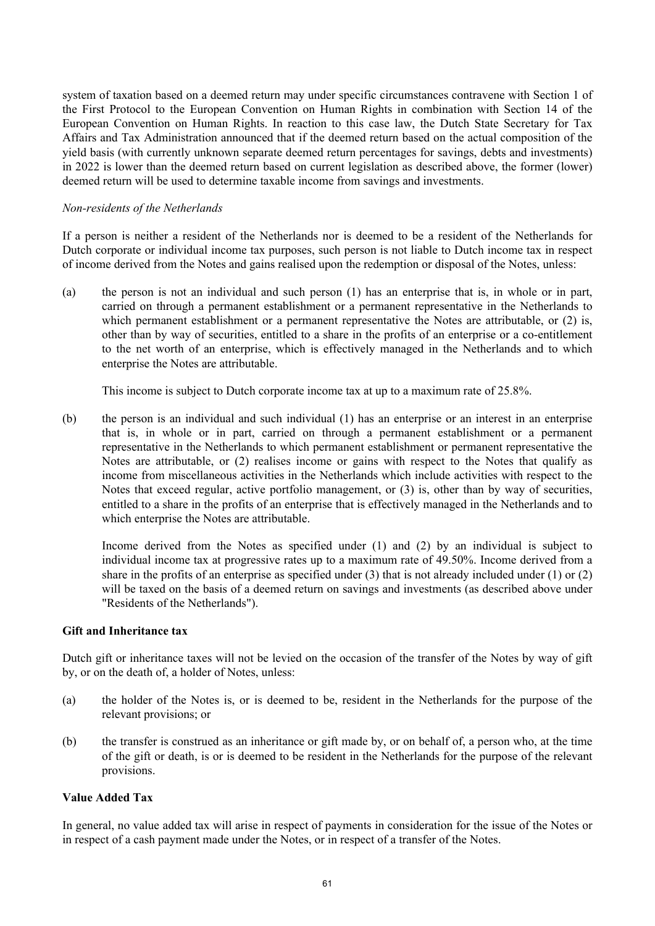system of taxation based on a deemed return may under specific circumstances contravene with Section 1 of the First Protocol to the European Convention on Human Rights in combination with Section 14 of the European Convention on Human Rights. In reaction to this case law, the Dutch State Secretary for Tax Affairs and Tax Administration announced that if the deemed return based on the actual composition of the yield basis (with currently unknown separate deemed return percentages for savings, debts and investments) in 2022 is lower than the deemed return based on current legislation as described above, the former (lower) deemed return will be used to determine taxable income from savings and investments.

# *Non-residents of the Netherlands*

If a person is neither a resident of the Netherlands nor is deemed to be a resident of the Netherlands for Dutch corporate or individual income tax purposes, such person is not liable to Dutch income tax in respect of income derived from the Notes and gains realised upon the redemption or disposal of the Notes, unless:

(a) the person is not an individual and such person (1) has an enterprise that is, in whole or in part, carried on through a permanent establishment or a permanent representative in the Netherlands to which permanent establishment or a permanent representative the Notes are attributable, or (2) is, other than by way of securities, entitled to a share in the profits of an enterprise or a co-entitlement to the net worth of an enterprise, which is effectively managed in the Netherlands and to which enterprise the Notes are attributable.

This income is subject to Dutch corporate income tax at up to a maximum rate of 25.8%.

(b) the person is an individual and such individual (1) has an enterprise or an interest in an enterprise that is, in whole or in part, carried on through a permanent establishment or a permanent representative in the Netherlands to which permanent establishment or permanent representative the Notes are attributable, or (2) realises income or gains with respect to the Notes that qualify as income from miscellaneous activities in the Netherlands which include activities with respect to the Notes that exceed regular, active portfolio management, or (3) is, other than by way of securities, entitled to a share in the profits of an enterprise that is effectively managed in the Netherlands and to which enterprise the Notes are attributable.

Income derived from the Notes as specified under (1) and (2) by an individual is subject to individual income tax at progressive rates up to a maximum rate of 49.50%. Income derived from a share in the profits of an enterprise as specified under (3) that is not already included under (1) or (2) will be taxed on the basis of a deemed return on savings and investments (as described above under "Residents of the Netherlands").

# **Gift and Inheritance tax**

Dutch gift or inheritance taxes will not be levied on the occasion of the transfer of the Notes by way of gift by, or on the death of, a holder of Notes, unless:

- (a) the holder of the Notes is, or is deemed to be, resident in the Netherlands for the purpose of the relevant provisions; or
- (b) the transfer is construed as an inheritance or gift made by, or on behalf of, a person who, at the time of the gift or death, is or is deemed to be resident in the Netherlands for the purpose of the relevant provisions.

# **Value Added Tax**

In general, no value added tax will arise in respect of payments in consideration for the issue of the Notes or in respect of a cash payment made under the Notes, or in respect of a transfer of the Notes.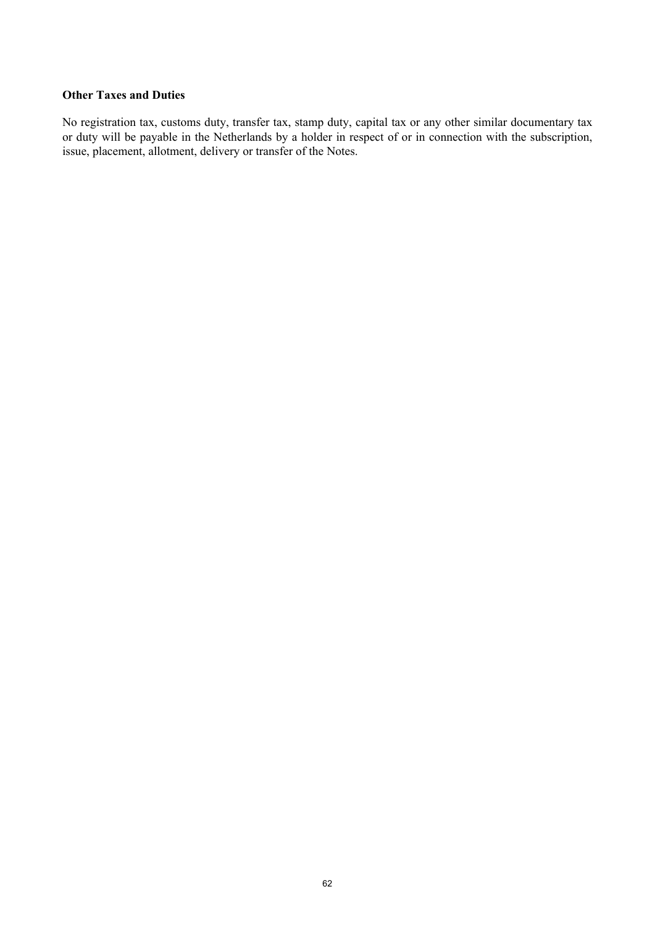# **Other Taxes and Duties**

No registration tax, customs duty, transfer tax, stamp duty, capital tax or any other similar documentary tax or duty will be payable in the Netherlands by a holder in respect of or in connection with the subscription, issue, placement, allotment, delivery or transfer of the Notes.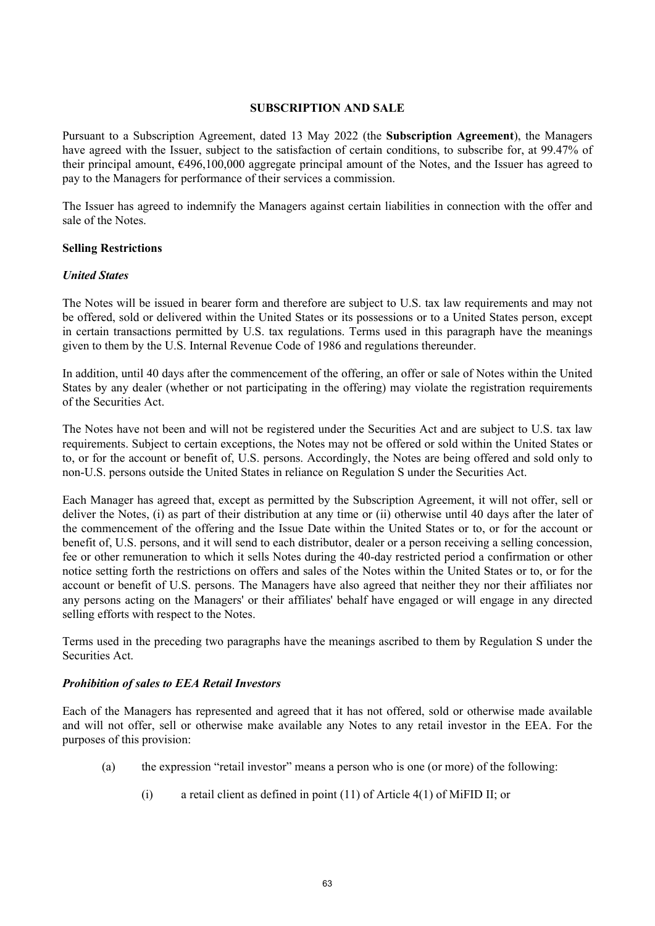#### <span id="page-62-0"></span>**SUBSCRIPTION AND SALE**

Pursuant to a Subscription Agreement, dated 13 May 2022 (the **Subscription Agreement**), the Managers have agreed with the Issuer, subject to the satisfaction of certain conditions, to subscribe for, at 99.47% of their principal amount, €496,100,000 aggregate principal amount of the Notes, and the Issuer has agreed to pay to the Managers for performance of their services a commission.

The Issuer has agreed to indemnify the Managers against certain liabilities in connection with the offer and sale of the Notes.

#### **Selling Restrictions**

#### *United States*

The Notes will be issued in bearer form and therefore are subject to U.S. tax law requirements and may not be offered, sold or delivered within the United States or its possessions or to a United States person, except in certain transactions permitted by U.S. tax regulations. Terms used in this paragraph have the meanings given to them by the U.S. Internal Revenue Code of 1986 and regulations thereunder.

In addition, until 40 days after the commencement of the offering, an offer or sale of Notes within the United States by any dealer (whether or not participating in the offering) may violate the registration requirements of the Securities Act.

The Notes have not been and will not be registered under the Securities Act and are subject to U.S. tax law requirements. Subject to certain exceptions, the Notes may not be offered or sold within the United States or to, or for the account or benefit of, U.S. persons. Accordingly, the Notes are being offered and sold only to non-U.S. persons outside the United States in reliance on Regulation S under the Securities Act.

Each Manager has agreed that, except as permitted by the Subscription Agreement, it will not offer, sell or deliver the Notes, (i) as part of their distribution at any time or (ii) otherwise until 40 days after the later of the commencement of the offering and the Issue Date within the United States or to, or for the account or benefit of, U.S. persons, and it will send to each distributor, dealer or a person receiving a selling concession, fee or other remuneration to which it sells Notes during the 40-day restricted period a confirmation or other notice setting forth the restrictions on offers and sales of the Notes within the United States or to, or for the account or benefit of U.S. persons. The Managers have also agreed that neither they nor their affiliates nor any persons acting on the Managers' or their affiliates' behalf have engaged or will engage in any directed selling efforts with respect to the Notes.

Terms used in the preceding two paragraphs have the meanings ascribed to them by Regulation S under the Securities Act.

# *Prohibition of sales to EEA Retail Investors*

Each of the Managers has represented and agreed that it has not offered, sold or otherwise made available and will not offer, sell or otherwise make available any Notes to any retail investor in the EEA. For the purposes of this provision:

- (a) the expression "retail investor" means a person who is one (or more) of the following:
	- (i) a retail client as defined in point (11) of Article 4(1) of MiFID II; or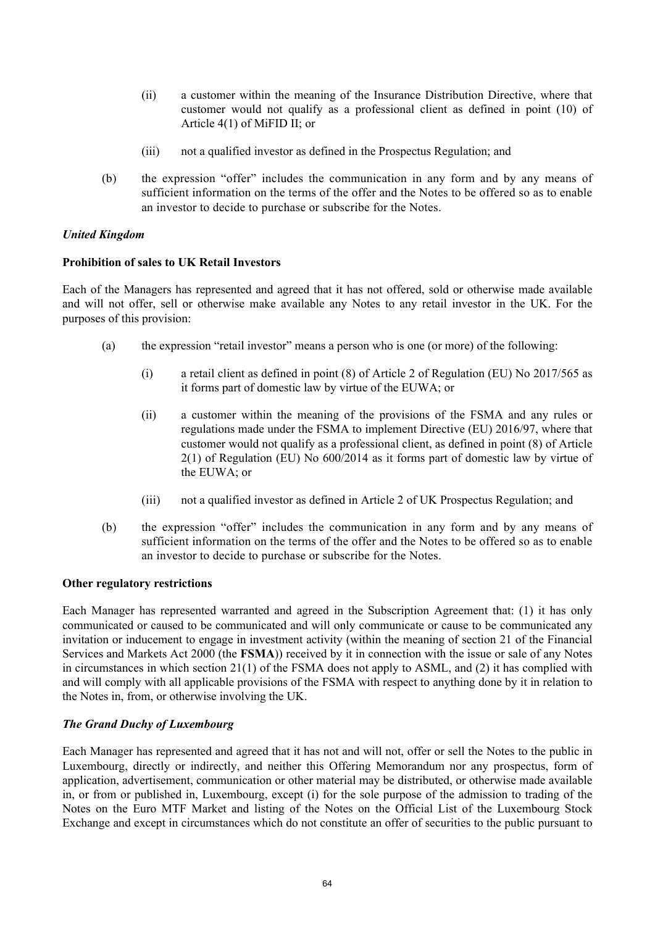- (ii) a customer within the meaning of the Insurance Distribution Directive, where that customer would not qualify as a professional client as defined in point (10) of Article 4(1) of MiFID II; or
- (iii) not a qualified investor as defined in the Prospectus Regulation; and
- (b) the expression "offer" includes the communication in any form and by any means of sufficient information on the terms of the offer and the Notes to be offered so as to enable an investor to decide to purchase or subscribe for the Notes.

# *United Kingdom*

# **Prohibition of sales to UK Retail Investors**

Each of the Managers has represented and agreed that it has not offered, sold or otherwise made available and will not offer, sell or otherwise make available any Notes to any retail investor in the UK. For the purposes of this provision:

- (a) the expression "retail investor" means a person who is one (or more) of the following:
	- (i) a retail client as defined in point (8) of Article 2 of Regulation (EU) No 2017/565 as it forms part of domestic law by virtue of the EUWA; or
	- (ii) a customer within the meaning of the provisions of the FSMA and any rules or regulations made under the FSMA to implement Directive (EU) 2016/97, where that customer would not qualify as a professional client, as defined in point (8) of Article 2(1) of Regulation (EU) No 600/2014 as it forms part of domestic law by virtue of the EUWA; or
	- (iii) not a qualified investor as defined in Article 2 of UK Prospectus Regulation; and
- (b) the expression "offer" includes the communication in any form and by any means of sufficient information on the terms of the offer and the Notes to be offered so as to enable an investor to decide to purchase or subscribe for the Notes.

# **Other regulatory restrictions**

Each Manager has represented warranted and agreed in the Subscription Agreement that: (1) it has only communicated or caused to be communicated and will only communicate or cause to be communicated any invitation or inducement to engage in investment activity (within the meaning of section 21 of the Financial Services and Markets Act 2000 (the **FSMA**)) received by it in connection with the issue or sale of any Notes in circumstances in which section 21(1) of the FSMA does not apply to ASML, and (2) it has complied with and will comply with all applicable provisions of the FSMA with respect to anything done by it in relation to the Notes in, from, or otherwise involving the UK.

# *The Grand Duchy of Luxembourg*

Each Manager has represented and agreed that it has not and will not, offer or sell the Notes to the public in Luxembourg, directly or indirectly, and neither this Offering Memorandum nor any prospectus, form of application, advertisement, communication or other material may be distributed, or otherwise made available in, or from or published in, Luxembourg, except (i) for the sole purpose of the admission to trading of the Notes on the Euro MTF Market and listing of the Notes on the Official List of the Luxembourg Stock Exchange and except in circumstances which do not constitute an offer of securities to the public pursuant to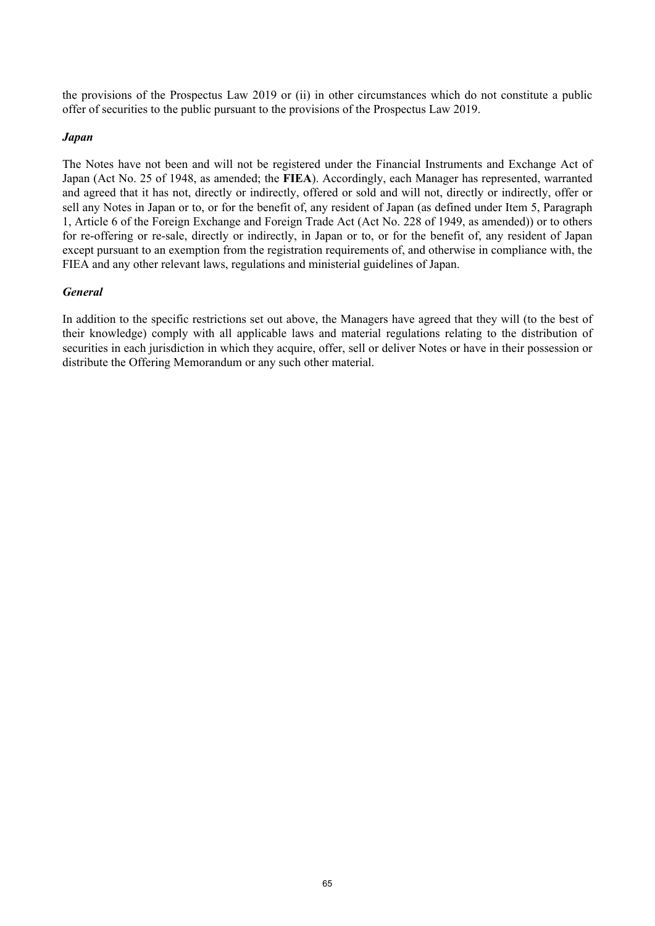the provisions of the Prospectus Law 2019 or (ii) in other circumstances which do not constitute a public offer of securities to the public pursuant to the provisions of the Prospectus Law 2019.

# *Japan*

The Notes have not been and will not be registered under the Financial Instruments and Exchange Act of Japan (Act No. 25 of 1948, as amended; the **FIEA**). Accordingly, each Manager has represented, warranted and agreed that it has not, directly or indirectly, offered or sold and will not, directly or indirectly, offer or sell any Notes in Japan or to, or for the benefit of, any resident of Japan (as defined under Item 5, Paragraph 1, Article 6 of the Foreign Exchange and Foreign Trade Act (Act No. 228 of 1949, as amended)) or to others for re-offering or re-sale, directly or indirectly, in Japan or to, or for the benefit of, any resident of Japan except pursuant to an exemption from the registration requirements of, and otherwise in compliance with, the FIEA and any other relevant laws, regulations and ministerial guidelines of Japan.

# *General*

<span id="page-64-0"></span>In addition to the specific restrictions set out above, the Managers have agreed that they will (to the best of their knowledge) comply with all applicable laws and material regulations relating to the distribution of securities in each jurisdiction in which they acquire, offer, sell or deliver Notes or have in their possession or distribute the Offering Memorandum or any such other material.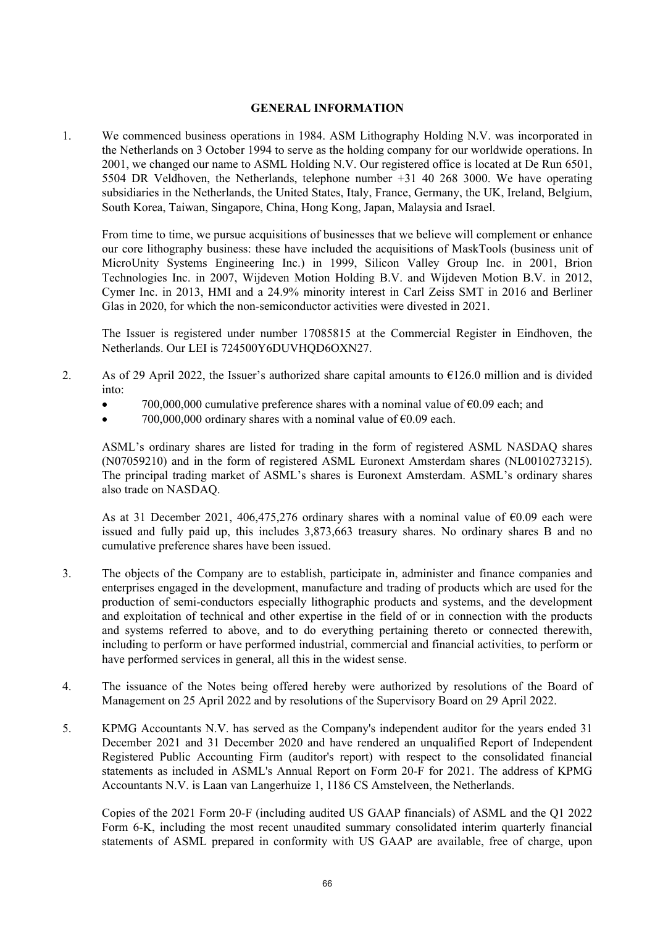# **GENERAL INFORMATION**

1. We commenced business operations in 1984. ASM Lithography Holding N.V. was incorporated in the Netherlands on 3 October 1994 to serve as the holding company for our worldwide operations. In 2001, we changed our name to ASML Holding N.V. Our registered office is located at De Run 6501, 5504 DR Veldhoven, the Netherlands, telephone number +31 40 268 3000. We have operating subsidiaries in the Netherlands, the United States, Italy, France, Germany, the UK, Ireland, Belgium, South Korea, Taiwan, Singapore, China, Hong Kong, Japan, Malaysia and Israel.

From time to time, we pursue acquisitions of businesses that we believe will complement or enhance our core lithography business: these have included the acquisitions of MaskTools (business unit of MicroUnity Systems Engineering Inc.) in 1999, Silicon Valley Group Inc. in 2001, Brion Technologies Inc. in 2007, Wijdeven Motion Holding B.V. and Wijdeven Motion B.V. in 2012, Cymer Inc. in 2013, HMI and a 24.9% minority interest in Carl Zeiss SMT in 2016 and Berliner Glas in 2020, for which the non-semiconductor activities were divested in 2021.

The Issuer is registered under number 17085815 at the Commercial Register in Eindhoven, the Netherlands. Our LEI is 724500Y6DUVHOD6OXN27.

- 2. As of 29 April 2022, the Issuer's authorized share capital amounts to  $\epsilon$ 126.0 million and is divided into:
	- $700,000,000$  cumulative preference shares with a nominal value of  $\epsilon 0.09$  each; and
	- 700,000,000 ordinary shares with a nominal value of  $\epsilon$ 0.09 each.

ASML's ordinary shares are listed for trading in the form of registered ASML NASDAQ shares (N07059210) and in the form of registered ASML Euronext Amsterdam shares (NL0010273215). The principal trading market of ASML's shares is Euronext Amsterdam. ASML's ordinary shares also trade on NASDAQ.

As at 31 December 2021, 406,475,276 ordinary shares with a nominal value of  $\epsilon$ 0.09 each were issued and fully paid up, this includes 3,873,663 treasury shares. No ordinary shares B and no cumulative preference shares have been issued.

- 3. The objects of the Company are to establish, participate in, administer and finance companies and enterprises engaged in the development, manufacture and trading of products which are used for the production of semi-conductors especially lithographic products and systems, and the development and exploitation of technical and other expertise in the field of or in connection with the products and systems referred to above, and to do everything pertaining thereto or connected therewith, including to perform or have performed industrial, commercial and financial activities, to perform or have performed services in general, all this in the widest sense.
- 4. The issuance of the Notes being offered hereby were authorized by resolutions of the Board of Management on 25 April 2022 and by resolutions of the Supervisory Board on 29 April 2022.
- 5. KPMG Accountants N.V. has served as the Company's independent auditor for the years ended 31 December 2021 and 31 December 2020 and have rendered an unqualified Report of Independent Registered Public Accounting Firm (auditor's report) with respect to the consolidated financial statements as included in ASML's Annual Report on Form 20-F for 2021. The address of KPMG Accountants N.V. is Laan van Langerhuize 1, 1186 CS Amstelveen, the Netherlands.

Copies of the 2021 Form 20-F (including audited US GAAP financials) of ASML and the Q1 2022 Form 6-K, including the most recent unaudited summary consolidated interim quarterly financial statements of ASML prepared in conformity with US GAAP are available, free of charge, upon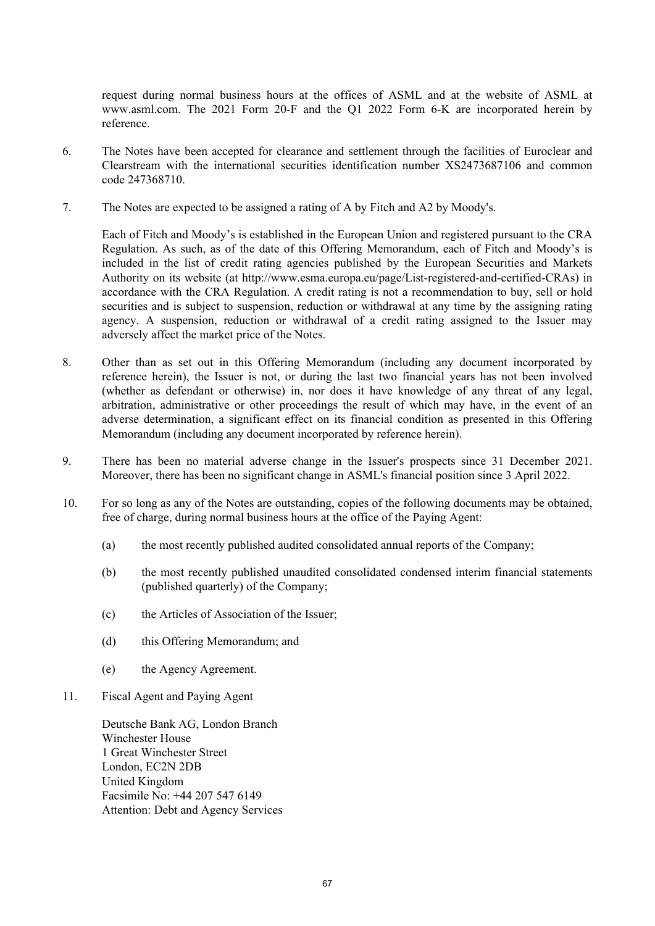request during normal business hours at the offices of ASML and at the website of ASML at www.asml.com. The 2021 Form 20-F and the Q1 2022 Form 6-K are incorporated herein by reference.

- 6. The Notes have been accepted for clearance and settlement through the facilities of Euroclear and Clearstream with the international securities identification number XS2473687106 and common code 247368710.
- 7. The Notes are expected to be assigned a rating of A by Fitch and A2 by Moody's.

Each of Fitch and Moody's is established in the European Union and registered pursuant to the CRA Regulation. As such, as of the date of this Offering Memorandum, each of Fitch and Moody's is included in the list of credit rating agencies published by the European Securities and Markets Authority on its website (at http://www.esma.europa.eu/page/List-registered-and-certified-CRAs) in accordance with the CRA Regulation. A credit rating is not a recommendation to buy, sell or hold securities and is subject to suspension, reduction or withdrawal at any time by the assigning rating agency. A suspension, reduction or withdrawal of a credit rating assigned to the Issuer may adversely affect the market price of the Notes.

- 8. Other than as set out in this Offering Memorandum (including any document incorporated by reference herein), the Issuer is not, or during the last two financial years has not been involved (whether as defendant or otherwise) in, nor does it have knowledge of any threat of any legal, arbitration, administrative or other proceedings the result of which may have, in the event of an adverse determination, a significant effect on its financial condition as presented in this Offering Memorandum (including any document incorporated by reference herein).
- 9. There has been no material adverse change in the Issuer's prospects since 31 December 2021. Moreover, there has been no significant change in ASML's financial position since 3 April 2022.
- 10. For so long as any of the Notes are outstanding, copies of the following documents may be obtained, free of charge, during normal business hours at the office of the Paying Agent:
	- (a) the most recently published audited consolidated annual reports of the Company;
	- (b) the most recently published unaudited consolidated condensed interim financial statements (published quarterly) of the Company;
	- (c) the Articles of Association of the Issuer;
	- (d) this Offering Memorandum; and
	- (e) the Agency Agreement.
- 11. Fiscal Agent and Paying Agent

Deutsche Bank AG, London Branch Winchester House 1 Great Winchester Street London, EC2N 2DB United Kingdom Facsimile No: +44 207 547 6149 Attention: Debt and Agency Services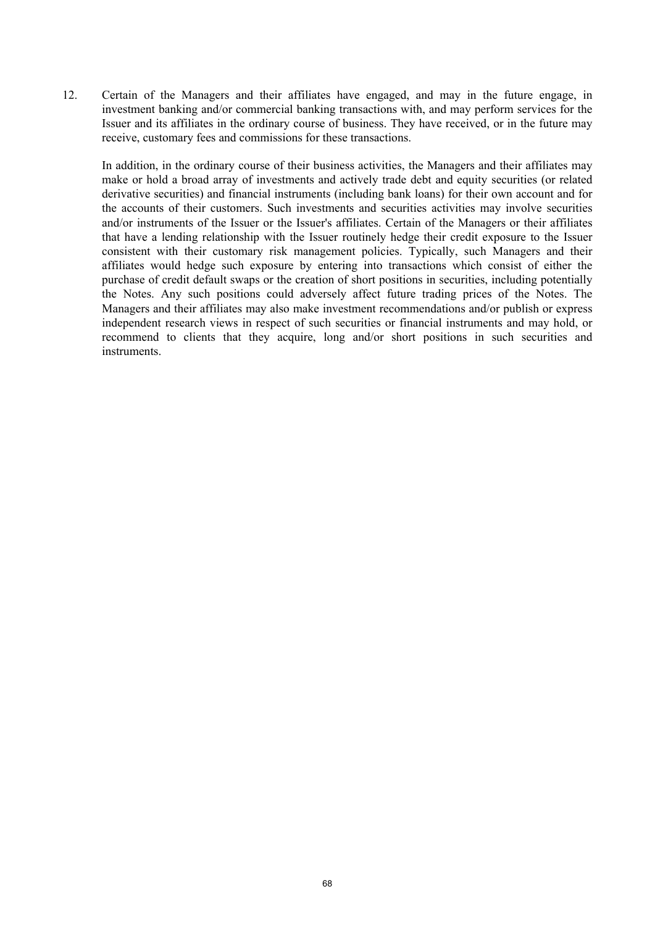12. Certain of the Managers and their affiliates have engaged, and may in the future engage, in investment banking and/or commercial banking transactions with, and may perform services for the Issuer and its affiliates in the ordinary course of business. They have received, or in the future may receive, customary fees and commissions for these transactions.

In addition, in the ordinary course of their business activities, the Managers and their affiliates may make or hold a broad array of investments and actively trade debt and equity securities (or related derivative securities) and financial instruments (including bank loans) for their own account and for the accounts of their customers. Such investments and securities activities may involve securities and/or instruments of the Issuer or the Issuer's affiliates. Certain of the Managers or their affiliates that have a lending relationship with the Issuer routinely hedge their credit exposure to the Issuer consistent with their customary risk management policies. Typically, such Managers and their affiliates would hedge such exposure by entering into transactions which consist of either the purchase of credit default swaps or the creation of short positions in securities, including potentially the Notes. Any such positions could adversely affect future trading prices of the Notes. The Managers and their affiliates may also make investment recommendations and/or publish or express independent research views in respect of such securities or financial instruments and may hold, or recommend to clients that they acquire, long and/or short positions in such securities and instruments.